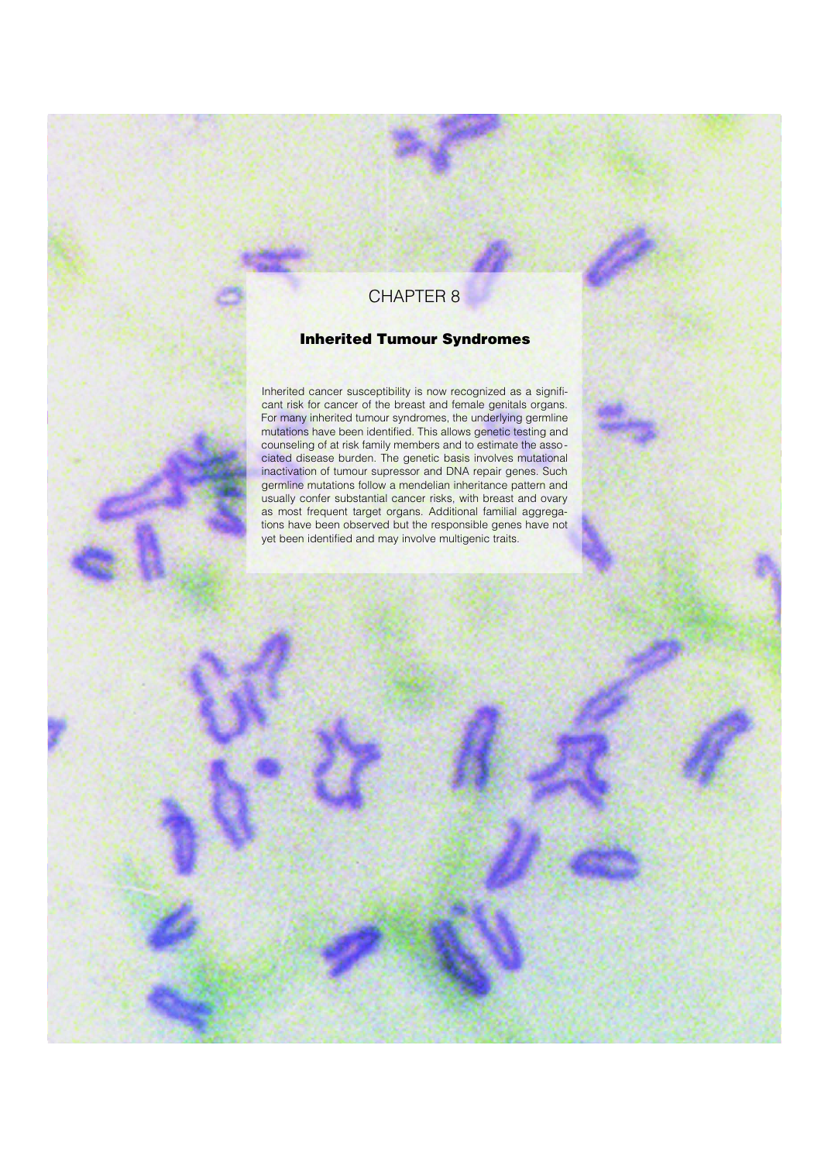## CHAPTER 8

## Inherited Tumour Syndromes

Inherited cancer susceptibility is now recognized as a significant risk for cancer of the breast and female genitals organs. For many inherited tumour syndromes, the underlying germline mutations have been identified. This allows genetic testing and counseling of at risk family members and to estimate the asso ciated disease burden. The genetic basis involves mutational inactivation of tumour supressor and DNA repair genes. Such germline mutations follow a mendelian inheritance pattern and usually confer substantial cancer risks, with breast and ovary as most frequent target organs. Additional familial aggregations have been observed but the responsible genes have not yet been identified and may involve multigenic traits.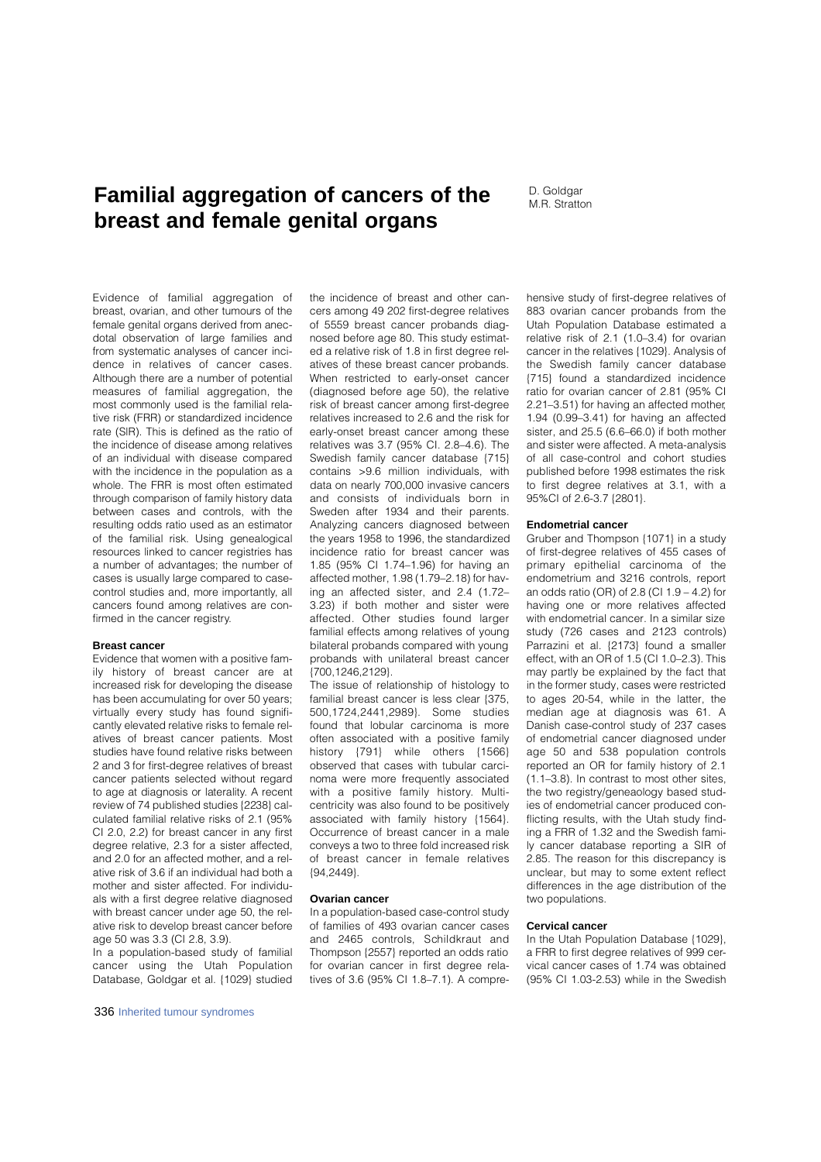# **Familial aggregation of cancers of the D. Goldgar breast and female genital organs**

Evidence of familial aggregation of breast, ovarian, and other tumours of the female genital organs derived from anecdotal observation of large families and from systematic analyses of cancer incidence in relatives of cancer cases. Although there are a number of potential measures of familial aggregation, the most commonly used is the familial relative risk (FRR) or standardized incidence rate (SlR). This is defined as the ratio of the incidence of disease among relatives of an individual with disease compared with the incidence in the population as a whole. The FRR is most often estimated through comparison of family history data between cases and controls, with the resulting odds ratio used as an estimator of the familial risk. Using genealogical resources linked to cancer registries has a number of advantages; the number of cases is usually large compared to casecontrol studies and, more importantly, all cancers found among relatives are confirmed in the cancer registry.

#### **Breast cancer**

Evidence that women with a positive family history of breast cancer are at increased risk for developing the disease has been accumulating for over 50 years; virtually every study has found significantly elevated relative risks to female relatives of breast cancer patients. Most studies have found relative risks between 2 and 3 for first-degree relatives of breast cancer patients selected without regard to age at diagnosis or laterality. A recent review of 74 published studies {2238} calculated familial relative risks of 2.1 (95% CI 2.0, 2.2) for breast cancer in any first degree relative, 2.3 for a sister affected, and 2.0 for an affected mother, and a relative risk of 3.6 if an individual had both a mother and sister affected. For individuals with a first degree relative diagnosed with breast cancer under age 50, the relative risk to develop breast cancer before age 50 was 3.3 (CL 2.8, 3.9).

In a population-based study of familial cancer using the Utah Population Database, Goldgar et al. {1029} studied

336 Inherited tumour syndromes

the incidence of breast and other cancers among 49 202 first-degree relatives of 5559 breast cancer probands diagnosed before age 80. This study estimated a relative risk of 1.8 in first degree relatives of these breast cancer probands. When restricted to early-onset cancer (diagnosed before age 50), the relative risk of breast cancer among first-degree relatives increased to 2.6 and the risk for early-onset breast cancer among these relatives was 3.7 (95% CI. 2.8–4.6). The Swedish family cancer database {715} contains >9.6 million individuals, with data on nearly 700,000 invasive cancers and consists of individuals born in Sweden after 1934 and their parents. Analyzing cancers diagnosed between the years 1958 to 1996, the standardized incidence ratio for breast cancer was 1.85 (95% CI 1.74–1.96) for having an affected mother, 1.98 (1.79–2.18) for having an affected sister, and 2.4 (1.72– 3.23) if both mother and sister were affected. Other studies found larger familial effects among relatives of young bilateral probands compared with young probands with unilateral breast cancer {700,1246,2129}.

The issue of relationship of histology to familial breast cancer is less clear  $(375)$ . 500,1724,2441,2989}. Some studies found that lobular carcinoma is more often associated with a positive family history  $\{791\}$  while others  $\{1566\}$ observed that cases with tubular carcinoma were more frequently associated with a positive family history. Multicentricity was also found to be positively associated with family history {1564}. Occurrence of breast cancer in a male conveys a two to three fold increased risk of breast cancer in female relatives {94,2449}.

## **Ovarian cancer**

In a population-based case-control study of families of 493 ovarian cancer cases and 2465 controls, Schildkraut and Thompson {2557} reported an odds ratio for ovarian cancer in first degree relatives of 3.6 (95% CI 1.8–7.1). A comprehensive study of first-degree relatives of 883 ovarian cancer probands from the Utah Population Database estimated a relative risk of 2.1 (1.0–3.4) for ovarian cancer in the relatives {1029}. Analysis of the Swedish family cancer database {715} found a standardized incidence ratio for ovarian cancer of 2.81 (95% CI 2.21–3.51) for having an affected mother, 1.94 (0.99–3.41) for having an affected sister, and 25.5 (6.6–66.0) if both mother and sister were affected. A meta-analysis of all case-control and cohort studies published before 1998 estimates the risk to first degree relatives at 3.1, with a 95%CI of 2.6-3.7 {2801}.

## **Endometrial cancer**

Gruber and Thompson {1071} in a study of first-degree relatives of 455 cases of primary epithelial carcinoma of the endometrium and 3216 controls, report an odds ratio (OR) of 2.8 (CI 1.9 – 4.2) for having one or more relatives affected with endometrial cancer. In a similar size study (726 cases and 2123 controls) Parrazini et al. {2173} found a smaller effect, with an OR of 1.5 (CI 1.0–2.3). This may partly be explained by the fact that in the former study, cases were restricted to ages 20-54, while in the latter, the median age at diagnosis was 61. A Danish case-control study of 237 cases of endometrial cancer diagnosed under age 50 and 538 population controls reported an OR for family history of 2.1 (1.1–3.8). In contrast to most other sites, the two registry/geneaology based studies of endometrial cancer produced conflicting results, with the Utah study finding a FRR of 1.32 and the Swedish family cancer database reporting a SIR of 2.85. The reason for this discrepancy is unclear, but may to some extent reflect differences in the age distribution of the two populations.

## **Cervical cancer**

In the Utah Population Database {1029}, a FRR to first degree relatives of 999 cervical cancer cases of 1.74 was obtained (95% CI 1.03-2.53) while in the Swedish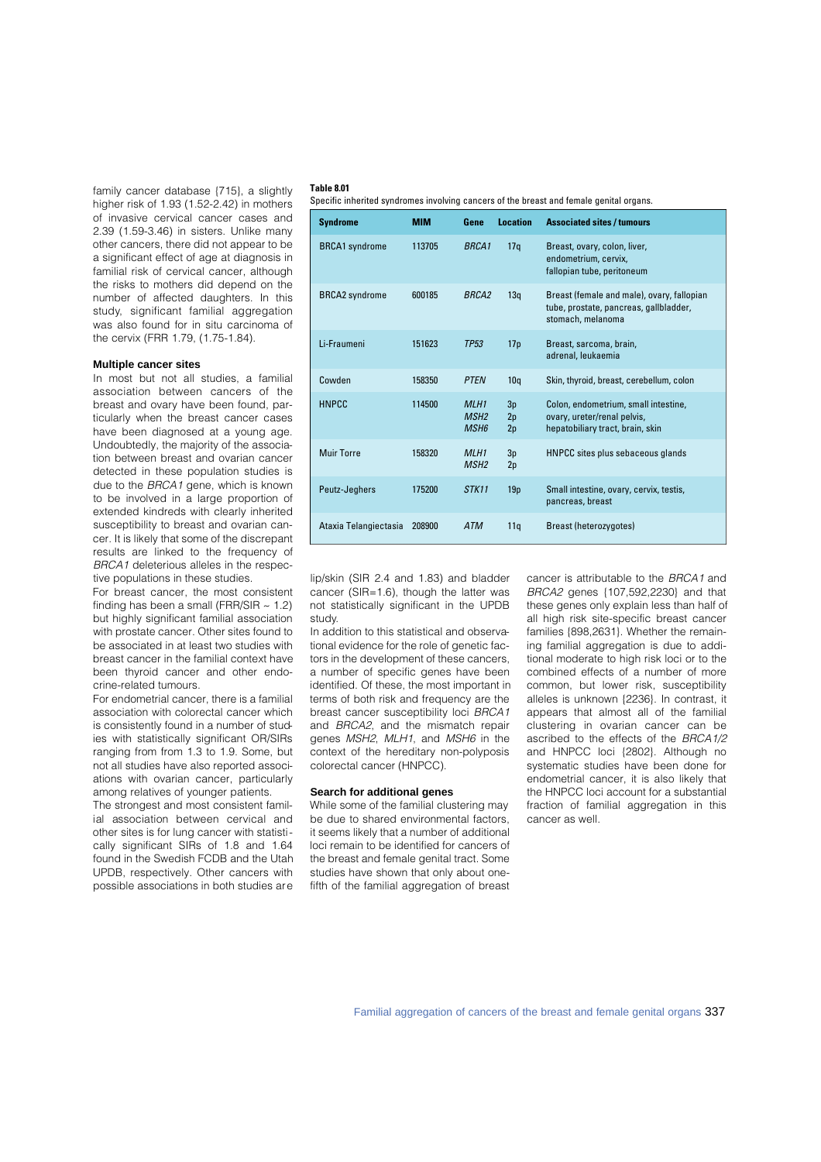family cancer database {715}, a slightly higher risk of 1.93 (1.52-2.42) in mothers of invasive cervical cancer cases and 2.39 (1.59-3.46) in sisters. Unlike many other cancers, there did not appear to be a significant effect of age at diagnosis in familial risk of cervical cancer, although the risks to mothers did depend on the number of affected daughters. In this study, significant familial aggregation was also found for in situ carcinoma of the cervix (FRR 1.79, (1.75-1.84).

#### **Multiple cancer sites**

In most but not all studies, a familial association between cancers of the breast and ovary have been found, particularly when the breast cancer cases have been diagnosed at a young age. Undoubtedly, the majority of the association between breast and ovarian cancer detected in these population studies is due to the BRCA1 gene, which is known to be involved in a large proportion of extended kindreds with clearly inherited susceptibility to breast and ovarian cancer. It is likely that some of the discrepant results are linked to the frequency of BRCA1 deleterious alleles in the respective populations in these studies.

For breast cancer, the most consistent finding has been a small (FRR/SIR  $\sim$  1.2) but highly significant familial association with prostate cancer. Other sites found to be associated in at least two studies with breast cancer in the familial context have been thyroid cancer and other endocrine-related tumours.

For endometrial cancer, there is a familial association with colorectal cancer which is consistently found in a number of studies with statistically significant OR/SIRs ranging from from 1.3 to 1.9. Some, but not all studies have also reported associations with ovarian cancer, particularly among relatives of younger patients.

The strongest and most consistent familial association between cervical and other sites is for lung cancer with statistically significant SIRs of 1.8 and 1.64 found in the Swedish FCDB and the Utah UPDB, respectively. Other cancers with possible associations in both studies are

#### **Table 8.01**

Specific inherited syndromes involving cancers of the breast and female genital organs.

| <b>Syndrome</b>       | <b>MIM</b> | Gene                                                | <b>Location</b> | <b>Associated sites / tumours</b>                                                                         |
|-----------------------|------------|-----------------------------------------------------|-----------------|-----------------------------------------------------------------------------------------------------------|
| <b>BRCA1</b> syndrome | 113705     | <b>BRCA1</b>                                        | 17q             | Breast, ovary, colon, liver,<br>endometrium, cervix,<br>fallopian tube, peritoneum                        |
| <b>BRCA2</b> syndrome | 600185     | <b>BRCA2</b>                                        | 13q             | Breast (female and male), ovary, fallopian<br>tube, prostate, pancreas, gallbladder,<br>stomach, melanoma |
| Li-Fraumeni           | 151623     | TP <sub>53</sub>                                    | 17 <sub>p</sub> | Breast, sarcoma, brain,<br>adrenal, leukaemia                                                             |
| Cowden                | 158350     | <b>PTEN</b>                                         | 10q             | Skin, thyroid, breast, cerebellum, colon                                                                  |
| <b>HNPCC</b>          | 114500     | MLH <sub>1</sub><br>MSH <sub>2</sub><br><b>MSH6</b> | 3p<br>2p<br>2p  | Colon, endometrium, small intestine,<br>ovary, ureter/renal pelvis,<br>hepatobiliary tract, brain, skin   |
| Muir Torre            | 158320     | MLH <sub>1</sub><br>MSH <sub>2</sub>                | 3p<br>2p        | HNPCC sites plus sebaceous glands                                                                         |
| Peutz-Jeghers         | 175200     | STK11                                               | 19 <sub>p</sub> | Small intestine, ovary, cervix, testis,<br>pancreas, breast                                               |
| Ataxia Telangiectasia | 208900     | <b>ATM</b>                                          | 11q             | <b>Breast (heterozygotes)</b>                                                                             |

lip/skin (SIR 2.4 and 1.83) and bladder cancer (SIR=1.6), though the latter was not statistically significant in the UPDB study.

In addition to this statistical and observational evidence for the role of genetic factors in the development of these cancers, a number of specific genes have been identified. Of these, the most important in terms of both risk and frequency are the breast cancer susceptibility loci BRCA1 and BRCA2, and the mismatch repair genes MSH2, MLH1, and MSH6 in the context of the hereditary non-polyposis colorectal cancer (HNPCC).

#### **Search for additional genes**

While some of the familial clustering may be due to shared environmental factors, it seems likely that a number of additional loci remain to be identified for cancers of the breast and female genital tract. Some studies have shown that only about onefifth of the familial aggregation of breast cancer is attributable to the BRCA1 and BRCA2 genes {107,592,2230} and that these genes only explain less than half of all high risk site-specific breast cancer families {898,2631}. Whether the remaining familial aggregation is due to additional moderate to high risk loci or to the combined effects of a number of more common, but lower risk, susceptibility alleles is unknown {2236}. In contrast, it appears that almost all of the familial clustering in ovarian cancer can be ascribed to the effects of the BRCA1/2 and HNPCC loci {2802}. Although no systematic studies have been done for endometrial cancer, it is also likely that the HNPCC loci account for a substantial fraction of familial aggregation in this cancer as well.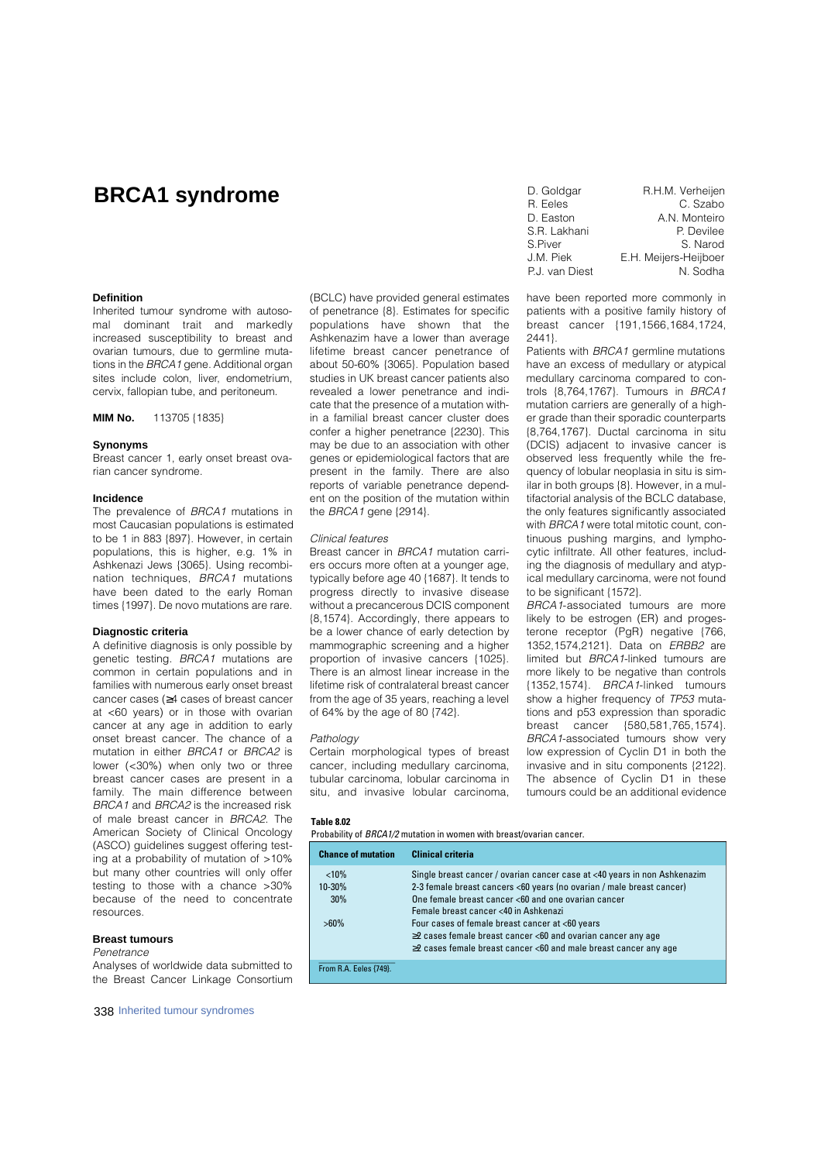## **BRCA1 syndrome**

## **Definition**

Inherited tumour syndrome with autosomal dominant trait and markedly increased susceptibility to breast and ovarian tumours, due to germline mutations in the BRCA1 gene. Additional organ sites include colon, liver, endometrium, cervix, fallopian tube, and peritoneum.

**MIM No.** 113705 {1835}

## **Synonyms**

Breast cancer 1, early onset breast ovarian cancer syndrome.

#### **Incidence**

The prevalence of BRCA1 mutations in most Caucasian populations is estimated to be 1 in 883 {897}. However, in certain populations, this is higher, e.g. 1% in Ashkenazi Jews {3065}. Using recombination techniques, BRCA1 mutations have been dated to the early Roman times {1997}. De novo mutations are rare.

#### **Diagnostic criteria**

A definitive diagnosis is only possible by genetic testing. BRCA1 mutations are common in certain populations and in families with numerous early onset breast cancer cases ( 4 cases of breast cancer at <60 years) or in those with ovarian cancer at any age in addition to early onset breast cancer. The chance of a mutation in either BRCA1 or BRCA2 is lower (<30%) when only two or three breast cancer cases are present in a family. The main difference between BRCA1 and BRCA2 is the increased risk of male breast cancer in BRCA2. The American Society of Clinical Oncology (ASCO) guidelines suggest offering testing at a probability of mutation of >10% but many other countries will only offer testing to those with a chance >30% because of the need to concentrate resources.

## **Breast tumours**

#### **Penetrance**

Analyses of worldwide data submitted to the Breast Cancer Linkage Consortium

338 Inherited tumour syndromes

(BCLC) have provided general estimates of penetrance {8}. Estimates for specific populations have shown that the Ashkenazim have a lower than average lifetime breast cancer penetrance of about 50-60% {3065}. Population based studies in UK breast cancer patients also revealed a lower penetrance and indicate that the presence of a mutation within a familial breast cancer cluster does confer a higher penetrance {2230}. This may be due to an association with other genes or epidemiological factors that are present in the family. There are also reports of variable penetrance dependent on the position of the mutation within the *BRCA1* gene (2914).

#### Clinical features

Breast cancer in BRCA1 mutation carriers occurs more often at a younger age, typically before age 40 {1687}. It tends to progress directly to invasive disease without a precancerous DCIS component {8,1574}. Accordingly, there appears to be a lower chance of early detection by mammographic screening and a higher proportion of invasive cancers {1025}. There is an almost linear increase in the lifetime risk of contralateral breast cancer from the age of 35 years, reaching a level of 64% by the age of 80 {742}.

#### Pathology

Certain morphological types of breast cancer, including medullary carcinoma, tubular carcinoma, lobular carcinoma in situ, and invasive lobular carcinoma.

## **Table 8.02**

Probability of BRCA1/2 mutation in women with breast/ovarian cancer.

| <b>Chance of mutation</b> | <b>Clinical criteria</b>                                                                                                                                                          |
|---------------------------|-----------------------------------------------------------------------------------------------------------------------------------------------------------------------------------|
| < 10%<br>10-30%           | Single breast cancer / ovarian cancer case at <40 years in non Ashkenazim<br>2-3 female breast cancers <60 years (no ovarian / male breast cancer)                                |
| 30%                       | One female breast cancer <60 and one ovarian cancer<br>Female breast cancer <40 in Ashkenazi                                                                                      |
| $>60\%$                   | Four cases of female breast cancer at <60 years<br>2 cases female breast cancer <60 and ovarian cancer any age<br>2 cases female breast cancer <60 and male breast cancer any age |
| From R.A. Eeles {749}.    |                                                                                                                                                                                   |

| D. Goldgar     | R.H.M. Verheijen      |
|----------------|-----------------------|
| R. Eeles       | C. Szabo              |
| D. Easton      | A.N. Monteiro         |
| S.R. Lakhani   | P. Devilee            |
| S.Piver        | S. Narod              |
| J.M. Piek      | E.H. Meijers-Heijboer |
| P.J. van Diest | N. Sodha              |
|                |                       |

have been reported more commonly in patients with a positive family history of b reast cancer {191,1566,1684,1724, 2441}.

Patients with BRCA1 germline mutations have an excess of medullary or atypical medullary carcinoma compared to controls {8,764,1767}. Tumours in BRCA1 mutation carriers are generally of a higher grade than their sporadic counterparts {8,764,1767}. Ductal carcinoma in situ (DCIS) adjacent to invasive cancer is observed less frequently while the frequency of lobular neoplasia in situ is similar in both groups {8}. However, in a multifactorial analysis of the BCLC database, the only features significantly associated with BRCA1 were total mitotic count, continuous pushing margins, and lymphocytic infiltrate. All other features, including the diagnosis of medullary and atypical medullary carcinoma, were not found to be significant {1572}.

BRCA1-associated tumours are more likely to be estrogen (ER) and progesterone receptor (PaR) negative {766, 1352,1574,2121}. Data on ERBB2 are limited but **BRCA1-linked** tumours are more likely to be negative than controls  ${1352, 1574}$ . BRCA 1-linked tumours show a higher frequency of TP53 mutations and p53 expression than sporadic b reast cancer {580,581,765,1574}. BRCA1-associated tumours show very low expression of Cyclin D1 in both the invasive and in situ components {2122}. The absence of Cyclin D1 in these tumours could be an additional evidence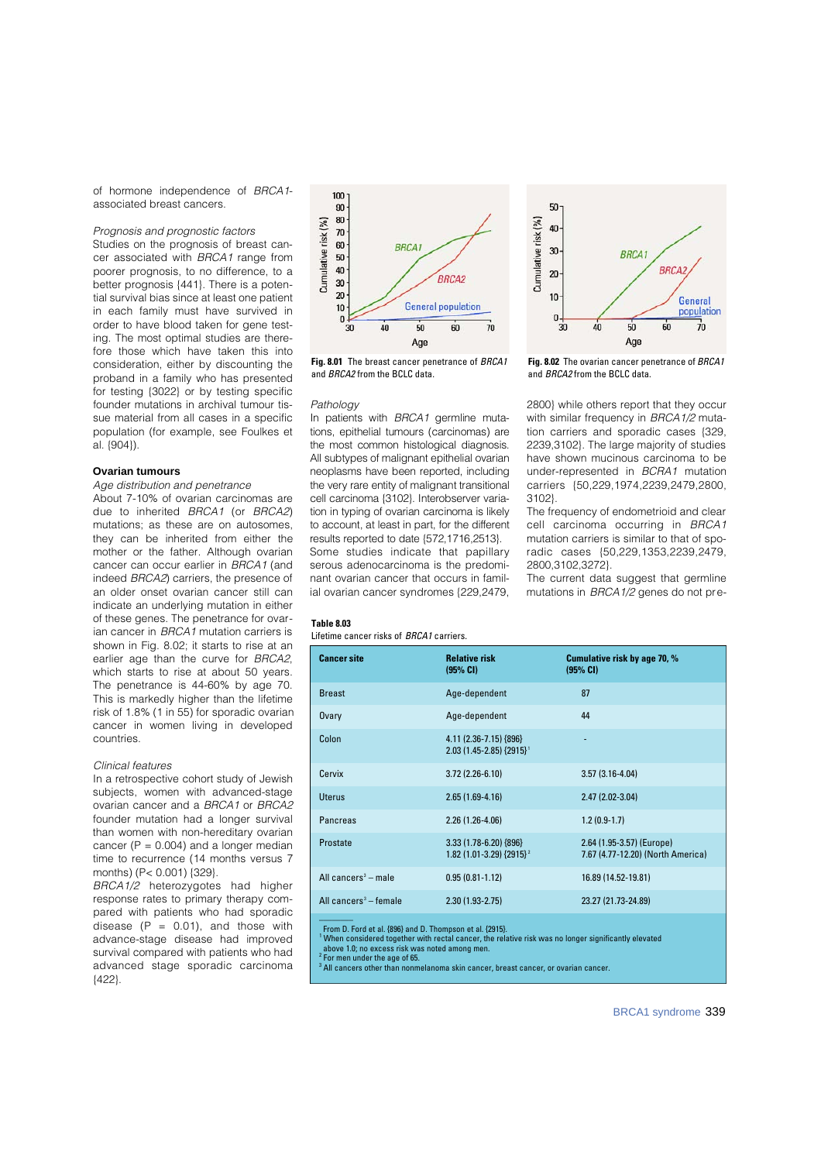of hormone independence of BRCA1 associated breast cancers.

## Prognosis and prognostic factors

Studies on the prognosis of breast cancer associated with BRCA1 range from poorer prognosis, to no difference, to a better prognosis {441}. There is a potential survival bias since at least one patient in each family must have survived in order to have blood taken for gene testing. The most optimal studies are therefore those which have taken this into consideration, either by discounting the proband in a family who has presented for testing {3022} or by testing specific founder mutations in archival tumour tissue material from all cases in a specific population (for example, see Foulkes et al. {904}).

#### **Ovarian tumours**

#### Age distribution and penetrance

About 7-10% of ovarian carcinomas are due to inherited BRCA1 (or BRCA2) mutations; as these are on autosomes, they can be inherited from either the mother or the father. Although ovarian cancer can occur earlier in BRCA1 (and indeed BRCA2) carriers, the presence of an older onset ovarian cancer still can indicate an underlying mutation in either of these genes. The penetrance for ovarian cancer in BRCA1 mutation carriers is shown in Fig. 8.02; it starts to rise at an earlier age than the curve for BRCA2. which starts to rise at about 50 years. The penetrance is 44-60% by age 70. This is markedly higher than the lifetime risk of 1.8% (1 in 55) for sporadic ovarian cancer in women living in developed countries.

#### Clinical features

In a retrospective cohort study of Jewish subjects, women with advanced-stage ovarian cancer and a BRCA1 or BRCA2 founder mutation had a longer survival than women with non-hereditary ovarian cancer ( $P = 0.004$ ) and a longer median time to recurrence (14 months versus 7 months) (P< 0.001) {329}.

BRCA1/2 heterozygotes had higher response rates to primary therapy compared with patients who had sporadic disease  $(P = 0.01)$ , and those with advance-stage disease had improved survival compared with patients who had advanced stage sporadic carcinoma {422}.



**Fig. 8.01** The breast cancer penetrance of BBCA1 and BBCA2 from the BCLC data

#### Pathology

In patients with  $B R C A 1$  germline mutations, epithelial tumours (carcinomas) are the most common histological diagnosis. All subtypes of malignant epithelial ovarian neoplasms have been reported, including the very rare entity of malignant transitional cell carcinoma {3102}. Interobserver variation in typing of ovarian carcinoma is likely to account, at least in part, for the different results reported to date {572,1716,2513}. Some studies indicate that papillary serous adenocarcinoma is the predominant ovarian cancer that occurs in familial ovarian cancer syndromes {229,2479,



**Fig. 8.02** The ovarian cancer penetrance of BRCA1 and BBCA2 from the BCLC data.

2800} while others report that they occur with similar frequency in BRCA1/2 mutation carriers and sporadic cases {329, 2239,3102}. The large majority of studies have shown mucinous carcinoma to be under-represented in BCRA1 mutation carriers {50,229,1974,2239,2479,2800, 3102}.

The frequency of endometrioid and clear cell carcinoma occurring in BRCA1 mutation carriers is similar to that of sporadic cases {50,229,1353,2239,2479, 2800,3102,3272}.

The current data suggest that germline mutations in BRCA1/2 genes do not pre-

#### **Table 8.03**

Lifetime cancer risks of BRCA1 carriers.

| <b>Cancer site</b>                | <b>Relative risk</b><br>(95% CI)                                  | Cumulative risk by age 70, %<br>(95% CI)                       |
|-----------------------------------|-------------------------------------------------------------------|----------------------------------------------------------------|
| <b>Breast</b>                     | Age-dependent                                                     | 87                                                             |
| Ovary                             | Age-dependent                                                     | 44                                                             |
| Colon                             | 4.11 (2.36-7.15) {896}<br>$2.03(1.45 - 2.85)$ {2915} <sup>1</sup> | ٠                                                              |
| Cervix                            | $3.72(2.26-6.10)$                                                 | $3.57(3.16-4.04)$                                              |
| Uterus                            | $2.65(1.69-4.16)$                                                 | $2.47(2.02-3.04)$                                              |
| Pancreas                          | $2.26(1.26-4.06)$                                                 | $1.2(0.9-1.7)$                                                 |
| Prostate                          | $3.33(1.78-6.20)\{896\}$<br>1.82 (1.01-3.29) {2915} <sup>2</sup>  | 2.64 (1.95-3.57) (Europe)<br>7.67 (4.77-12.20) (North America) |
| All cancers $3$ – male            | $0.95(0.81 - 1.12)$                                               | 16.89 (14.52-19.81)                                            |
| All cancers <sup>3</sup> - female | $2.30(1.93 - 2.75)$                                               | 23.27 (21.73-24.89)                                            |
|                                   |                                                                   |                                                                |

From D. Ford et al. {896} and D. Thompson et al. {2915}.

When considered together with rectal cancer, the relative risk was no longer significantly elevated above 1.0; no excess risk was noted among men.<br><sup>2</sup> For men under the age of 65.<br><sup>3</sup> All cancers other than nonmelanoma skin cancer, breast cancer, or ovarian cancer.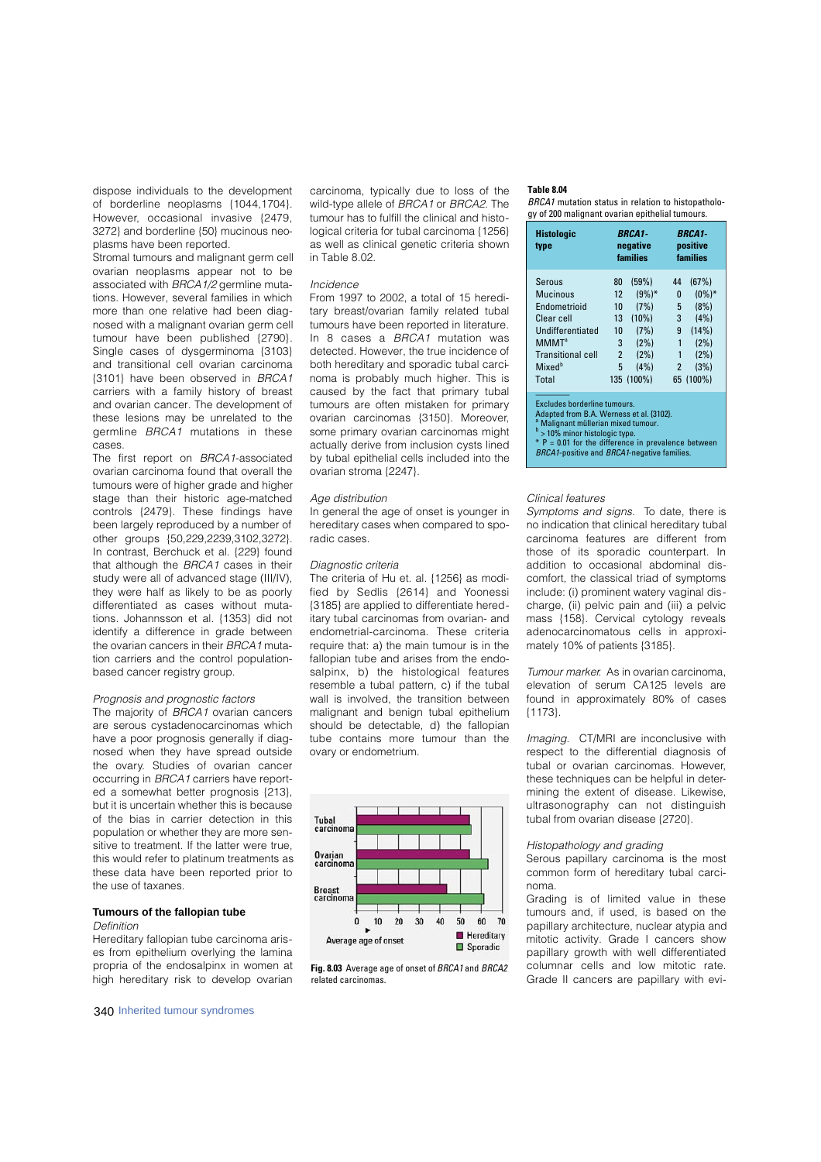dispose individuals to the development of borderline neoplasms {1044,1704}. However, occasional invasive (2479, 3272} and borderline {50} mucinous neoplasms have been reported.

Stromal tumours and malignant germ cell ovarian neoplasms appear not to be associated with BRCA1/2 germline mutations. However, several families in which more than one relative had been diagnosed with a malignant ovarian germ cell tumour have been published {2790}. Single cases of dysgerminoma {3103} and transitional cell ovarian carcinoma {3101} have been observed in BRCA1 carriers with a family history of breast and ovarian cancer. The development of these lesions may be unrelated to the germline  $B R C A 1$  mutations in these cases.

The first report on BRCA1-associated ovarian carcinoma found that overall the tumours were of higher grade and higher stage than their historic age-matched controls {2479}. These findings have been largely reproduced by a number of other groups {50,229,2239,3102,3272}. In contrast, Berchuck et al. {229} found that although the BRCA1 cases in their study were all of advanced stage (III/IV). they were half as likely to be as poorly differentiated as cases without mutations. Johannsson et al. {1353} did not identify a difference in grade between the ovarian cancers in their BRCA1 mutation carriers and the control populationbased cancer registry group.

## Prognosis and prognostic factors

The majority of BRCA1 ovarian cancers are serous cystadenocarcinomas which have a poor prognosis generally if diagnosed when they have spread outside the ovary. Studies of ovarian cancer occurring in BRCA1 carriers have reported a somewhat better prognosis {213}, but it is uncertain whether this is because of the bias in carrier detection in this population or whether they are more sensitive to treatment. If the latter were true this would refer to platinum treatments as these data have been reported prior to the use of taxanes.

#### **Tumours of the fallopian tube** Definition

Hereditary fallopian tube carcinoma arises from epithelium overlying the lamina propria of the endosalpinx in women at high hereditary risk to develop ovarian

340 Inherited tumour syndromes

carcinoma, typically due to loss of the wild-type allele of BRCA1 or BRCA2. The tumour has to fulfill the clinical and histological criteria for tubal carcinoma {1256} as well as clinical genetic criteria shown in Table 8.02.

#### Incidence

From 1997 to 2002, a total of 15 hereditary breast/ovarian family related tubal tumours have been reported in literature. In 8 cases a  $B$ RCA1 mutation was detected. However, the true incidence of both hereditary and sporadic tubal carcinoma is probably much higher. This is caused by the fact that primary tubal tumours are often mistaken for primary ovarian carcinomas {3150}. Moreover, some primary ovarian carcinomas might actually derive from inclusion cysts lined by tubal epithelial cells included into the ovarian stroma {2247}.

#### Age distribution

In general the age of onset is younger in hereditary cases when compared to sporadic cases.

## Diagnostic criteria

The criteria of Hu et. al. {1256} as modified by Sedlis {2614} and Yoonessi {3185} are applied to differentiate hereditary tubal carcinomas from ovarian- and endometrial-carcinoma. These criteria require that: a) the main tumour is in the fallopian tube and arises from the endosalpinx, b) the histological features resemble a tubal pattern, c) if the tubal wall is involved, the transition between malignant and benign tubal epithelium should be detectable, d) the fallopian tube contains more tumour than the ovary or endometrium.



**Fig. 8.03** Average age of onset of BRCA1 and BRCA2 related carcinomas.

## **Table 8.04**

BRCA1 mutation status in relation to histopathology of 200 malignant ovarian epithelial tumours.

| <b>Histologic</b><br>type | <b>BRCA1</b><br>negative<br>families |            | <b>BRCA1-</b><br>positive<br>families |           |
|---------------------------|--------------------------------------|------------|---------------------------------------|-----------|
| Serous                    | 80                                   | (59%)      | 44                                    | (67%)     |
| Mucinous                  | 12                                   | $(9%)^*$   | 0                                     | $(0\%)^*$ |
| Endometrioid              | 10                                   | (7%)       | 5                                     | (8%)      |
| Clear cell                | 13                                   | (10%)      | 3                                     | (4% )     |
| Undifferentiated          | 10                                   | (7%)       | 9                                     | (14% )    |
| <b>MMMT</b> <sup>a</sup>  | 3                                    | (2%)       |                                       | (2%)      |
| <b>Transitional cell</b>  | $\overline{2}$                       | (2%)       | 1                                     | (2%)      |
| Mixed <sup>b</sup>        | 5                                    | (4% )      | 2                                     | (3%)      |
| Total                     |                                      | 135 (100%) |                                       | 65 (100%) |
|                           |                                      |            |                                       |           |

Excludes borderline tumours.

Adapted from B.A. Werness et al. {3102}. <sup>a</sup> Malignant müllerian mixed tumour. b

<sup>v</sup> > 10% minor histologic type.<br>\* P = 0.01 for the difference in prevalence between

BRCA1-positive and BRCA1-negative families

#### Clinical features

Symptoms and signs. To date, there is no indication that clinical hereditary tubal carcinoma features are different from those of its sporadic counterpart. In addition to occasional abdominal discomfort, the classical triad of symptoms include: (i) prominent watery vaginal discharge, (ii) pelvic pain and (iii) a pelvic mass {158}. Cervical cytology reveals a de no carcinomatous cells in approximately 10% of patients {3185}.

Tumour marker. As in ovarian carcinoma, elevation of serum CA125 levels are found in approximately 80% of cases {1173}.

Imaging. CT/MRI are inconclusive with respect to the differential diagnosis of tubal or ovarian carcinomas. However, these techniques can be helpful in determining the extent of disease. Likewise, ultrasonography can not distinguish tubal from ovarian disease {2720}.

#### Histopathology and grading

Serous papillary carcinoma is the most common form of hereditary tubal carcinoma.

Grading is of limited value in these tumours and, if used, is based on the papillary architecture, nuclear atypia and mitotic activity. Grade I cancers show papillary growth with well differentiated columnar cells and low mitotic rate. Grade II cancers are papillary with evi-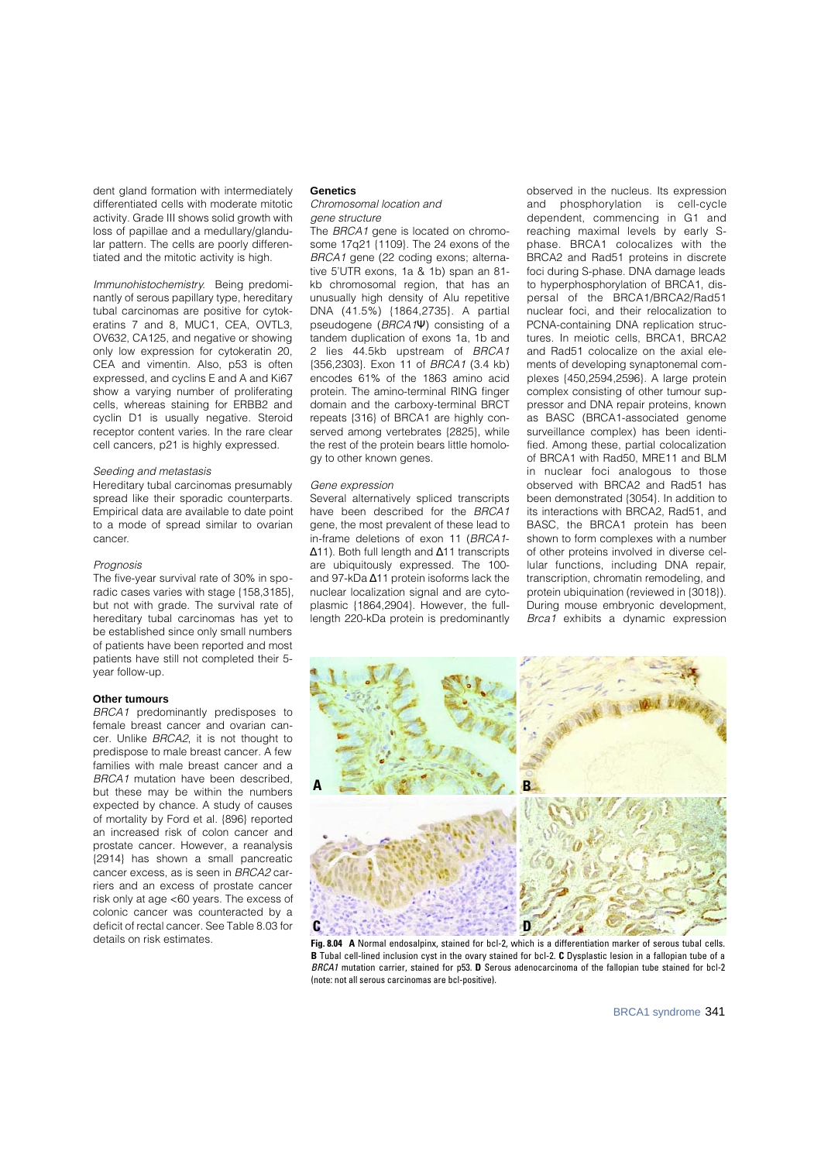dent gland formation with intermediately differentiated cells with moderate mitotic activity. Grade III shows solid growth with loss of papillae and a medullary/glandular pattern. The cells are poorly differentiated and the mitotic activity is high.

Immunohistochemistry. Being predominantly of serous papillary type, hereditary tubal carcinomas are positive for cytokeratins 7 and 8, MUC1, CEA, OVTL3, OV632, CA125, and negative or showing only low expression for cytokeratin 20, CEA and vimentin. Also, p53 is often expressed, and cyclins E and A and Ki67 show a varying number of proliferating cells, whereas staining for ERBB2 and cyclin D1 is usually negative. Steroid receptor content varies. In the rare clear cell cancers, p21 is highly expressed.

#### Seeding and metastasis

Hereditary tubal carcinomas presumably spread like their sporadic counterparts. Empirical data are available to date point to a mode of spread similar to ovarian cancer.

#### Prognosis

The five-year survival rate of 30% in sporadic cases varies with stage {158,3185}, but not with grade. The survival rate of hereditary tubal carcinomas has yet to be established since only small numbers of patients have been reported and most patients have still not completed their 5 year follow-up.

#### **Other tumours**

BRCA1 predominantly predisposes to female breast cancer and ovarian cancer. Unlike BRCA2, it is not thought to predispose to male breast cancer. A few families with male breast cancer and a BRCA1 mutation have been described, but these may be within the numbers expected by chance. A study of causes of mortality by Ford et al. {896} reported an increased risk of colon cancer and prostate cancer. However, a reanalysis {2914} has shown a small pancreatic cancer excess, as is seen in BRCA2 carriers and an excess of prostate cancer risk only at age <60 years. The excess of colonic cancer was counteracted by a deficit of rectal cancer. See Table 8.03 for details on risk estimates.

#### **Genetics**

Chromosomal location and gene structure

The BRCA1 gene is located on chromosome 17q21 {1109}. The 24 exons of the BRCA1 gene (22 coding exons; alternative 5'UTR exons, 1a & 1b) span an 81 kb chromosomal region, that has an unusually high density of Alu repetitive DNA (41.5%) {1864,2735}. A partial pseudogene (BRCA1) consisting of a tandem duplication of exons 1a, 1b and 2 lies 44.5kb upstream of BRCA1 {356,2303}. Exon 11 of BRCA1 (3.4 kb) encodes 61% of the 1863 amino acid protein. The amino-terminal RING finger domain and the carboxy-terminal BRCT repeats {316} of BRCA1 are highly conserved among vertebrates {2825}, while the rest of the protein bears little homology to other known genes.

#### Gene expression

Several alternatively spliced transcripts have been described for the BRCA1 gene, the most prevalent of these lead to in-frame deletions of exon 11 (BRCA1-

11). Both full length and 11 transcripts are ubiquitously expressed. The 100and 97-kDa 11 protein isoforms lack the nuclear localization signal and are cytoplasmic {1864,2904}. However, the fulllength 220-kDa protein is predominantly

observed in the nucleus. Its expression and phosphorylation is cell-cycle dependent, commencing in G1 and reaching maximal levels by early Sphase. BRCA1 colocalizes with the BRCA2 and Rad51 proteins in discrete foci during S-phase. DNA damage leads to hyperphosphorylation of BRCA1, dispersal of the BRCA1/BRCA2/Rad51 nuclear foci, and their relocalization to PCNA-containing DNA replication structures. In meiotic cells, BRCA1, BRCA2 and Rad51 colocalize on the axial elements of developing synaptonemal complexes {450,2594,2596}. A large protein complex consisting of other tumour suppressor and DNA repair proteins, known as BASC (BRCA1-associated genome surveillance complex) has been identified. Among these, partial colocalization of BRCA1 with Rad50, MRE11 and BLM in nuclear foci analogous to those observed with BRCA2 and Rad51 has been demonstrated {3054}. In addition to its interactions with BRCA2, Rad51, and BASC, the BRCA1 protein has been shown to form complexes with a number of other proteins involved in diverse cellular functions, including DNA repair, transcription, chromatin remodeling, and protein ubiquination (reviewed in {3018}). During mouse embryonic development, Brca1 exhibits a dynamic expression



**Fig. 8.04 A** Normal endosalpinx, stained for bcl-2, which is a differentiation marker of serous tubal cells. **B** Tubal cell-lined inclusion cyst in the ovary stained for bcl-2. **C** Dysplastic lesion in a fallopian tube of a BRCA1 mutation carrier, stained for p53. **D** Serous adenocarcinoma of the fallopian tube stained for bcl-2 (note: not all serous carcinomas are bcl-positive).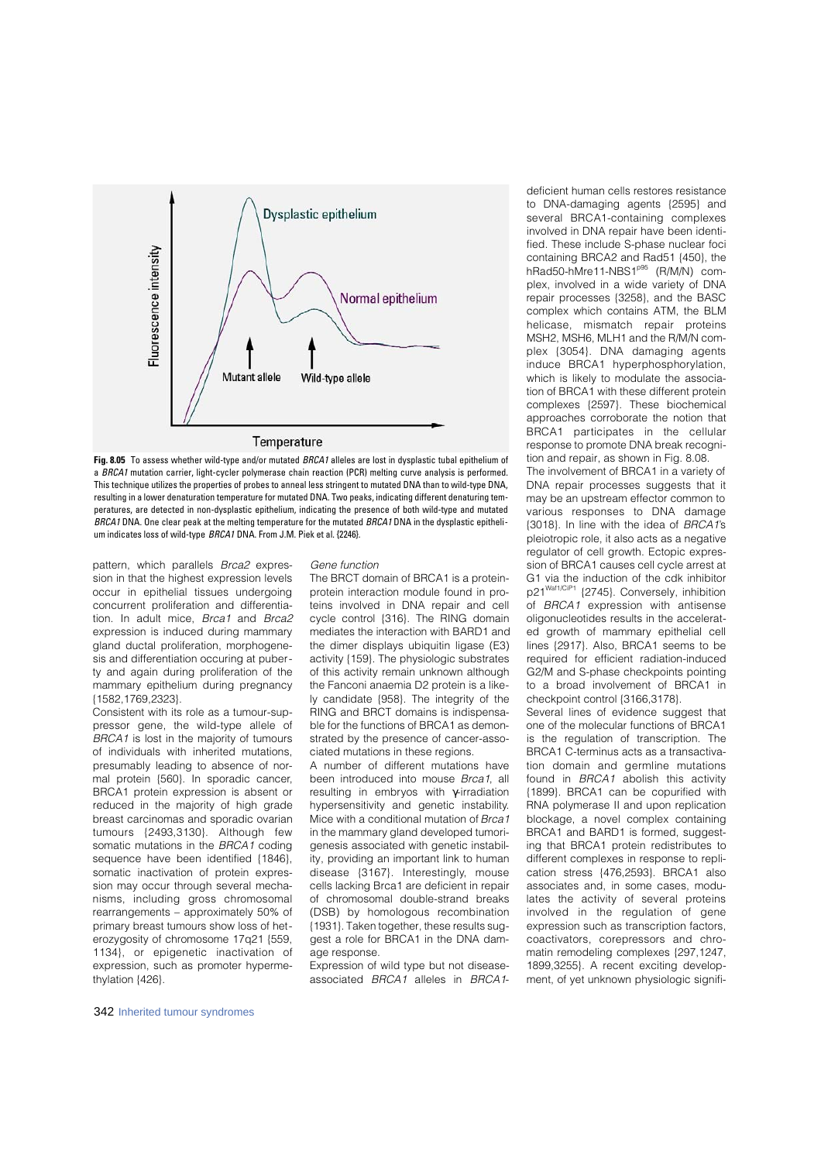

**Fig. 8.05** To assess whether wild-type and/or mutated BRCA1 alleles are lost in dysplastic tubal epithelium of a BRCA1 mutation carrier, light-cycler polymerase chain reaction (PCR) melting curve analysis is performed. This technique utilizes the properties of probes to anneal less stringent to mutated DNA than to wild-type DNA, resulting in a lower denaturation temperature for mutated DNA. Two peaks, indicating different denaturing temperatures, are detected in non-dysplastic epithelium, indicating the presence of both wild-type and mutated BRCA1 DNA. One clear peak at the melting temperature for the mutated BRCA1 DNA in the dysplastic epithelium indicates loss of wild-type BRCA1 DNA. From J.M. Piek et al. {2246}.

pattern, which parallels Brca2 expression in that the highest expression levels occur in epithelial tissues undergoing concurrent proliferation and differentiation. In adult mice, Brca1 and Brca2 expression is induced during mammary gland ductal proliferation, morphogenesis and differentiation occuring at puberty and again during proliferation of the mammary epithelium during pregnancy {1582,1769,2323}.

Consistent with its role as a tumour-suppressor gene, the wild-type allele of BRCA1 is lost in the majority of tumours of individuals with inherited mutations, presumably leading to absence of normal protein {560}. In sporadic cancer, BRCA1 protein expression is absent or reduced in the majority of high grade breast carcinomas and sporadic ovarian tumours {2493,3130}. Although few somatic mutations in the BRCA1 coding sequence have been identified {1846}, somatic inactivation of protein expression may occur through several mechanisms, including gross chromosomal rearrangements – approximately 50% of primary breast tumours show loss of heterozygosity of chromosome 17q21 {559, 1134}, or epigenetic inactivation of expression, such as promoter hypermethylation {426}.

#### Gene function

The BRCT domain of BRCA1 is a proteinprotein interaction module found in proteins involved in DNA repair and cell cycle control {316}. The RING domain mediates the interaction with BARD1 and the dimer displays ubiquitin ligase (E3) activity {159}. The physiologic substrates of this activity remain unknown although the Fanconi anaemia D2 protein is a likely candidate {958}. The integrity of the RING and BRCT domains is indispensable for the functions of BRCA1 as demonstrated by the presence of cancer-associated mutations in these regions.

A number of different mutations have been introduced into mouse Brca1, all resulting in embryos with -irradiation hypersensitivity and genetic instability. Mice with a conditional mutation of Brca1 in the mammary gland developed tumorigenesis associated with genetic instability, providing an important link to human  $disease$   ${3167}$ . Interestingly, mouse cells lacking Brca1 are deficient in repair of chromosomal double-strand breaks (DSB) by homologous recombination {1931}. Taken together, these results suggest a role for BRCA1 in the DNA damage response.

Expression of wild type but not diseaseassociated BRCA1 alleles in BRCA1-

deficient human cells restores resistance to DNA-damaging agents {2595} and several BRCA1-containing complexes involved in DNA repair have been identified. These include S-phase nuclear foci containing BRCA2 and Rad51 {450}, the  $h$ Rad50-hMre11-NBS1 $p$ <sup>95</sup> (R/M/N) complex, involved in a wide variety of DNA repair processes {3258}, and the BASC complex which contains ATM, the BLM helicase, mismatch repair proteins MSH2, MSH6, MLH1 and the R/M/N complex {3054}. DNA damaging agents induce BRCA1 hyperphosphorylation. which is likely to modulate the association of BRCA1 with these different protein complexes {2597}. These biochemical approaches corroborate the notion that BRCA1 participates in the cellular response to promote DNA break recognition and repair, as shown in Fig. 8.08. The involvement of BRCA1 in a variety of DNA repair processes suggests that it may be an upstream effector common to various responses to DNA damage {3018}. In line with the idea of BRCA1's pleiotropic role, it also acts as a negative regulator of cell growth. Ectopic expression of BRCA1 causes cell cycle arrest at G1 via the induction of the cdk inhibitor p21<sup>Waf1/CiP1</sup> {2745}. Conversely, inhibition of  $BRCA1$  expression with antisense oligonucleotides results in the accelerated growth of mammary epithelial cell lines {2917}. Also, BRCA1 seems to be required for efficient radiation-induced G2/M and S-phase checkpoints pointing

checkpoint control {3166,3178}. Several lines of evidence suggest that one of the molecular functions of BRCA1 is the regulation of transcription. The BRCA1 C-terminus acts as a transactivation domain and germline mutations found in  $B R C A 1$  abolish this activity {1899}. BRCA1 can be copurified with RNA polymerase II and upon replication blockage, a novel complex containing BRCA1 and BARD1 is formed, suggesting that BRCA1 protein redistributes to different complexes in response to replication stress {476,2593}. BRCA1 also associates and, in some cases, modulates the activity of several proteins involved in the regulation of gene expression such as transcription factors, coactivators, corepressors and chromatin remodeling complexes {297,1247, 1899,3255}. A recent exciting development, of yet unknown physiologic signifi-

to a broad involvement of BRCA1 in

342 Inherited tumour syndromes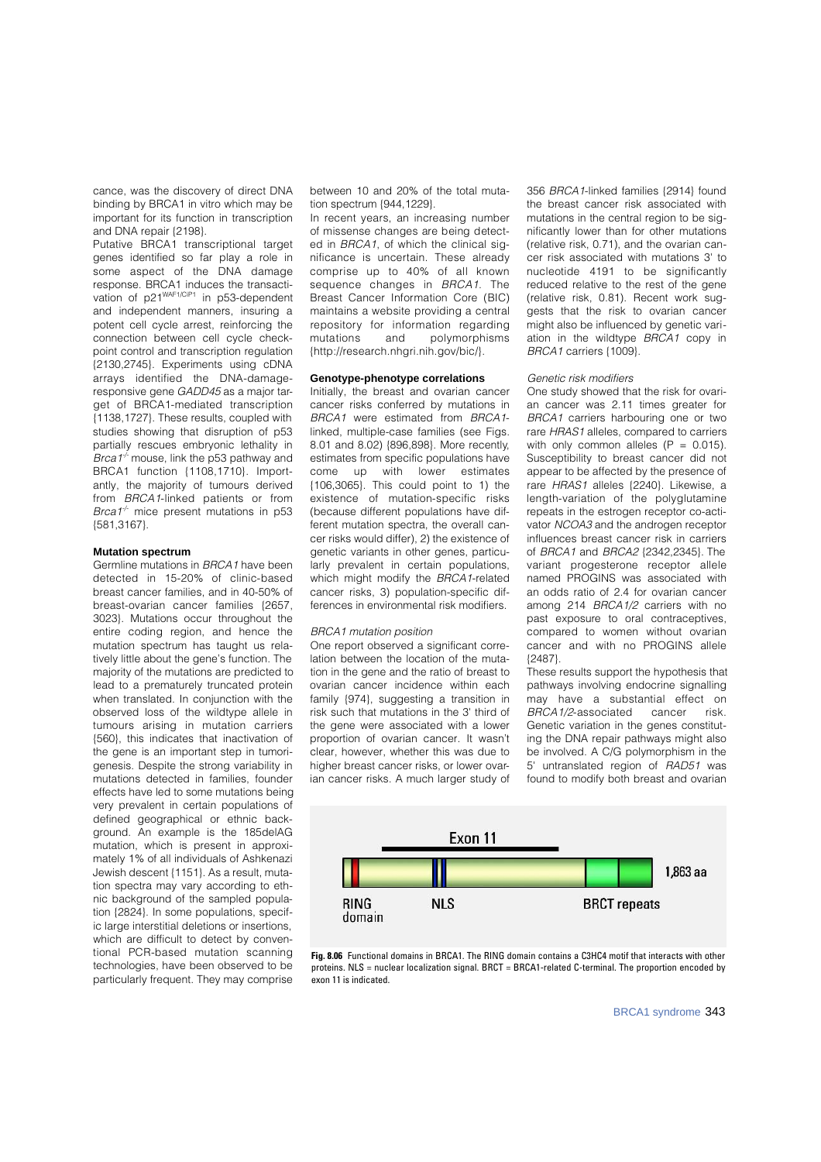cance, was the discovery of direct DNA binding by BRCA1 in vitro which may be important for its function in transcription and DNA repair {2198}.

Putative BRCA1 transcriptional target genes identified so far play a role in some aspect of the DNA damage response. BRCA1 induces the transactivation of p21<sup>WAF1/CiP1</sup> in p53-dependent and independent manners, insuring a potent cell cycle arrest, reinforcing the connection between cell cycle checkpoint control and transcription regulation {2130,2745}. Experiments using cDNA arrays identified the DNA-damageresponsive gene GADD45 as a major target of BRCA1-mediated transcription {1138,1727}. These results, coupled with studies showing that disruption of p53 partially rescues embryonic lethality in Brca1 $+$  mouse, link the p53 pathway and BRCA1 function {1108,1710}. Importantly, the majority of tumours derived from BRCA1-linked patients or from Brca1<sup>+</sup> mice present mutations in  $p53$ {581,3167}.

#### **Mutation spectrum**

Germline mutations in BRCA1 have been detected in 15-20% of clinic-based breast cancer families, and in 40-50% of breast-ovarian cancer families (2657, 3023}. Mutations occur throughout the entire coding region, and hence the mutation spectrum has taught us relatively little about the gene's function. The majority of the mutations are predicted to lead to a prematurely truncated protein when translated. In conjunction with the observed loss of the wildtype allele in tumours arising in mutation carriers {560}, this indicates that inactivation of the gene is an important step in tumorigenesis. Despite the strong variability in mutations detected in families, founder effects have led to some mutations being very prevalent in certain populations of defined geographical or ethnic background. An example is the 185delAG mutation, which is present in approximately 1% of all individuals of Ashkenazi Jewish descent {1151}. As a result, mutation spectra may vary according to ethnic background of the sampled population {2824}. In some populations, specific large interstitial deletions or insertions, which are difficult to detect by conventional PCR-based mutation scanning technologies, have been observed to be particularly frequent. They may comprise between 10 and 20% of the total mutation spectrum {944,1229}.

In recent years, an increasing number of missense changes are being detected in BRCA1, of which the clinical significance is uncertain. These already comprise up to 40% of all known sequence changes in BRCA1. The Breast Cancer Information Core (BIC) maintains a website providing a central repository for information regarding mutations and polymorphisms {http://research.nhgri.nih.gov/bic/}.

#### **Genotype-phenotype correlations**

Initially, the breast and ovarian cancer cancer risks conferred by mutations in BRCA1 were estimated from BRCA1linked, multiple-case families (see Figs. 8.01 and 8.02) {896,898}. More recently, estimates from specific populations have come up with lower estimates {106,3065}. This could point to 1) the existence of mutation-specific risks (because different populations have different mutation spectra, the overall cancer risks would differ), 2) the existence of genetic variants in other genes, particularly prevalent in certain populations, which might modify the BRCA1-related cancer risks, 3) population-specific differences in environmental risk modifiers.

#### BRCA1 mutation position

One report observed a significant correlation between the location of the mutation in the gene and the ratio of breast to ovarian cancer incidence within each family {974}, suggesting a transition in risk such that mutations in the 3' third of the gene were associated with a lower proportion of ovarian cancer. It wasn't clear, however, whether this was due to higher breast cancer risks, or lower ovarian cancer risks. A much larger study of 356 BRCA1-linked families {2914} found the breast cancer risk associated with mutations in the central region to be significantly lower than for other mutations (relative risk, 0.71), and the ovarian cancer risk associated with mutations 3' to nucleotide 4191 to be significantly reduced relative to the rest of the gene (relative risk, 0.81). Recent work suggests that the risk to ovarian cancer might also be influenced by genetic variation in the wildtype BRCA1 copy in BRCA1 carriers {1009}.

#### Genetic risk modifiers

One study showed that the risk for ovarian cancer was 2.11 times greater for BRCA1 carriers harbouring one or two rare HRAS1 alleles, compared to carriers with only common alleles  $(P = 0.015)$ . Susceptibility to breast cancer did not appear to be affected by the presence of rare HRAS1 alleles {2240}. Likewise, a length-variation of the polyglutamine repeats in the estrogen receptor co-activator NCOA3 and the androgen receptor influences breast cancer risk in carriers of BRCA1 and BRCA2 {2342,2345}. The variant progesterone receptor allele named PROGINS was associated with an odds ratio of 2.4 for ovarian cancer among 214 BRCA1/2 carriers with no past exposure to oral contraceptives, compared to women without ovarian cancer and with no PROGINS allele {2487}.

These results support the hypothesis that pathways involving endocrine signalling may have a substantial effect on BRCA1/2-associated cancer risk. Genetic variation in the genes constituting the DNA repair pathways might also be involved. A C/G polymorphism in the 5' untranslated region of RAD51 was found to modify both breast and ovarian



**Fig. 8.06** Functional domains in BRCA1. The RING domain contains a C3HC4 motif that interacts with other proteins. NLS = nuclear localization signal. BRCT = BRCA1-related C-terminal. The proportion encoded by exon 11 is indicated.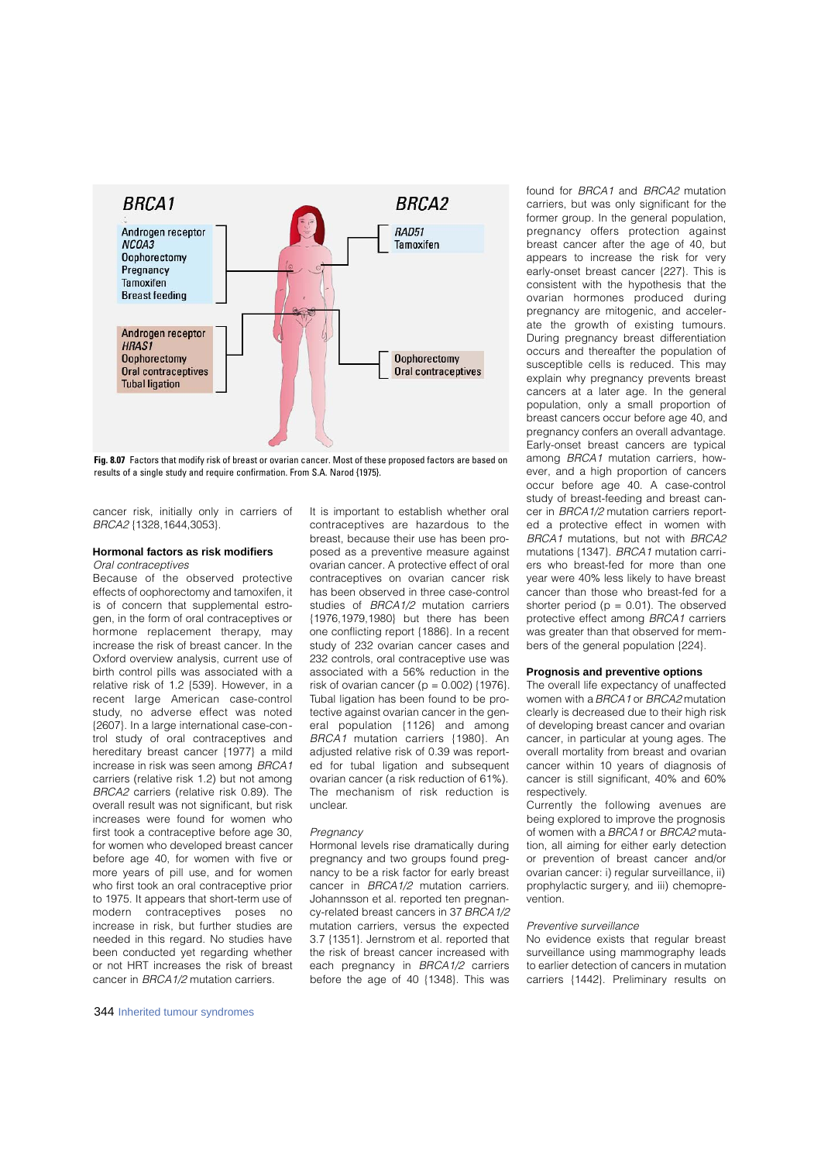

**Fig. 8.07** Factors that modify risk of breast or ovarian cancer. Most of these proposed factors are based on results of a single study and require confirmation. From S.A. Narod {1975}.

cancer risk, initially only in carriers of BRCA2 {1328,1644,3053}.

### **Hormonal factors as risk modifiers** Oral contraceptives

Because of the observed protective effects of oophorectomy and tamoxifen, it is of concern that supplemental estrogen, in the form of oral contraceptives or hormone replacement therapy, may increase the risk of breast cancer. In the Oxford overview analysis, current use of birth control pills was associated with a relative risk of 1.2 {539}. However, in a recent large American case-control study, no adverse effect was noted {2607}. In a large international case-control study of oral contraceptives and hereditary breast cancer {1977} a mild increase in risk was seen among BRCA1 carriers (relative risk 1.2) but not among BRCA2 carriers (relative risk 0.89). The overall result was not significant, but risk increases were found for women who first took a contraceptive before age 30, for women who developed breast cancer before age 40, for women with five or more years of pill use, and for women who first took an oral contraceptive prior to 1975. It appears that short-term use of modern contraceptives poses no increase in risk, but further studies are needed in this regard. No studies have been conducted yet regarding whether or not HRT increases the risk of breast cancer in BRCA1/2 mutation carriers.

It is important to establish whether oral contraceptives are hazardous to the breast, because their use has been proposed as a preventive measure against ovarian cancer. A protective effect of oral contraceptives on ovarian cancer risk has been observed in three case-control studies of BRCA1/2 mutation carriers {1976,1979,1980} but there has been one conflicting report {1886}. In a recent study of 232 ovarian cancer cases and 232 controls, oral contraceptive use was associated with a 56% reduction in the risk of ovarian cancer ( $p = 0.002$ ) {1976}. Tubal ligation has been found to be protective against ovarian cancer in the general population {1126} and among BRCA1 mutation carriers {1980}. An adjusted relative risk of 0.39 was reported for tubal ligation and subsequent ovarian cancer (a risk reduction of 61%). The mechanism of risk reduction is unclear.

#### Pregnancy

Hormonal levels rise dramatically during pregnancy and two groups found pregnancy to be a risk factor for early breast cancer in BRCA1/2 mutation carriers. Johannsson et al. reported ten pregnancy-related breast cancers in 37 BRCA1/2 mutation carriers, versus the expected 3.7 {1351}. Jernstrom et al. reported that the risk of breast cancer increased with each pregnancy in BRCA1/2 carriers before the age of 40 {1348}. This was found for BRCA1 and BRCA2 mutation carriers, but was only significant for the former group. In the general population, p regnancy offers protection against breast cancer after the age of 40, but appears to increase the risk for very early-onset breast cancer {227}. This is consistent with the hypothesis that the ovarian hormones produced during pregnancy are mitogenic, and accelerate the growth of existing tumours. During pregnancy breast differentiation occurs and thereafter the population of susceptible cells is reduced. This may explain why pregnancy prevents breast cancers at a later age. In the general population, only a small proportion of breast cancers occur before age 40, and pregnancy confers an overall advantage. Early-onset breast cancers are typical among BRCA1 mutation carriers, however, and a high proportion of cancers occur before age 40. A case-control study of breast-feeding and breast cancer in BRCA1/2 mutation carriers reported a protective effect in women with BRCA1 mutations, but not with BRCA2 mutations {1347}. BRCA1 mutation carriers who breast-fed for more than one year were 40% less likely to have breast cancer than those who breast-fed for a shorter period ( $p = 0.01$ ). The observed protective effect among BRCA1 carriers was greater than that observed for members of the general population {224}.

#### **Prognosis and preventive options**

The overall life expectancy of unaffected women with a BRCA1 or BRCA2 mutation clearly is decreased due to their high risk of developing breast cancer and ovarian cancer, in particular at young ages. The overall mortality from breast and ovarian cancer within 10 years of diagnosis of cancer is still significant, 40% and 60% respectively.

Currently the following avenues are being explored to improve the prognosis of women with a BRCA1 or BRCA2 mutation, all aiming for either early detection or prevention of breast cancer and/or ovarian cancer: i) regular surveillance, ii) prophylactic surgery, and iii) chemoprevention.

## Preventive surveillance

No evidence exists that regular breast surveillance using mammography leads to earlier detection of cancers in mutation carriers {1442}. Preliminary results on

344 Inherited tumour syndromes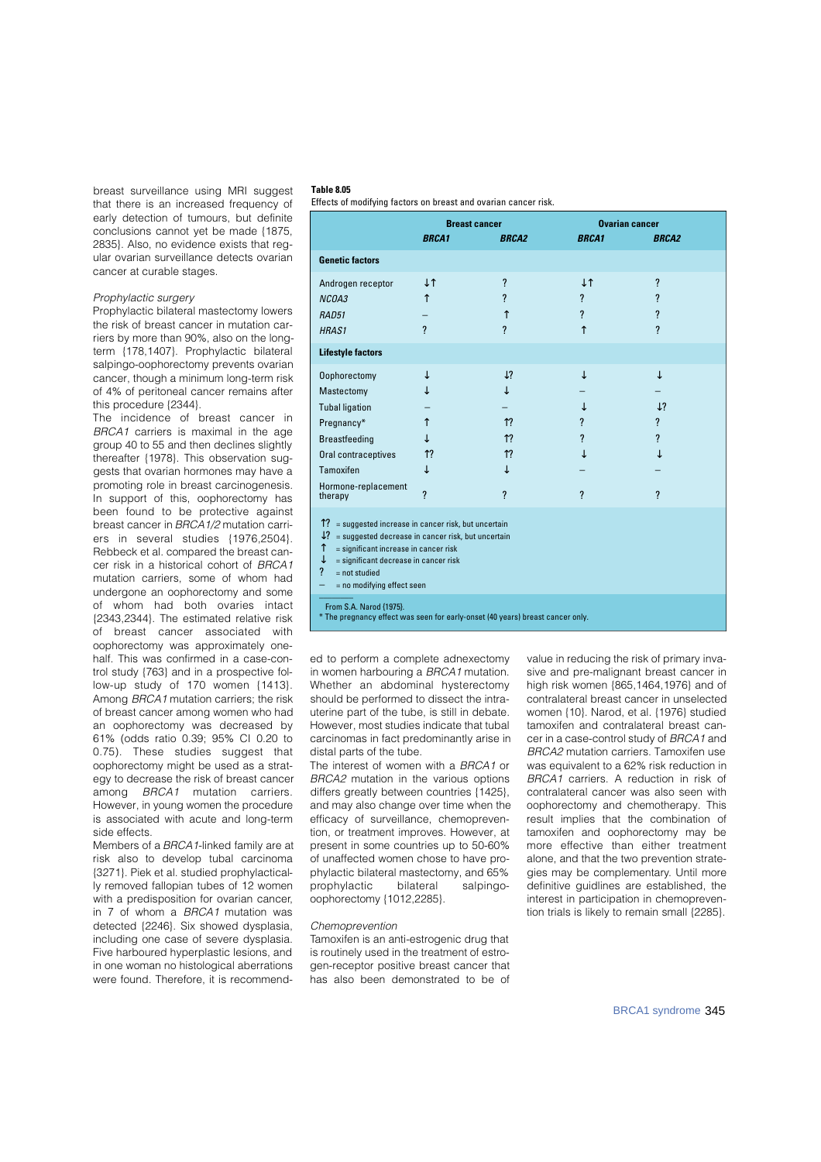breast surveillance using MRI suggest that there is an increased frequency of early detection of tumours, but definite conclusions cannot yet be made {1875, 2835}. Also, no evidence exists that regular ovarian surveillance detects ovarian cancer at curable stages.

## Prophylactic surgery

Prophylactic bilateral mastectomy lowers the risk of breast cancer in mutation carriers by more than 90%, also on the longterm {178,1407}. Prophylactic bilateral salpingo-oophorectomy prevents ovarian cancer, though a minimum long-term risk of 4% of peritoneal cancer remains after this procedure {2344}.

The incidence of breast cancer in BRCA1 carriers is maximal in the age group 40 to 55 and then declines slightly thereafter {1978}. This observation suggests that ovarian hormones may have a promoting role in breast carcinogenesis. In support of this, oophorectomy has been found to be protective against breast cancer in BRCA1/2 mutation carriers in several studies {1976,2504}. Rebbeck et al. compared the breast cancer risk in a historical cohort of BRCA1 mutation carriers, some of whom had undergone an oophorectomy and some of whom had both ovaries intact {2343,2344}. The estimated relative risk of breast cancer associated with oophorectomy was approximately onehalf. This was confirmed in a case-control study {763} and in a prospective follow-up study of 170 women {1413}. Among BRCA1 mutation carriers; the risk of breast cancer among women who had an oophorectomy was decreased by 61% (odds ratio 0.39; 95% CI 0.20 to 0.75). These studies suggest that oophorectomy might be used as a strategy to decrease the risk of breast cancer among BRCA1 mutation carriers. However, in young women the procedure is associated with acute and long-term side effects.

Members of a BRCA1-linked family are at risk also to develop tubal carcinoma {3271}. Piek et al. studied prophylactically removed fallopian tubes of 12 women with a predisposition for ovarian cancer, in 7 of whom a BRCA1 mutation was detected {2246}. Six showed dysplasia, including one case of severe dysplasia. Five harboured hyperplastic lesions, and in one woman no histological aberrations were found. Therefore, it is recommend-

#### **Table 8.05**

Effects of modifying factors on breast and ovarian cancer risk.

|                                                                                                                                                                                                                                                           | <b>Breast cancer</b>     |                          | <b>Ovarian cancer</b>    |                         |  |
|-----------------------------------------------------------------------------------------------------------------------------------------------------------------------------------------------------------------------------------------------------------|--------------------------|--------------------------|--------------------------|-------------------------|--|
|                                                                                                                                                                                                                                                           | <b>BRCA1</b>             | <b>BRCA2</b>             | <b>BRCA1</b>             | <b>BRCA2</b>            |  |
| <b>Genetic factors</b>                                                                                                                                                                                                                                    |                          |                          |                          |                         |  |
| Androgen receptor                                                                                                                                                                                                                                         |                          | $\overline{\mathcal{L}}$ |                          | $\overline{\mathbf{?}}$ |  |
| NCOA3                                                                                                                                                                                                                                                     |                          | $\overline{\mathcal{C}}$ | $\overline{\mathbf{?}}$  | ?                       |  |
| RAD51                                                                                                                                                                                                                                                     |                          |                          | $\boldsymbol{\eta}$      | ?                       |  |
| HRAS1                                                                                                                                                                                                                                                     | ?                        | ?                        |                          | ?                       |  |
| <b>Lifestyle factors</b>                                                                                                                                                                                                                                  |                          |                          |                          |                         |  |
| Oophorectomy                                                                                                                                                                                                                                              |                          | ?                        |                          |                         |  |
| Mastectomy                                                                                                                                                                                                                                                |                          |                          |                          |                         |  |
| <b>Tubal ligation</b>                                                                                                                                                                                                                                     |                          |                          |                          | $\boldsymbol{\eta}$     |  |
| Pregnancy*                                                                                                                                                                                                                                                |                          | $\overline{\mathcal{L}}$ | $\overline{\mathcal{L}}$ | $\overline{\mathbf{?}}$ |  |
| <b>Breastfeeding</b>                                                                                                                                                                                                                                      |                          | ?                        | ?                        | ?                       |  |
| Oral contraceptives                                                                                                                                                                                                                                       | ?                        | ?                        |                          |                         |  |
| Tamoxifen                                                                                                                                                                                                                                                 |                          |                          |                          |                         |  |
| Hormone-replacement<br>therapy                                                                                                                                                                                                                            | $\overline{\mathcal{L}}$ | ?                        | $\boldsymbol{\eta}$      | $\boldsymbol{\eta}$     |  |
| ?<br>= suggested increase in cancer risk, but uncertain<br>$?$ = suggested decrease in cancer risk, but uncertain<br>= significant increase in cancer risk<br>= significant decrease in cancer risk<br>?<br>$=$ not studied<br>= no modifying effect seen |                          |                          |                          |                         |  |
| From S.A. Narod {1975}.<br>* The pregnancy effect was seen for early-onset (40 years) breast cancer only.                                                                                                                                                 |                          |                          |                          |                         |  |

ed to perform a complete adnexectomy in women harbouring a **BRCA1** mutation. Whether an abdominal hysterectomy should be performed to dissect the intrauterine part of the tube, is still in debate. However, most studies indicate that tubal carcinomas in fact predominantly arise in distal parts of the tube.

The interest of women with a BRCA1 or BRCA2 mutation in the various options differs greatly between countries {1425}, and may also change over time when the efficacy of surveillance, chemoprevention, or treatment improves. However, at present in some countries up to 50-60% of unaffected women chose to have prophylactic bilateral mastectomy, and 65% p rophylactic bilateral salpingooophorectomy {1012,2285}.

#### Chemoprevention

Tamoxifen is an anti-estrogenic drug that is routinely used in the treatment of estrogen-receptor positive breast cancer that has also been demonstrated to be of

value in reducing the risk of primary invasive and pre-malignant breast cancer in high risk women {865,1464,1976} and of contralateral breast cancer in unselected women {10}. Narod, et al. {1976} studied tamoxifen and contralateral breast cancer in a case-control study of BRCA1 and BRCA2 mutation carriers. Tamoxifen use was equivalent to a 62% risk reduction in BRCA1 carriers. A reduction in risk of contralateral cancer was also seen with oophorectomy and chemotherapy. This result implies that the combination of tamoxifen and oophorectomy may be more effective than either treatment alone, and that the two prevention strategies may be complementary. Until more definitive guidlines are established, the interest in participation in chemoprevention trials is likely to remain small {2285}.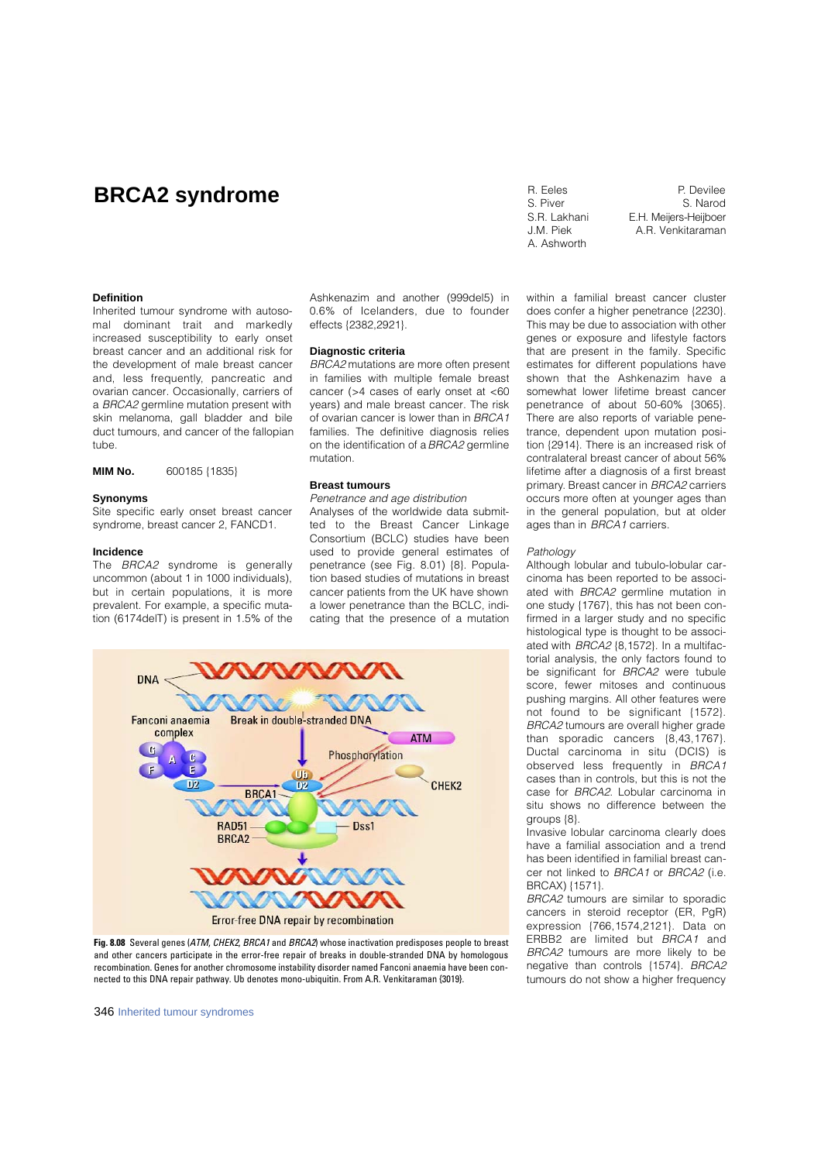## **BRCA2 syndrome** R. Eeles

S. Piver S.R. Lakhani J.M. Piek A. Ashworth

P. Devilee S. Narod E.H. Meijers-Heijboer A.R. Venkitaraman

## **Definition**

Inherited tumour syndrome with autosomal dominant trait and markedly increased susceptibility to early onset breast cancer and an additional risk for the development of male breast cancer and, less frequently, pancreatic and ovarian cancer. Occasionally, carriers of a BRCA2 germline mutation present with skin melanoma, gall bladder and bile duct tumours, and cancer of the fallopian tube.

**MIM No.** 600185 {1835}

#### **Synonyms**

Site specific early onset breast cancer syndrome, breast cancer 2, FANCD1.

#### **Incidence**

The BRCA2 syndrome is generally uncommon (about 1 in 1000 individuals), but in certain populations, it is more prevalent. For example, a specific mutation (6174delT) is present in 1.5% of the

Ashkenazim and another (999del5) in 0.6% of Icelanders, due to founder effects {2382,2921}.

#### **Diagnostic criteria**

BRCA2 mutations are more often present in families with multiple female breast cancer (>4 cases of early onset at <60 years) and male breast cancer. The risk of ovarian cancer is lower than in BRCA1 families. The definitive diagnosis relies on the identification of a BRCA2 germline mutation.

## **Breast tumours**

Penetrance and age distribution

Analyses of the worldwide data submitted to the Breast Cancer Linkage Consortium (BCLC) studies have been used to provide general estimates of penetrance (see Fig. 8.01) {8}. Population based studies of mutations in breast cancer patients from the UK have shown a lower penetrance than the BCLC, indicating that the presence of a mutation



**Fig. 8.08** Several genes (ATM, CHEK2, BRCA1 and BRCA2) whose inactivation predisposes people to breast and other cancers participate in the error-free repair of breaks in double-stranded DNA by homologous recombination. Genes for another chromosome instability disorder named Fanconi anaemia have been connected to this DNA repair pathway. Ub denotes mono-ubiquitin. From A.R. Venkitaraman {3019}.

346 Inherited tumour syndromes

within a familial breast cancer cluster does confer a higher penetrance {2230}. This may be due to association with other genes or exposure and lifestyle factors that are present in the family. Specific estimates for different populations have shown that the Ashkenazim have a somewhat lower lifetime breast cancer penetrance of about 50-60% {3065}. There are also reports of variable penetrance, dependent upon mutation position {2914}. There is an increased risk of contralateral breast cancer of about 56% lifetime after a diagnosis of a first breast primary. Breast cancer in BRCA2 carriers occurs more often at younger ages than in the general population, but at older ages than in BRCA1 carriers.

## Pathology

Although lobular and tubulo-lobular carcinoma has been reported to be associated with BRCA2 germline mutation in one study {1767}, this has not been confirmed in a larger study and no specific histological type is thought to be associated with BRCA2 {8,1572}. In a multifactorial analysis, the only factors found to be significant for **BRCA2** were tubule score, fewer mitoses and continuous pushing margins. All other features were not found to be significant {1572}. BRCA2 tumours are overall higher grade than sporadic cancers {8,43,1767}. Ductal carcinoma in situ (DCIS) is observed less frequently in BRCA1 cases than in controls, but this is not the case for BRCA2. Lobular carcinoma in situ shows no difference between the groups {8}.

Invasive lobular carcinoma clearly does have a familial association and a trend has been identified in familial breast cancer not linked to BRCA1 or BRCA2 (i.e. BRCAX) {1571}.

BRCA2 tumours are similar to sporadic cancers in steroid receptor (ER, PgR) expression {766,1574,2121}. Data on ERBB2 are limited but BRCA1 and BRCA2 tumours are more likely to be negative than controls {1574}. BRCA2 tumours do not show a higher frequency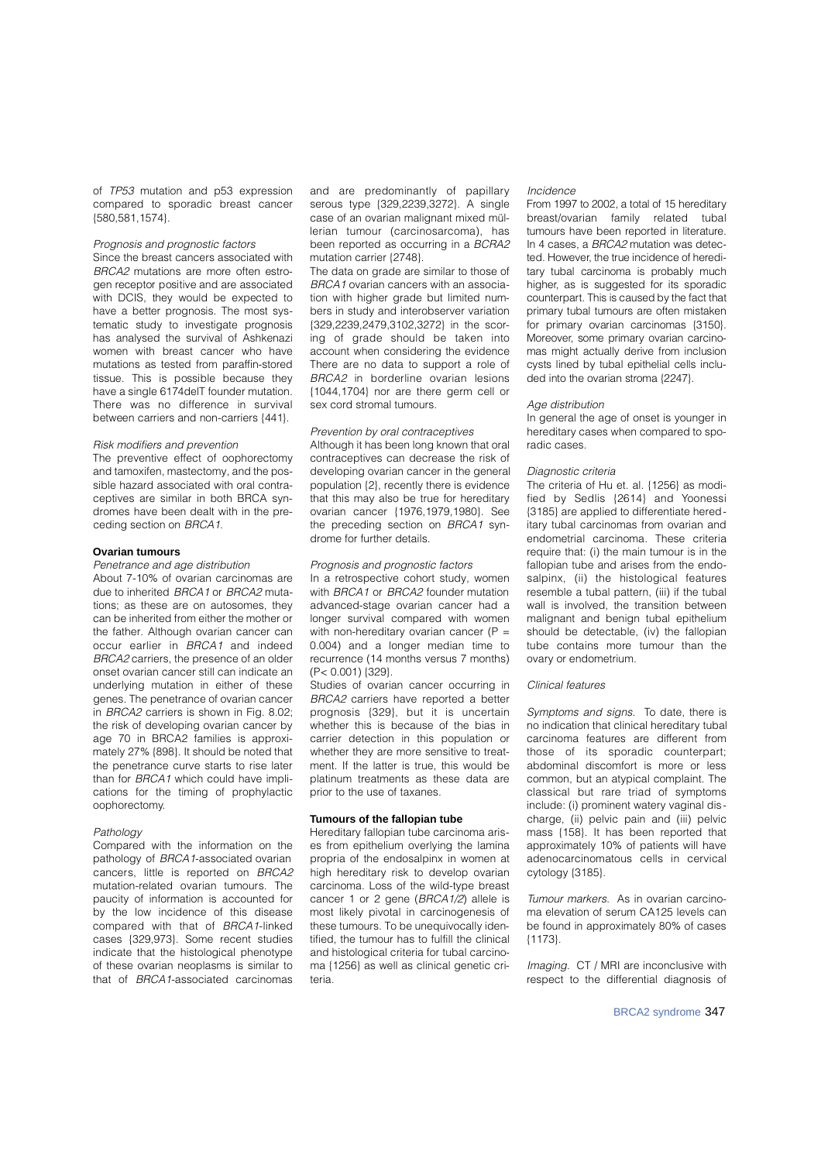of TP53 mutation and p53 expression compared to sporadic breast cancer {580,581,1574}.

## Prognosis and prognostic factors

Since the breast cancers associated with BRCA2 mutations are more often estrogen receptor positive and are associated with DCIS, they would be expected to have a better prognosis. The most systematic study to investigate prognosis has analysed the survival of Ashkenazi women with breast cancer who have mutations as tested from paraffin-stored tissue. This is possible because they have a single 6174delT founder mutation. There was no difference in survival between carriers and non-carriers {441}.

## Risk modifiers and prevention

The preventive effect of oophorectomy and tamoxifen, mastectomy, and the possible hazard associated with oral contraceptives are similar in both BRCA syndromes have been dealt with in the preceding section on BRCA1.

## **Ovarian tumours**

## Penetrance and age distribution

About 7-10% of ovarian carcinomas are due to inherited BRCA1 or BRCA2 mutations; as these are on autosomes, they can be inherited from either the mother or the father. Although ovarian cancer can occur earlier in **BRCA1** and indeed BRCA2 carriers, the presence of an older onset ovarian cancer still can indicate an underlying mutation in either of these genes. The penetrance of ovarian cancer in BRCA2 carriers is shown in Fig. 8.02; the risk of developing ovarian cancer by age 70 in BRCA2 families is approximately 27% {898}. It should be noted that the penetrance curve starts to rise later than for BRCA1 which could have implications for the timing of prophylactic oophorectomy.

#### Pathology

Compared with the information on the pathology of BRCA1-associated ovarian cancers, little is reported on BRCA2 mutation-related ovarian tumours. The paucity of information is accounted for by the low incidence of this disease compared with that of BRCA1-linked cases {329,973}. Some recent studies indicate that the histological phenotype of these ovarian neoplasms is similar to that of BRCA1-associated carcinomas

and are predominantly of papillary serous type {329,2239,3272}. A single case of an ovarian malignant mixed müllerian tumour (carcinosarcoma), has been reported as occurring in a BCRA2 mutation carrier {2748}.

The data on grade are similar to those of BRCA1 ovarian cancers with an association with higher grade but limited numbers in study and interobserver variation {329,2239,2479,3102,3272} in the scoring of grade should be taken into account when considering the evidence There are no data to support a role of BRCA2 in borderline ovarian lesions {1044,1704} nor are there germ cell or sex cord stromal tumours.

## Prevention by oral contraceptives

Although it has been long known that oral contraceptives can decrease the risk of developing ovarian cancer in the general population {2}, recently there is evidence that this may also be true for hereditary ovarian cancer {1976,1979,1980}. See the preceding section on BRCA1 syndrome for further details.

## Prognosis and prognostic factors

In a retrospective cohort study, women with BRCA1 or BRCA2 founder mutation advanced-stage ovarian cancer had a longer survival compared with women with non-hereditary ovarian cancer  $(P =$ 0.004) and a longer median time to recurrence (14 months versus 7 months) (P< 0.001) {329}.

Studies of ovarian cancer occurring in BRCA2 carriers have reported a better prognosis {329}, but it is uncertain whether this is because of the bias in carrier detection in this population or whether they are more sensitive to treatment. If the latter is true, this would be platinum treatments as these data are prior to the use of taxanes.

## **Tumours of the fallopian tube**

Hereditary fallopian tube carcinoma arises from epithelium overlying the lamina propria of the endosalpinx in women at high hereditary risk to develop ovarian carcinoma. Loss of the wild-type breast cancer 1 or 2 gene (BRCA1/2) allele is most likely pivotal in carcinogenesis of these tumours. To be unequivocally identified, the tumour has to fulfill the clinical and histological criteria for tubal carcinoma {1256} as well as clinical genetic criteria.

#### Incidence

From 1997 to 2002, a total of 15 hereditary b reast/ovarian family related tubal tumours have been reported in literature. In 4 cases, a BRCA2 mutation was detected. However, the true incidence of hereditary tubal carcinoma is probably much higher, as is suggested for its sporadic counterpart. This is caused by the fact that primary tubal tumours are often mistaken for primary ovarian carcinomas {3150}. Moreover, some primary ovarian carcinomas might actually derive from inclusion cysts lined by tubal epithelial cells included into the ovarian stroma {2247}.

#### Age distribution

In general the age of onset is younger in hereditary cases when compared to sporadic cases.

#### Diagnostic criteria

The criteria of Hu et. al. {1256} as modified by Sedlis {2614} and Yoonessi {3185} are applied to differentiate hereditary tubal carcinomas from ovarian and endometrial carcinoma. These criteria require that: (i) the main tumour is in the fallopian tube and arises from the endosalpinx, (ii) the histological features resemble a tubal pattern, (iii) if the tubal wall is involved, the transition between malignant and benign tubal epithelium should be detectable, (iv) the fallopian tube contains more tumour than the ovary or endometrium.

## Clinical features

Symptoms and signs. To date, there is no indication that clinical hereditary tubal carcinoma features are different from those of its sporadic counterpart: abdominal discomfort is more or less common, but an atypical complaint. The classical but rare triad of symptoms include: (i) prominent watery vaginal dis charge, (ii) pelvic pain and (iii) pelvic mass {158}. It has been reported that approximately 10% of patients will have adenocarcinomatous cells in cervical cytology {3185}.

Tumour markers. As in ovarian carcinoma elevation of serum CA125 levels can be found in approximately 80% of cases {1173}.

Imaging. CT / MRI are inconclusive with respect to the differential diagnosis of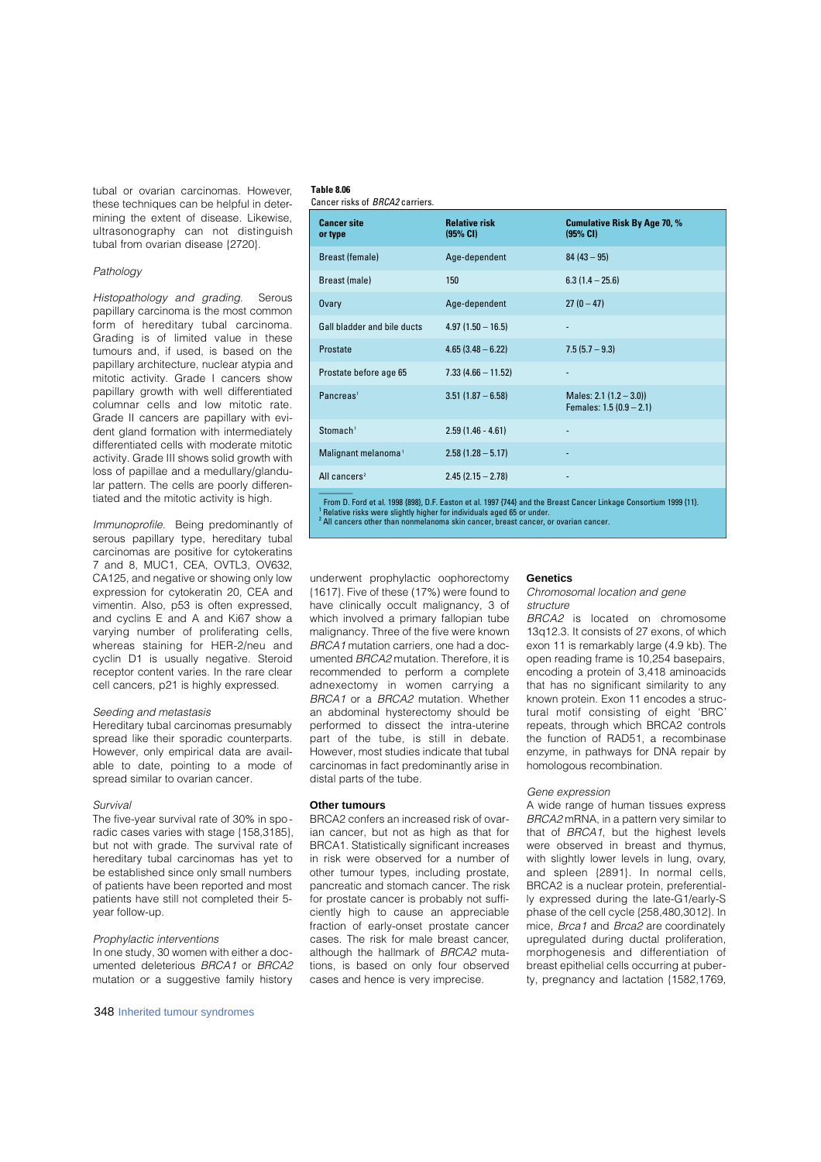tubal or ovarian carcinomas. However, these techniques can be helpful in determining the extent of disease. Likewise, ultrasonography can not distinguish tubal from ovarian disease {2720}.

## Pathology

Histopathology and grading. Serous papillary carcinoma is the most common form of hereditary tubal carcinoma. Grading is of limited value in these tumours and, if used, is based on the papillary architecture, nuclear atypia and mitotic activity. Grade I cancers show papillary growth with well differentiated columnar cells and low mitotic rate. Grade II cancers are papillary with evident gland formation with intermediately differentiated cells with moderate mitotic activity. Grade III shows solid growth with loss of papillae and a medullary/glandular pattern. The cells are poorly differentiated and the mitotic activity is high.

Immunoprofile. Being predominantly of serous papillary type, hereditary tubal carcinomas are positive for cytokeratins 7 and 8, MUC1, CEA, OVTL3, OV632, CA125, and negative or showing only low expression for cytokeratin 20, CEA and vimentin. Also, p53 is often expressed, and cyclins E and A and Ki67 show a varying number of proliferating cells. whereas staining for HER-2/neu and cyclin D1 is usually negative. Steroid receptor content varies. In the rare clear cell cancers, p21 is highly expressed.

#### Seeding and metastasis

Hereditary tubal carcinomas presumably spread like their sporadic counterparts. However, only empirical data are available to date, pointing to a mode of spread similar to ovarian cancer.

#### Survival

The five-year survival rate of 30% in sporadic cases varies with stage {158,3185}, but not with grade. The survival rate of hereditary tubal carcinomas has yet to be established since only small numbers of patients have been reported and most patients have still not completed their 5 year follow-up.

#### Prophylactic interventions

In one study, 30 women with either a documented deleterious BRCA1 or BRCA2 mutation or a suggestive family history

## **Table 8.06**

|  | Cancer risks of BRCA2 carriers. |
|--|---------------------------------|
|--|---------------------------------|

| <b>Cancer site</b><br>or type   | <b>Relative risk</b><br>(95% CI) | <b>Cumulative Risk By Age 70, %</b><br>(95% CI)      |
|---------------------------------|----------------------------------|------------------------------------------------------|
| <b>Breast (female)</b>          | Age-dependent                    | $84(43-95)$                                          |
| Breast (male)                   | 150                              | $6.3(1.4 - 25.6)$                                    |
| <b>Ovary</b>                    | Age-dependent                    | $27(0-47)$                                           |
| Gall bladder and bile ducts     | $4.97(1.50 - 16.5)$              |                                                      |
| Prostate                        | $4.65(3.48-6.22)$                | $7.5(5.7 - 9.3)$                                     |
| Prostate before age 65          | $7.33(4.66 - 11.52)$             | ٠                                                    |
| Pancreas <sup>1</sup>           | $3.51(1.87 - 6.58)$              | Males: $2.1(1.2 - 3.0)$<br>Females: $1.5(0.9 - 2.1)$ |
| Stomach <sup>1</sup>            | $2.59(1.46 - 4.61)$              | ۰                                                    |
| Malignant melanoma <sup>1</sup> | $2.58(1.28 - 5.17)$              | ٠                                                    |
| All cancers <sup>2</sup>        | $2.45(2.15 - 2.78)$              | ٠                                                    |

From D. Ford et al. 1998 {898}, D.F. Easton et al. 1997 {744} and the Breast Cancer Linkage Consortium 1999 {11}. <sup>1</sup> Relative risks were slightly higher for individuals aged 65 or under.<br><sup>2</sup> All cancers other than nonmelanoma skin cancer, breast cancer, or ovarian cancer.

underwent prophylactic oophorectomy {1617}. Five of these (17%) were found to have clinically occult malignancy, 3 of which involved a primary fallopian tube malignancy. Three of the five were known BRCA1 mutation carriers, one had a documented BRCA2 mutation. Therefore, it is recommended to perform a complete adnexectomy in women carrying a BRCA1 or a BRCA2 mutation. Whether an abdominal hysterectomy should be performed to dissect the intra-uterine part of the tube, is still in debate. However, most studies indicate that tubal carcinomas in fact predominantly arise in distal parts of the tube.

## **Other tumours**

BRCA2 confers an increased risk of ovarian cancer, but not as high as that for BRCA1. Statistically significant increases in risk were observed for a number of other tumour types, including prostate, pancreatic and stomach cancer. The risk for prostate cancer is probably not sufficiently high to cause an appreciable fraction of early-onset prostate cancer cases. The risk for male breast cancer, although the hallmark of BRCA2 mutations, is based on only four observed cases and hence is very imprecise.

#### **Genetics**

Chromosomal location and gene structure

BRCA2 is located on chromosome 13q12.3. It consists of 27 exons, of which exon 11 is remarkably large (4.9 kb). The open reading frame is 10,254 basepairs, encoding a protein of 3,418 aminoacids that has no significant similarity to any known protein. Exon 11 encodes a structural motif consisting of eight 'BRC' repeats, through which BRCA2 controls the function of RAD51, a recombinase enzyme, in pathways for DNA repair by homologous recombination.

#### Gene expression

A wide range of human tissues express BRCA2 mRNA, in a pattern very similar to that of BRCA1, but the highest levels were observed in breast and thymus, with slightly lower levels in lung, ovary, and spleen {2891}. In normal cells, BRCA2 is a nuclear protein, preferentially expressed during the late-G1/early-S phase of the cell cycle {258,480,3012}. In mice, Brca1 and Brca2 are coordinately upregulated during ductal proliferation, morphogenesis and differentiation of breast epithelial cells occurring at puberty, pregnancy and lactation {1582,1769,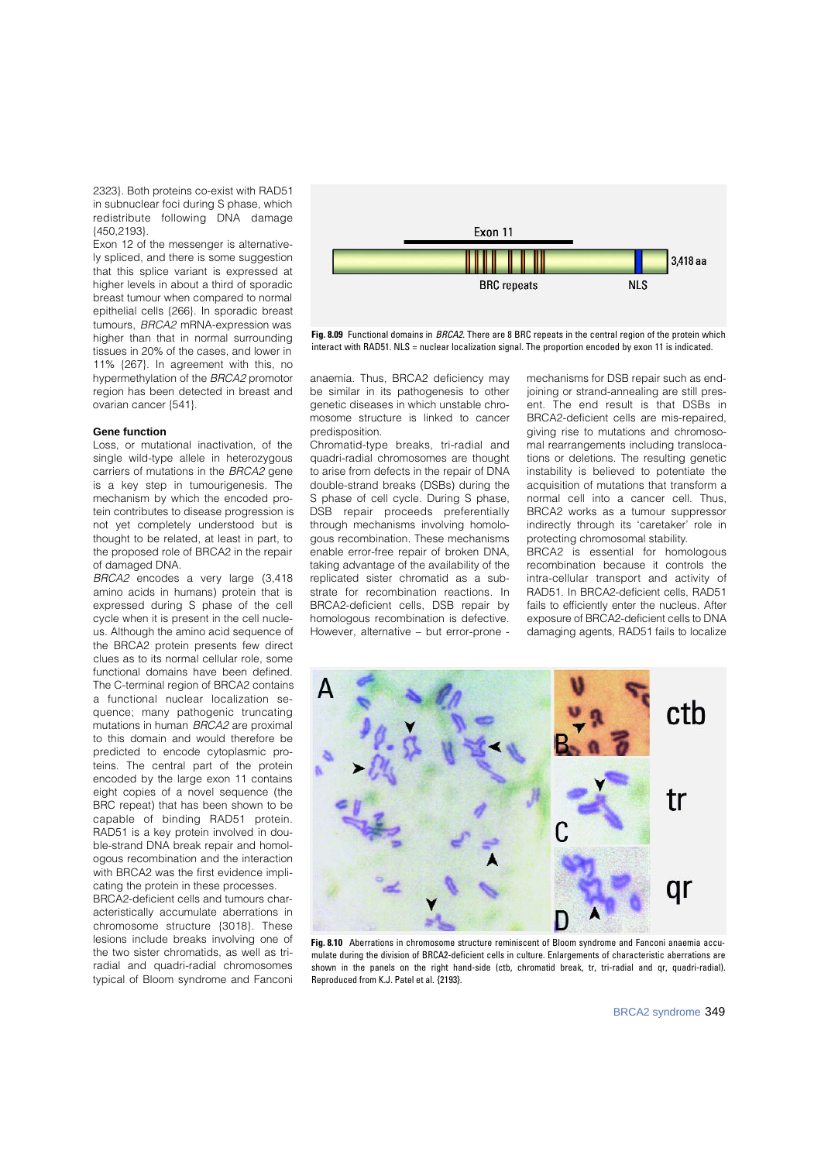2323}. Both proteins co-exist with RAD51 in subnuclear foci during S phase, which redistribute following DNA damage {450,2193}.

Exon 12 of the messenger is alternatively spliced, and there is some suggestion that this splice variant is expressed at higher levels in about a third of sporadic breast tumour when compared to normal epithelial cells {266}. In sporadic breast tumours, BRCA2 mRNA-expression was higher than that in normal surrounding tissues in 20% of the cases, and lower in 11% {267}. In agreement with this, no hypermethylation of the BRCA2 promotor region has been detected in breast and ovarian cancer {541}.

#### **Gene function**

Loss, or mutational inactivation, of the single wild-type allele in heterozygous carriers of mutations in the BRCA2 gene is a key step in tumourigenesis. The mechanism by which the encoded protein contributes to disease progression is not yet completely understood but is thought to be related, at least in part, to the proposed role of BRCA2 in the repair of damaged DNA.

BRCA2 encodes a very large (3,418 amino acids in humans) protein that is expressed during S phase of the cell cycle when it is present in the cell nucleus. Although the amino acid sequence of the BRCA2 protein presents few direct clues as to its normal cellular role, some functional domains have been defined. The C-terminal region of BRCA2 contains a functional nuclear localization sequence; many pathogenic truncating mutations in human BRCA2 are proximal to this domain and would therefore be predicted to encode cytoplasmic proteins. The central part of the protein encoded by the large exon 11 contains eight copies of a novel sequence (the BRC repeat) that has been shown to be capable of binding RAD51 protein. RAD51 is a key protein involved in double-strand DNA break repair and homologous recombination and the interaction with BBCA2 was the first evidence implicating the protein in these processes.

BRCA2-deficient cells and tumours characteristically accumulate aberrations in chromosome structure {3018}. These lesions include breaks involving one of the two sister chromatids, as well as triradial and quadri-radial chromosomes typical of Bloom syndrome and Fanconi



**Fig. 8.09** Functional domains in BRCA2. There are 8 BRC repeats in the central region of the protein which interact with RAD51. NLS = nuclear localization signal. The proportion encoded by exon 11 is indicated.

anaemia. Thus, BRCA2 deficiency may be similar in its pathogenesis to other genetic diseases in which unstable chromosome structure is linked to cancer predisposition.

Chromatid-type breaks, tri-radial and quadri-radial chromosomes are thought to arise from defects in the repair of DNA double-strand breaks (DSBs) during the S phase of cell cycle. During S phase, DSB repair proceeds preferentially through mechanisms involving homologous recombination. These mechanisms enable error-free repair of broken DNA, taking advantage of the availability of the replicated sister chromatid as a substrate for recombination reactions. In BRCA2-deficient cells, DSB repair by homologous recombination is defective. However, alternative – but error-prone - mechanisms for DSB repair such as endjoining or strand-annealing are still present. The end result is that DSBs in BRCA2-deficient cells are mis-repaired, giving rise to mutations and chromosomal rearrangements including translocations or deletions. The resulting genetic instability is believed to potentiate the acquisition of mutations that transform a normal cell into a cancer cell. Thus, BRCA2 works as a tumour suppressor indirectly through its 'caretaker' role in protecting chromosomal stability.

BRCA2 is essential for homologous recombination because it controls the intra-cellular transport and activity of RAD51. In BRCA2-deficient cells, RAD51 fails to efficiently enter the nucleus. After exposure of BRCA2-deficient cells to DNA damaging agents, RAD51 fails to localize



**Fig. 8.10** Aberrations in chromosome structure reminiscent of Bloom syndrome and Fanconi anaemia accumulate during the division of BRCA2-deficient cells in culture. Enlargements of characteristic aberrations are shown in the panels on the right hand-side (ctb, chromatid break, tr, tri-radial and qr, quadri-radial). Reproduced from K.J. Patel et al. {2193}.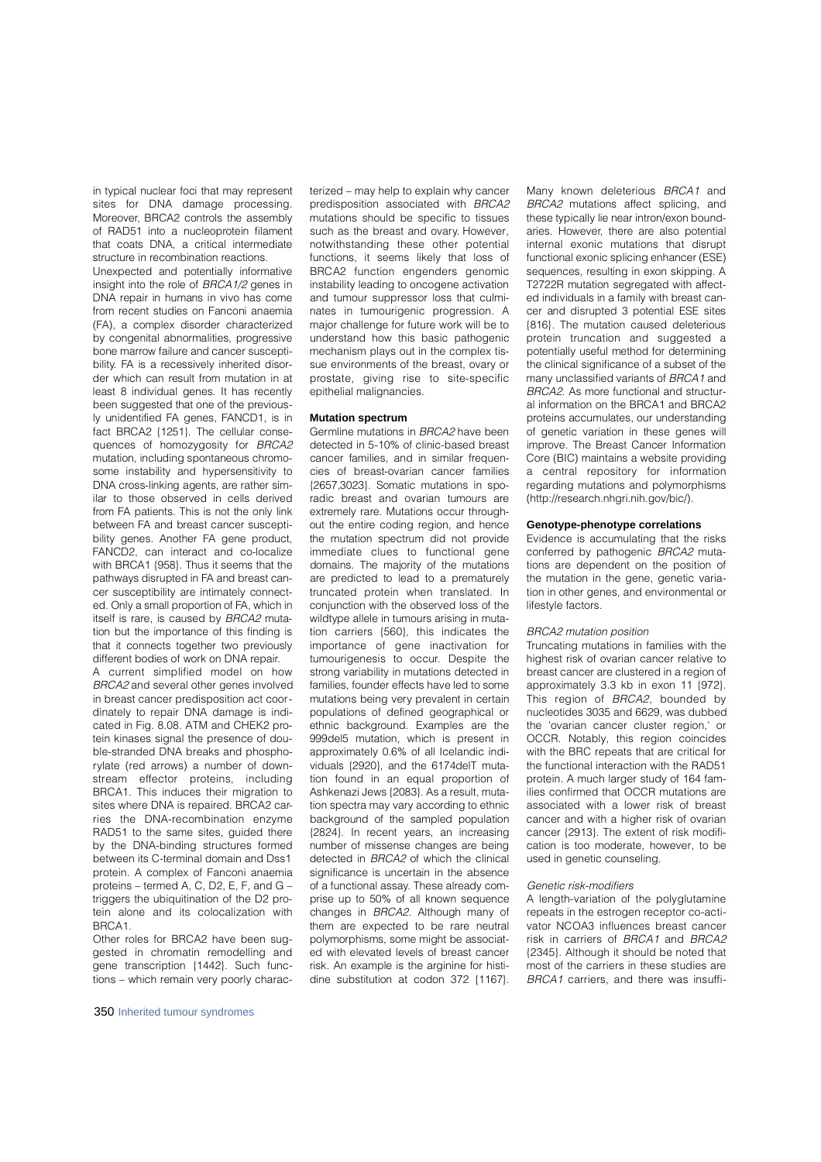in typical nuclear foci that may represent sites for DNA damage processing. Moreover, BRCA2 controls the assembly of RAD51 into a nucleoprotein filament that coats DNA, a critical intermediate structure in recombination reactions.

Unexpected and potentially informative insight into the role of BRCA1/2 genes in DNA repair in humans in vivo has come from recent studies on Fanconi anaemia ( FA), a complex disorder characterized by congenital abnormalities, progressive bone marrow failure and cancer susceptibility. FA is a recessively inherited disorder which can result from mutation in at least 8 individual genes. It has recently been suggested that one of the previously unidentified FA genes, FANCD1, is in fact BRCA2 {1251}. The cellular consequences of homozygosity for BRCA2 mutation, including spontaneous chromosome instability and hypersensitivity to DNA cross-linking agents, are rather similar to those observed in cells derived from FA patients. This is not the only link between FA and breast cancer susceptibility genes. Another FA gene product, FANCD2, can interact and co-localize with BRCA1 {958}. Thus it seems that the pathways disrupted in FA and breast cancer susceptibility are intimately connected. Only a small proportion of FA, which in itself is rare, is caused by BRCA2 mutation but the importance of this finding is that it connects together two previously different bodies of work on DNA repair.

A current simplified model on how BRCA2 and several other genes involved in breast cancer predisposition act coordinately to repair DNA damage is indicated in Fig. 8.08. ATM and CHEK2 protein kinases signal the presence of double-stranded DNA breaks and phosphorylate (red arrows) a number of downstream effector proteins, including BRCA1. This induces their migration to sites where DNA is repaired. BRCA2 carries the DNA-recombination enzyme RAD51 to the same sites, guided there by the DNA-binding structures formed between its C-terminal domain and Dss1 protein. A complex of Fanconi anaemia proteins – termed A, C, D2, E, F, and G – triggers the ubiquitination of the D2 protein alone and its colocalization with BRCA1.

Other roles for BRCA2 have been suggested in chromatin remodelling and gene transcription {1442}. Such functions – which remain very poorly characterized – may help to explain why cancer predisposition associated with BRCA2 mutations should be specific to tissues such as the breast and ovary. However, notwithstanding these other potential functions, it seems likely that loss of BRCA2 function engenders genomic instability leading to oncogene activation and tumour suppressor loss that culminates in tumourigenic progression. A major challenge for future work will be to understand how this basic pathogenic mechanism plays out in the complex tissue environments of the breast, ovary or prostate, giving rise to site-specific epithelial malignancies.

## **Mutation spectrum**

Germline mutations in BRCA2 have been detected in 5-10% of clinic-based breast cancer families, and in similar frequencies of breast-ovarian cancer families {2657,3023}. Somatic mutations in sporadic breast and ovarian tumours are extremely rare. Mutations occur throughout the entire coding region, and hence the mutation spectrum did not provide immediate clues to functional gene domains. The majority of the mutations are predicted to lead to a prematurely truncated protein when translated. In conjunction with the observed loss of the wildtype allele in tumours arising in mutation carriers {560}, this indicates the importance of gene inactivation for tumourigenesis to occur. Despite the strong variability in mutations detected in families, founder effects have led to some mutations being very prevalent in certain populations of defined geographical or ethnic background. Examples are the 999del5 mutation, which is present in approximately 0.6% of all Icelandic individuals {2920}, and the 6174delT mutation found in an equal proportion of Ashkenazi Jews {2083}. As a result, mutation spectra may vary according to ethnic b a c k a round of the sampled population {2824}. In recent years, an increasing number of missense changes are being detected in BRCA2 of which the clinical significance is uncertain in the absence of a functional assay. These already comprise up to 50% of all known sequence changes in BRCA2. Although many of them are expected to be rare neutral polymorphisms, some might be associated with elevated levels of breast cancer risk. An example is the arginine for histidine substitution at codon 372 {1167}. Many known deleterious BRCA1 and BRCA2 mutations affect splicing, and these typically lie near intron/exon boundaries. However, there are also potential internal exonic mutations that disrupt functional exonic splicing enhancer (ESE) sequences, resulting in exon skipping. A T2722R mutation segregated with affected individuals in a family with breast cancer and disrupted 3 potential ESE sites {816}. The mutation caused deleterious protein truncation and suggested a potentially useful method for determining the clinical significance of a subset of the many unclassified variants of BRCA1 and BRCA2. As more functional and structural information on the BRCA1 and BRCA2 p roteins accumulates, our understanding of genetic variation in these genes will improve. The Breast Cancer Information Core (BIC) maintains a website providing a central repository for information regarding mutations and polymorphisms (http://research.nhgri.nih.gov/bic/).

## **Genotype-phenotype correlations**

Evidence is accumulating that the risks conferred by pathogenic BRCA2 mutations are dependent on the position of the mutation in the gene, genetic variation in other genes, and environmental or lifestyle factors.

#### BRCA2 mutation position

Truncating mutations in families with the highest risk of ovarian cancer relative to breast cancer are clustered in a region of approximately 3.3 kb in exon 11 {972}. This region of BRCA2, bounded by nucleotides 3035 and 6629, was dubbed the 'ovarian cancer cluster region,' or OCCR. Notably, this region coincides with the BRC repeats that are critical for the functional interaction with the RAD51 protein. A much larger study of 164 families confirmed that OCCR mutations are associated with a lower risk of breast cancer and with a higher risk of ovarian cancer {2913}. The extent of risk modification is too moderate, however, to be used in genetic counseling.

#### Genetic risk-modifiers

A length-variation of the polyglutamine repeats in the estrogen receptor co-activator NCOA3 influences breast cancer risk in carriers of BRCA1 and BRCA2 {2345}. Although it should be noted that most of the carriers in these studies are BRCA1 carriers, and there was insuffi-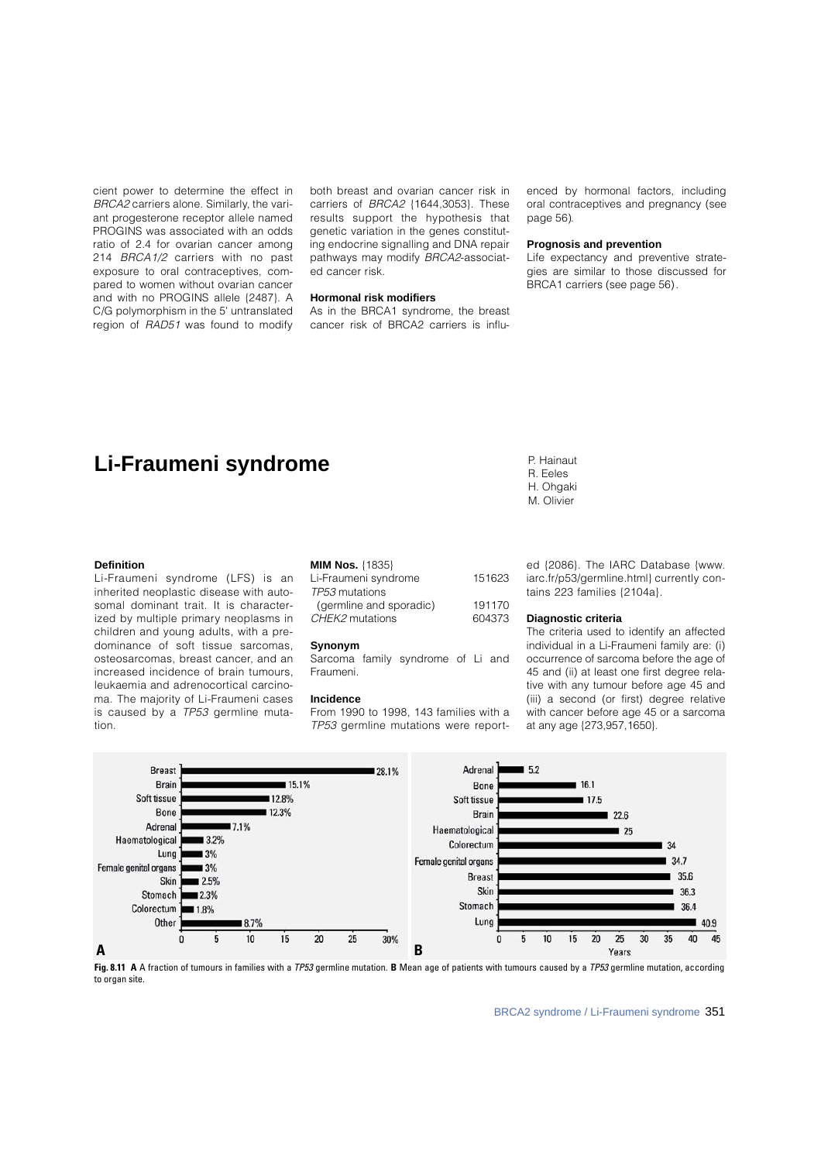cient power to determine the effect in BRCA2 carriers alone. Similarly, the variant progesterone receptor allele named PROGINS was associated with an odds ratio of 2.4 for ovarian cancer among 214 BRCA1/2 carriers with no past exposure to oral contraceptives, compared to women without ovarian cancer and with no PROGINS allele {2487}. A C/G polymorphism in the 5' untranslated region of RAD51 was found to modify

both breast and ovarian cancer risk in carriers of BRCA2 {1644,3053}. These results support the hypothesis that genetic variation in the genes constituting endocrine signalling and DNA repair pathways may modify BRCA2-associated cancer risk.

## **Hormonal risk modifiers**

As in the BRCA1 syndrome, the breast cancer risk of BRCA2 carriers is influenced by hormonal factors, including oral contraceptives and pregnancy (see page 56).

#### **Prognosis and prevention**

Life expectancy and preventive strategies are similar to those discussed for BRCA1 carriers (see page 56).

# **Li-Fraumeni syndrome** P. Hainaut

#### **Definition**

Li-Fraumeni syndrome (LFS) is an inherited neoplastic disease with autosomal dominant trait. It is characterized by multiple primary neoplasms in children and young adults, with a predominance of soft tissue sarcomas, osteosarcomas, breast cancer, and an increased incidence of brain tumours leukaemia and adrenocortical carcinoma. The majority of Li-Fraumeni cases is caused by a TP53 germline muta $tion$ 

| <b>MIM Nos. {1835}</b> |  |
|------------------------|--|
|------------------------|--|

| Li-Fraumeni syndrome    | 151623 |
|-------------------------|--------|
| TP53 mutations          |        |
| (germline and sporadic) | 191170 |
| CHEK2 mutations         | 604373 |
|                         |        |

#### **Synonym**

Sarcoma family syndrome of Li and Fraumeni.

#### **Incidence**

From 1990 to 1998, 143 families with a TP53 germline mutations were report-

ed {2086}. The IARC Database {www. iarc.fr/p53/germline.html} currently contains 223 families {2104a}.

#### **Diagnostic criteria**

R. Eeles H. Ohgaki M. Olivier

The criteria used to identify an affected individual in a Li-Fraumeni family are: (i) occurrence of sarcoma before the age of 45 and (ii) at least one first degree relative with any tumour before age 45 and (iii) a second (or first) degree relative with cancer before age 45 or a sarcoma at any age {273,957,1650}.



**Fig. 8.11 A** A fraction of tumours in families with a TP53 germline mutation. **B** Mean age of patients with tumours caused by a TP53 germline mutation, according to organ site.

BRCA2 syndrome / Li-Fraumeni syndrome 351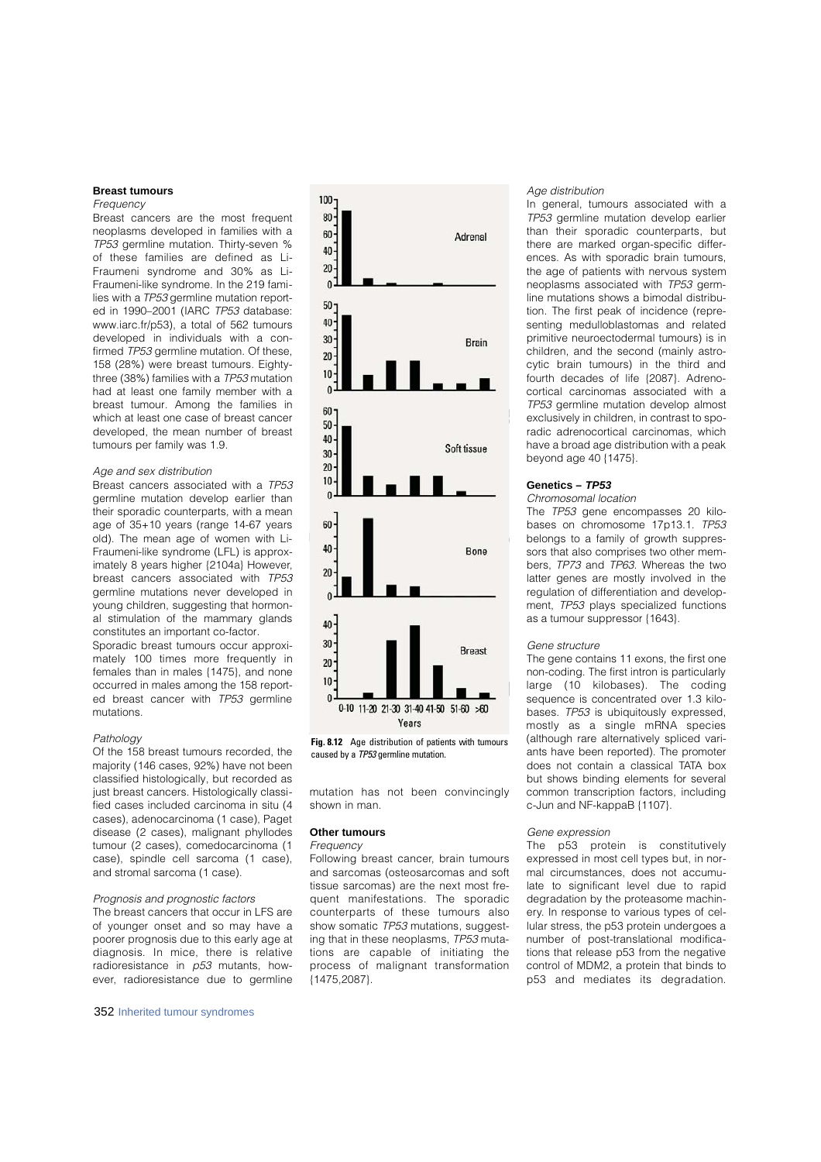## **Breast tumours**

## Frequency

Breast cancers are the most frequent neoplasms developed in families with a TP53 germline mutation. Thirty-seven % of these families are defined as Li-Fraumeni syndrome and 30% as Li-Fraumeni-like syndrome. In the 219 families with a TP53 germline mutation reported in 1990–2001 (IARC TP53 database: www.iarc.fr/p53), a total of 562 tumours developed in individuals with a confirmed TP53 germline mutation. Of these, 158 (28%) were breast tumours. Eightythree (38%) families with a TP53 mutation had at least one family member with a breast tumour. Among the families in which at least one case of breast cancer developed, the mean number of breast tumours per family was 1.9.

#### Age and sex distribution

Breast cancers associated with a TP53 germline mutation develop earlier than their sporadic counterparts, with a mean age of 35+10 years (range 14-67 years old). The mean age of women with Li-Fraumeni-like syndrome (LFL) is approximately 8 years higher {2104a} However, breast cancers associated with TP53 germline mutations never developed in young children, suggesting that hormonal stimulation of the mammary glands constitutes an important co-factor.

Sporadic breast tumours occur approximately 100 times more frequently in females than in males {1475}, and none occurred in males among the 158 reported breast cancer with TP53 germline mutations.

#### Pathology

Of the 158 breast tumours recorded, the majority (146 cases, 92%) have not been classified histologically, but recorded as just breast cancers. Histologically classified cases included carcinoma in situ (4 cases), adenocarcinoma (1 case), Paget disease (2 cases), malignant phyllodes tumour (2 cases), comedocarcinoma (1 case), spindle cell sarcoma (1 case), and stromal sarcoma (1 case).

#### Prognosis and prognostic factors

The breast cancers that occur in LFS are of younger onset and so may have a poorer prognosis due to this early age at diagnosis. In mice, there is relative radioresistance in  $p53$  mutants, however, radioresistance due to germline

352 Inherited tumour syndromes



**Fig. 8.12** Age distribution of patients with tumours caused by a TP53 germline mutation.

mutation has not been convincingly shown in man.

#### **Other tumours**

#### **Frequency**

Following breast cancer, brain tumours and sarcomas (osteosarcomas and soft tissue sarcomas) are the next most frequent manifestations. The sporadic counterparts of these tumours also show somatic TP53 mutations, suggesting that in these neoplasms, TP53 mutations are capable of initiating the process of malignant transformation  ${1475,2087}.$ 

## Age distribution

In general, tumours associated with a TP53 germline mutation develop earlier than their sporadic counterparts, but there are marked organ-specific differences. As with sporadic brain tumours, the age of patients with nervous system neoplasms associated with TP53 germline mutations shows a bimodal distribution. The first peak of incidence (representing medulloblastomas and related primitive neuroectodermal tumours) is in children, and the second (mainly astrocytic brain tumours) in the third and fourth decades of life {2087}. Adrenocortical carcinomas associated with a TP53 germline mutation develop almost exclusively in children, in contrast to sporadic adrenocortical carcinomas, which have a broad age distribution with a peak beyond age 40 {1475}.

## **Genetics –** *TP53*

#### Chromosomal location

The TP53 gene encompasses 20 kilobases on chromosome 17p13.1. TP53 belongs to a family of growth suppressors that also comprises two other members, TP73 and TP63. Whereas the two latter genes are mostly involved in the regulation of differentiation and development, TP53 plays specialized functions as a tumour suppressor {1643}.

### Gene structure

The gene contains 11 exons, the first one non-coding. The first intron is particularly large (10 kilobases). The coding sequence is concentrated over 1.3 kilobases. TP53 is ubiquitously expressed, mostly as a single mRNA species (although rare alternatively spliced variants have been reported). The promoter does not contain a classical TATA box but shows binding elements for several common transcription factors, including c-Jun and NF-kappaB {1107}.

#### Gene expression

The p53 protein is constitutively expressed in most cell types but, in normal circumstances, does not accumulate to significant level due to rapid degradation by the proteasome machinery. In response to various types of cellular stress, the p53 protein undergoes a number of post-translational modifications that release p53 from the negative control of MDM2, a protein that binds to p53 and mediates its degradation.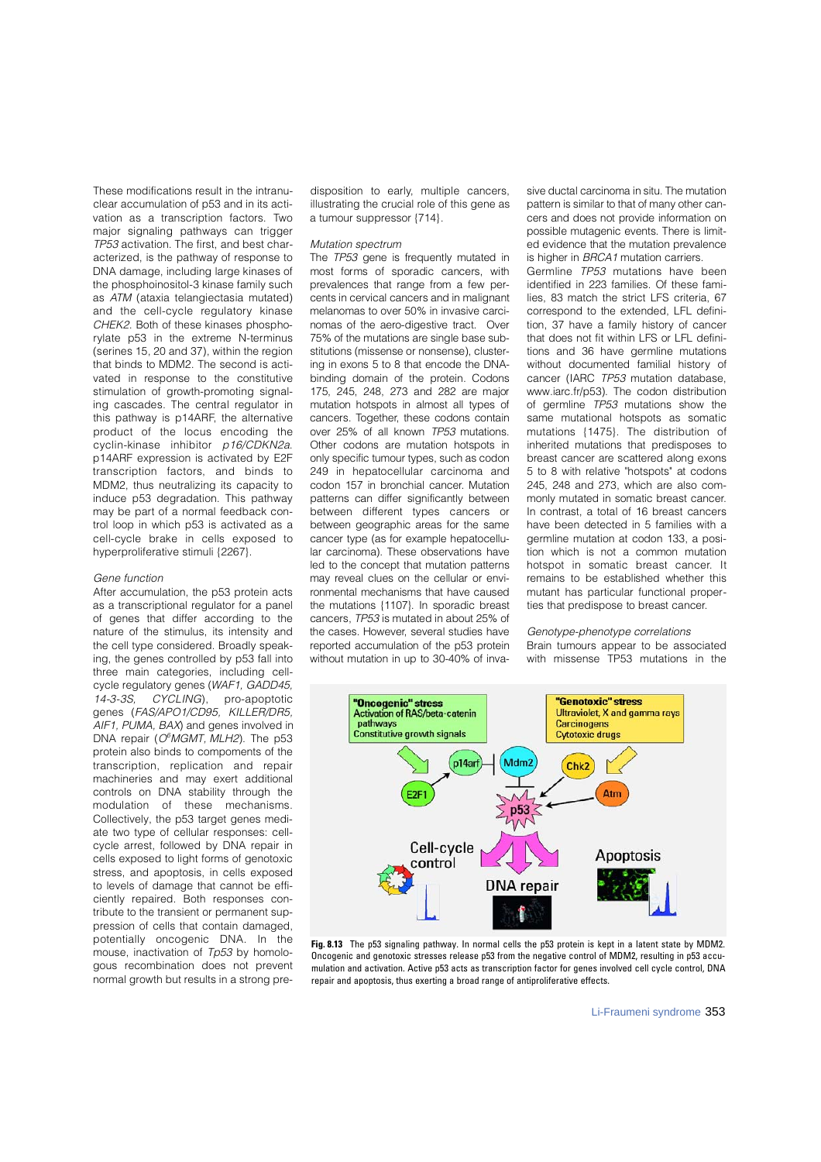These modifications result in the intranuclear accumulation of p53 and in its activation as a transcription factors. Two major signaling pathways can trigger TP53 activation. The first, and best characterized, is the pathway of response to DNA damage, including large kinases of the phosphoinositol-3 kinase family such as ATM (ataxia telangiectasia mutated) and the cell-cycle regulatory kinase CHEK2. Both of these kinases phosphorylate p53 in the extreme N-terminus (serines  $15$ ,  $20$  and  $37$ ), within the region that binds to MDM2. The second is activated in response to the constitutive stimulation of growth-promoting signaling cascades. The central regulator in this pathway is p14ARF, the alternative product of the locus encoding the cyclin-kinase inhibitor  $p16/CDKN2a$ . p14ARF expression is activated by E2F transcription factors, and binds to MDM2, thus neutralizing its capacity to induce p53 degradation. This pathway may be part of a normal feedback control loop in which p53 is activated as a cell-cycle brake in cells exposed to hyperproliferative stimuli {2267}.

#### Gene function

After accumulation, the p53 protein acts as a transcriptional regulator for a panel of genes that differ according to the nature of the stimulus, its intensity and the cell type considered. Broadly speaking, the genes controlled by p53 fall into three main categories, including cellcycle regulatory genes (WAF1, GADD45, 14-3-3S, CYCLING), pro-apoptotic genes (FAS/APO1/CD95, KILLER/DR5, AIF1, PUMA, BAX) and genes involved in DNA repair (O<sup>6</sup>MGMT, MLH2). The p53 protein also binds to compoments of the transcription, replication and repair machineries and may exert additional controls on DNA stability through the modulation of these mechanisms. Collectively, the p53 target genes mediate two type of cellular responses: cellcycle arrest, followed by DNA repair in cells exposed to light forms of genotoxic stress, and apoptosis, in cells exposed to levels of damage that cannot be efficiently repaired. Both responses contribute to the transient or permanent suppression of cells that contain damaged, potentially oncogenic DNA. In the mouse, inactivation of Tp53 by homologous recombination does not prevent normal growth but results in a strong predisposition to early, multiple cancers, illustrating the crucial role of this gene as a tumour suppressor {714}.

## Mutation spectrum

The TP53 gene is frequently mutated in most forms of sporadic cancers, with prevalences that range from a few percents in cervical cancers and in malignant melanomas to over 50% in invasive carcinomas of the aero-digestive tract. Over 75% of the mutations are single base substitutions (missense or nonsense), clustering in exons 5 to 8 that encode the DNAbinding domain of the protein. Codons 175, 245, 248, 273 and 282 are major mutation hotspots in almost all types of cancers. Together, these codons contain over 25% of all known TP53 mutations. Other codons are mutation hotspots in only specific tumour types, such as codon 249 in hepatocellular carcinoma and codon 157 in bronchial cancer. Mutation patterns can differ significantly between between different types cancers or between geographic areas for the same cancer type (as for example hepatocellular carcinoma). These observations have led to the concept that mutation patterns may reveal clues on the cellular or environmental mechanisms that have caused the mutations  $\{1107\}$ . In sporadic breast cancers, TP53 is mutated in about 25% of the cases. However, several studies have reported accumulation of the p53 protein without mutation in up to 30-40% of invasive ductal carcinoma in situ. The mutation pattern is similar to that of many other cancers and does not provide information on possible mutagenic events. There is limited evidence that the mutation prevalence is higher in BRCA1 mutation carriers.

Germline TP53 mutations have been identified in 223 families. Of these families, 83 match the strict LFS criteria, 67 correspond to the extended, LFL definition, 37 have a family history of cancer that does not fit within LFS or LFL definitions and 36 have germline mutations without documented familial history of cancer (IARC TP53 mutation database, www.iarc.fr/p53). The codon distribution of germline TP53 mutations show the same mutational hotspots as somatic mutations {1475}. The distribution of inherited mutations that predisposes to breast cancer are scattered along exons 5 to 8 with relative "hotspots" at codons 245, 248 and 273, which are also commonly mutated in somatic breast cancer. In contrast, a total of 16 breast cancers have been detected in 5 families with a germline mutation at codon 133, a position which is not a common mutation hotspot in somatic breast cancer. It remains to be established whether this mutant has particular functional properties that predispose to breast cancer.

## Genotype-phenotype correlations

Brain tumours appear to be associated with missense TP53 mutations in the



**Fig. 8.13** The p53 signaling pathway. In normal cells the p53 protein is kept in a latent state by MDM2. Oncogenic and genotoxic stresses release p53 from the negative control of MDM2, resulting in p53 accumulation and activation. Active p53 acts as transcription factor for genes involved cell cycle control, DNA repair and apoptosis, thus exerting a broad range of antiproliferative effects.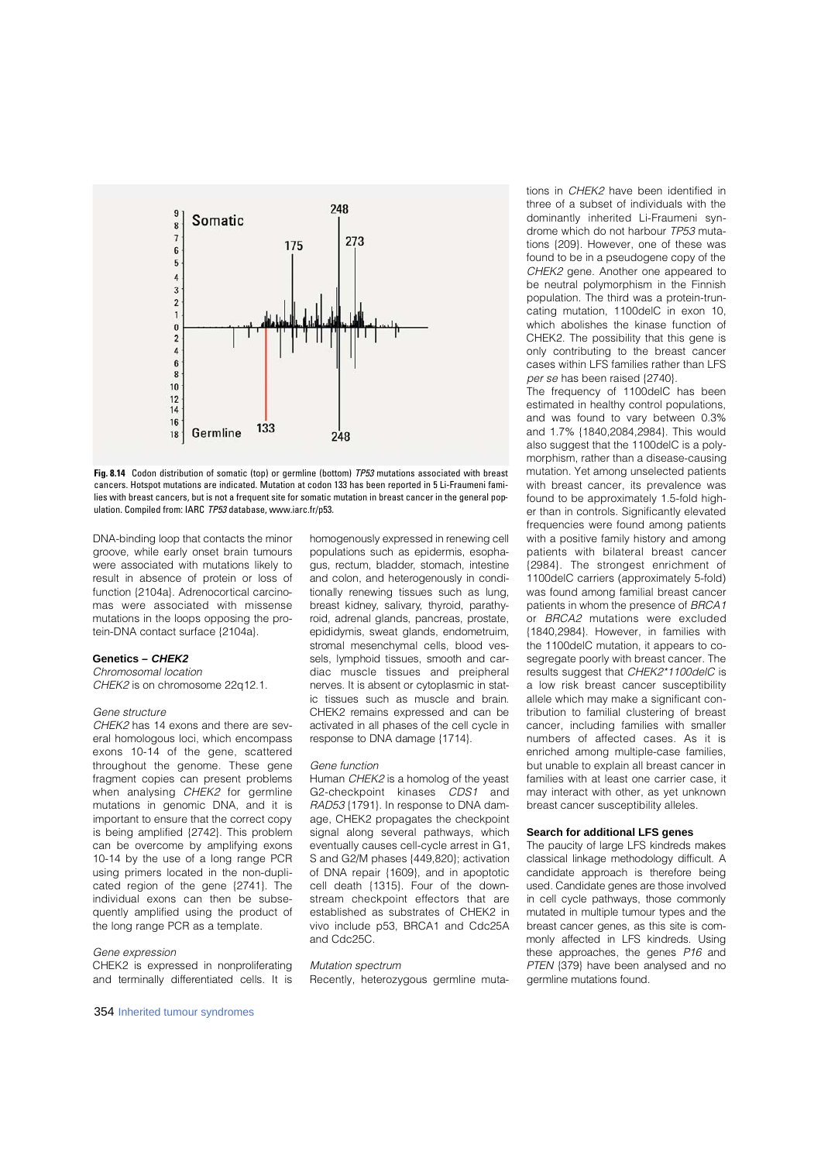

**Fig. 8.14** Codon distribution of somatic (top) or germline (bottom) TP53 mutations associated with breast cancers. Hotspot mutations are indicated. Mutation at codon 133 has been reported in 5 Li-Fraumeni families with breast cancers, but is not a frequent site for somatic mutation in breast cancer in the general population. Compiled from: IARC TP53 database, www.iarc.fr/p53.

DNA-binding loop that contacts the minor groove, while early onset brain tumours were associated with mutations likely to result in absence of protein or loss of function {2104a}. Adrenocortical carcinomas were associated with missense mutations in the loops opposing the protein-DNA contact surface {2104a}.

## **Genetics –** *CHEK2*

Chromosomal location CHEK2 is on chromosome 22q12.1.

## Gene structure

CHEK2 has 14 exons and there are several homologous loci, which encompass exons 10-14 of the gene, scattered throughout the genome. These gene fragment copies can present problems when analysing CHEK2 for germline mutations in genomic DNA, and it is important to ensure that the correct copy is being amplified {2742}. This problem can be overcome by amplifying exons 10-14 by the use of a long range PCR using primers located in the non-duplicated region of the gene {2741}. The individual exons can then be subsequently amplified using the product of the long range PCR as a template.

#### Gene expression

 $CHFK2$  is expressed in nonproliferating and terminally differentiated cells. It is

354 Inherited tumour syndromes

homogenously expressed in renewing cell populations such as epidermis, esophagus, rectum, bladder, stomach, intestine and colon, and heterogenously in conditionally renewing tissues such as lung, breast kidney, salivary, thyroid, parathyroid, adrenal glands, pancreas, prostate, epididymis, sweat glands, endometruim, stromal mesenchymal cells, blood vessels, lymphoid tissues, smooth and cardiac muscle tissues and preipheral nerves. It is absent or cytoplasmic in static tissues such as muscle and brain. CHEK2 remains expressed and can be activated in all phases of the cell cycle in response to DNA damage {1714}.

#### Gene function

Human CHEK2 is a homolog of the yeast G2-checkpoint kinases CDS1 and RAD53 {1791}. In response to DNA damage, CHEK2 propagates the checkpoint signal along several pathways, which eventually causes cell-cycle arrest in G1, S and G2/M phases {449,820}; activation of DNA repair {1609}, and in apoptotic cell death {1315}. Four of the downstream checkpoint effectors that are established as substrates of CHEK2 in vivo include p53, BRCA1 and Cdc25A and Cdc25C.

#### Mutation spectrum

Recently, heterozygous germline muta-

tions in CHEK2 have been identified in three of a subset of individuals with the dominantly inherited Li-Fraumeni syndrome which do not harbour TP53 mutations {209}. However, one of these was found to be in a pseudogene copy of the CHEK2 gene. Another one appeared to be neutral polymorphism in the Finnish population. The third was a protein-truncating mutation, 1100delC in exon 10, which abolishes the kinase function of CHEK2. The possibility that this gene is only contributing to the breast cancer cases within LFS families rather than LFS per se has been raised {2740}.

The frequency of 1100delC has been estimated in healthy control populations, and was found to vary between 0.3% and 1.7% {1840,2084,2984}. This would also suggest that the 1100delC is a polymorphism, rather than a disease-causing mutation. Yet among unselected patients with breast cancer, its prevalence was found to be approximately 1.5-fold higher than in controls. Significantly elevated frequencies were found among patients with a positive family history and among patients with bilateral breast cancer {2984}. The strongest enrichment of 1100delC carriers (approximately 5-fold) was found among familial breast cancer patients in whom the presence of BRCA1 or BRCA2 mutations were excluded {1840,2984}. However, in families with the 1100delC mutation, it appears to cosegregate poorly with breast cancer. The results suggest that CHEK2\*1100delC is a low risk breast cancer susceptibility allele which may make a significant contribution to familial clustering of breast cancer, including families with smaller numbers of affected cases. As it is enriched among multiple-case families, but unable to explain all breast cancer in families with at least one carrier case, it may interact with other, as yet unknown breast cancer susceptibility alleles.

#### **Search for additional LFS genes**

The paucity of large LFS kindreds makes classical linkage methodology difficult. A candidate approach is therefore being used. Candidate genes are those involved in cell cycle pathways, those commonly mutated in multiple tumour types and the breast cancer genes, as this site is commonly affected in LFS kindreds. Using these approaches, the genes  $P16$  and PTEN {379} have been analysed and no germline mutations found.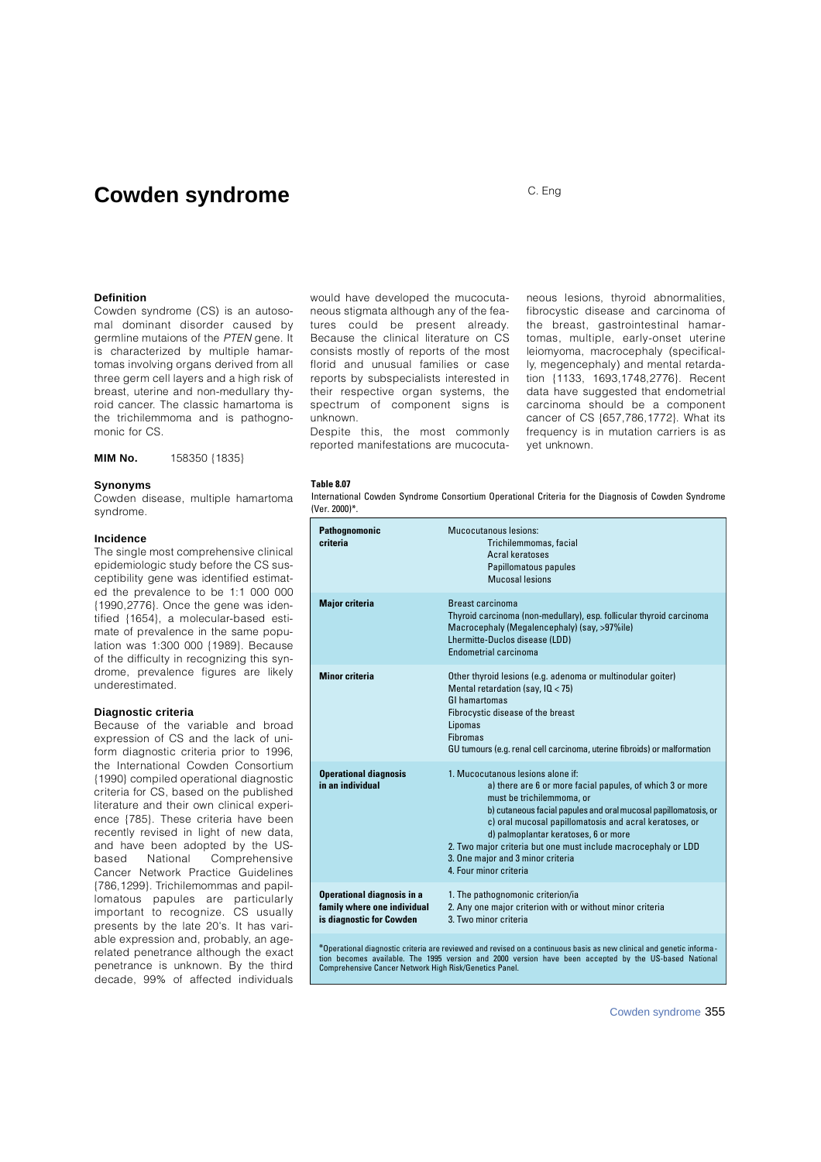## **Cowden syndrome** C. Eng

## **Definition**

Cowden syndrome (CS) is an autosomal dominant disorder caused by germline mutaions of the PTEN gene. It is characterized by multiple hamartomas involving organs derived from all three germ cell layers and a high risk of breast, uterine and non-medullary thyroid cancer. The classic hamartoma is the trichilemmoma and is pathognomonic for CS.

**MIM No.** 158350 {1835}

#### **Synonyms**

Cowden disease, multiple hamartoma svndrome.

## **I n c i d e n c e**

The single most comprehensive clinical epidemiologic study before the CS susceptibility gene was identified estimated the prevalence to be 1:1 000 000 {1990,2776}. Once the gene was identified {1654}, a molecular-based estimate of prevalence in the same population was 1:300 000 {1989}. Because of the difficulty in recognizing this syndrome, prevalence figures are likely underestimated.

## **Diagnostic criteria**

Because of the variable and broad expression of CS and the lack of uniform diagnostic criteria prior to 1996. the International Cowden Consortium {1990} compiled operational diagnostic criteria for CS, based on the published literature and their own clinical experience {785}. These criteria have been recently revised in light of new data, and have been adopted by the USbased National Comprehensive Cancer Network Practice Guidelines {786,1299}. Trichilemommas and papillomatous papules are particularly important to recognize. CS usually presents by the late 20's. It has variable expression and, probably, an agerelated penetrance although the exact penetrance is unknown. By the third decade, 99% of affected individuals

would have developed the mucocutaneous stigmata although any of the features could be present already. Because the clinical literature on CS consists mostly of reports of the most florid and unusual families or case reports by subspecialists interested in their respective organ systems, the spectrum of component signs is unknown.

Despite this, the most commonly reported manifestations are mucocutaneous lesions, thyroid abnormalities, fibrocystic disease and carcinoma of the breast, gastrointestinal hamartomas, multiple, early-onset uterine leiomyoma, macrocephaly (specifically, megencephaly) and mental retardation {1133, 1693,1748,2776}. Recent data have suggested that endometrial carcinoma should be a component cancer of CS {657,786,1772}. What its frequency is in mutation carriers is as yet unknown.

#### **Table 8.07**

International Cowden Syndrome Consortium Operational Criteria for the Diagnosis of Cowden Syndrome (Ver. 2000)\*.

|                                                                                                                                                                                                                               | Pathognomonic<br>criteria                                                                    | <b>Mucocutanous lesions:</b><br>Trichilemmomas, facial<br>Acral keratoses<br>Papillomatous papules<br>Mucosal lesions                                                                                                                                                                                                                                                                                                             |
|-------------------------------------------------------------------------------------------------------------------------------------------------------------------------------------------------------------------------------|----------------------------------------------------------------------------------------------|-----------------------------------------------------------------------------------------------------------------------------------------------------------------------------------------------------------------------------------------------------------------------------------------------------------------------------------------------------------------------------------------------------------------------------------|
|                                                                                                                                                                                                                               | <b>Major criteria</b>                                                                        | Breast carcinoma<br>Thyroid carcinoma (non-medullary), esp. follicular thyroid carcinoma<br>Macrocephaly (Megalencephaly) (say, >97%ile)<br>Lhermitte-Duclos disease (LDD)<br>Endometrial carcinoma                                                                                                                                                                                                                               |
|                                                                                                                                                                                                                               | <b>Minor criteria</b>                                                                        | Other thyroid lesions (e.g. adenoma or multinodular goiter)<br>Mental retardation (say, $10 < 75$ )<br><b>GI hamartomas</b><br>Fibrocystic disease of the breast<br>Lipomas<br><b>Fibromas</b><br>GU tumours (e.g. renal cell carcinoma, uterine fibroids) or malformation                                                                                                                                                        |
|                                                                                                                                                                                                                               | <b>Operational diagnosis</b><br>in an individual                                             | 1. Mucocutanous lesions alone if:<br>a) there are 6 or more facial papules, of which 3 or more<br>must be trichilemmoma, or<br>b) cutaneous facial papules and oral mucosal papillomatosis, or<br>c) oral mucosal papillomatosis and acral keratoses, or<br>d) palmoplantar keratoses, 6 or more<br>2. Two major criteria but one must include macrocephaly or LDD<br>3. One major and 3 minor criteria<br>4. Four minor criteria |
|                                                                                                                                                                                                                               | <b>Operational diagnosis in a</b><br>family where one individual<br>is diagnostic for Cowden | 1. The pathognomonic criterion/ia<br>2. Any one major criterion with or without minor criteria<br>3. Two minor criteria                                                                                                                                                                                                                                                                                                           |
| *Operational diagnostic criteria are reviewed and revised on a continuous basis as new clinical and genetic informa-<br>tion becomes available. The 1995 version and 2000 version have been accepted by the US-based National |                                                                                              |                                                                                                                                                                                                                                                                                                                                                                                                                                   |

tion becomes available. The 1995 version and 2000 version have been accepted by the US-based National Comprehensive Cancer Network High Risk/Genetics Panel.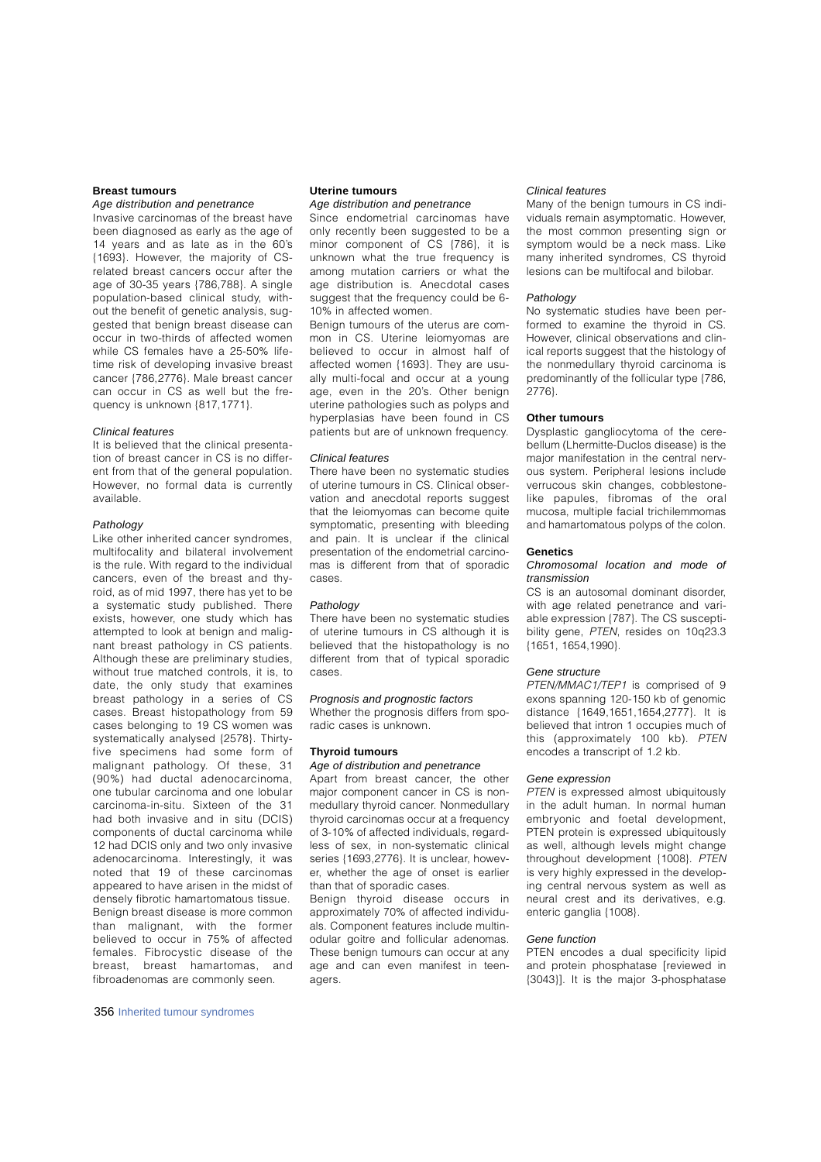## **Breast tumours**

## *Age distribution and penetrance*

Invasive carcinomas of the breast have been diagnosed as early as the age of 14 years and as late as in the 60's {1693}. However, the majority of CSrelated breast cancers occur after the age of 30-35 years {786,788}. A single population-based clinical study, without the benefit of genetic analysis, suggested that benign breast disease can occur in two-thirds of affected women while CS females have a 25-50% lifetime risk of developing invasive breast cancer {786,2776}. Male breast cancer can occur in CS as well but the frequency is unknown {817,1771}.

## *Clinical features*

It is believed that the clinical presentation of breast cancer in CS is no different from that of the general population. However, no formal data is currently availahle

## Pathology

Like other inherited cancer syndromes, multifocality and bilateral involvement is the rule. With regard to the individual cancers, even of the breast and thyroid, as of mid 1997, there has yet to be a systematic study published. There exists, however, one study which has attempted to look at benign and malignant breast pathology in CS patients. Although these are preliminary studies. without true matched controls, it is, to date, the only study that examines breast pathology in a series of CS cases. Breast histopathology from 59 cases belonging to 19 CS women was systematically analysed {2578}. Thirtyfive specimens had some form of malignant pathology. Of these, 31 (90%) had ductal adenocarcinoma, one tubular carcinoma and one lobular carcinoma-in-situ. Sixteen of the 31 had both invasive and in situ (DCIS) components of ductal carcinoma while 12 had DCIS only and two only invasive a deno carcinoma. Interestingly, it was noted that 19 of these carcinomas appeared to have arisen in the midst of densely fibrotic hamartomatous tissue. Benign breast disease is more common than malignant, with the former believed to occur in 75% of affected females. Fibrocystic disease of the b reast, breast hamartomas, and fibroadenomas are commonly seen.

### **Uterine tumours** *Age distribution and penetrance*

Since endometrial carcinomas have only recently been suggested to be a minor component of CS {786}, it is unknown what the true frequency is among mutation carriers or what the age distribution is. Anecdotal cases suggest that the frequency could be 6- 10% in affected women.

Benign tumours of the uterus are common in CS. Uterine leiomyomas are believed to occur in almost half of affected women {1693}. They are usually multi-focal and occur at a young age, even in the 20's. Other benign uterine pathologies such as polyps and hyperplasias have been found in CS patients but are of unknown frequency.

## *Clinical features*

There have been no systematic studies of uterine tumours in CS. Clinical observation and anecdotal reports suggest that the leiomyomas can become quite symptomatic, presenting with bleeding and pain. It is unclear if the clinical presentation of the endometrial carcinomas is different from that of sporadic c a s e s .

#### **Pathology**

There have been no systematic studies of uterine tumours in CS although it is believed that the histopathology is no  $d$  different from that of typical sporadic cases.

## *Prognosis and prognostic factors*

Whether the prognosis differs from sporadic cases is unknown.

## **Thyroid tumours**

#### *Age of distribution and penetrance*

Apart from breast cancer, the other major component cancer in CS is nonmedullary thyroid cancer. Nonmedullary th y roid carcinomas occur at a frequency of 3-10% of affected individuals, regardless of sex, in non-systematic clinical series {1693,2776}. It is unclear, however, whether the age of onset is earlier than that of sporadic cases.

Benign thyroid disease occurs in approximately 70% of affected individuals. Component features include multinodular goitre and follicular adenomas. These benign tumours can occur at any age and can even manifest in teenagers.

#### *Clinical features*

Many of the benign tumours in CS individuals remain asymptomatic. However, the most common presenting sign or symptom would be a neck mass. Like many inherited syndromes, CS thyroid lesions can be multifocal and bilobar.

#### **Pathology**

No systematic studies have been performed to examine the thyroid in CS. However, clinical observations and clinical reports suggest that the histology of the nonmedullary thyroid carcinoma is predominantly of the follicular type {786, 2776}

#### **Other tumours**

Dysplastic gangliocytoma of the cerebellum (Lhermitte-Duclos disease) is the major manifestation in the central nervous system. Peripheral lesions include verrucous skin changes, cobblestonelike papules, fibromas of the oral mucosa, multiple facial trichilemmomas and hamartomatous polyps of the colon.

#### **G e n e t i c s**

#### *Chromosomal location and mode of t r a n s m i s s i o n*

CS is an autosomal dominant disorder, with age related penetrance and variable expression {787}. The CS susceptibility gene, PTEN, resides on 10q23.3 {1651, 1654,1990}.

#### *Gene structure*

PTEN/MMAC1/TEP1 is comprised of 9 exons spanning 120-150 kb of genomic distance {1649,1651,1654,2777}. It is believed that intron 1 occupies much of this (approximately 100 kb). PTEN encodes a transcript of 1.2 kb.

## *Gene expression*

PTEN is expressed almost ubiquitously in the adult human. In normal human embryonic and foetal development, PTEN protein is expressed ubiquitously as well, although levels might change throughout development {1008}. PTEN is very highly expressed in the developing central nervous system as well as neural crest and its derivatives, e.g. enteric ganglia {1008}.

#### *Gene function*

PTEN encodes a dual specificity lipid and protein phosphatase [reviewed in {3043}]. It is the major 3-phosphatase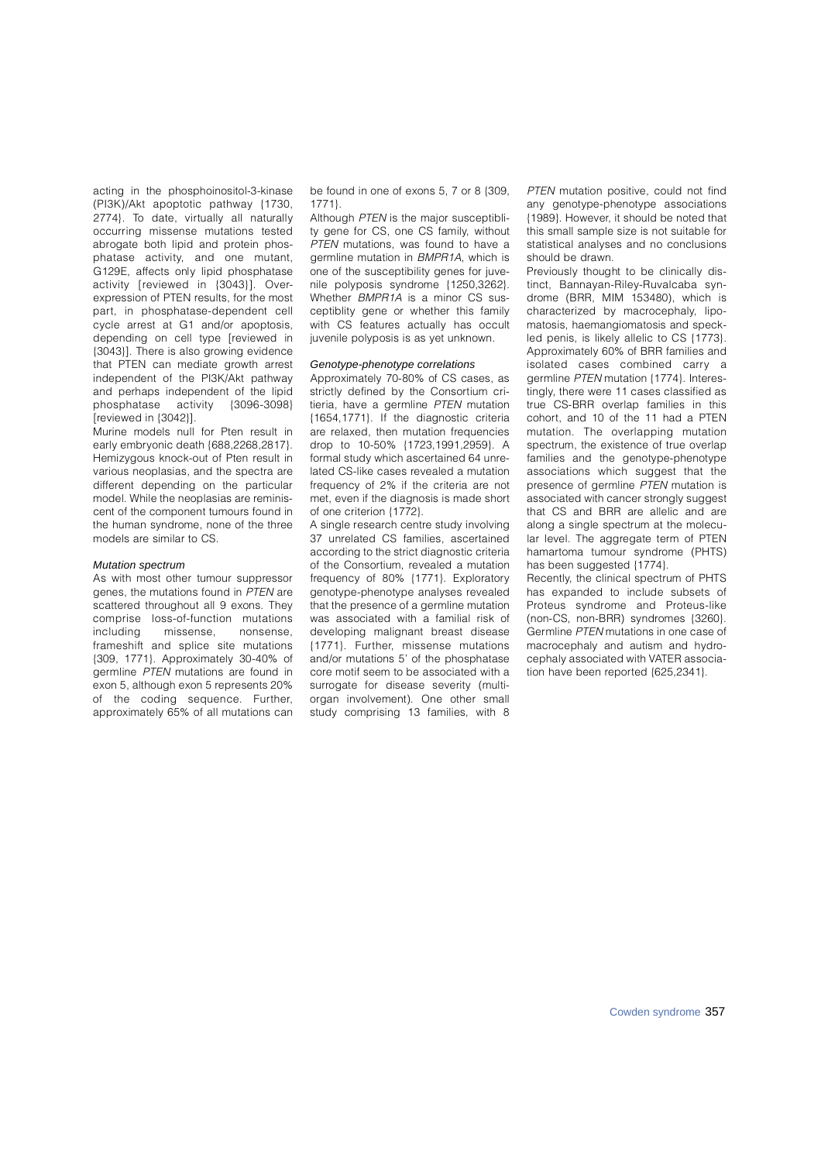acting in the phosphoinositol-3-kinase (PI3K)/Akt apoptotic pathway {1730, 2774}. To date, virtually all naturally occurring missense mutations tested abrogate both lipid and protein phosphatase activity, and one mutant, G129E, affects only lipid phosphatase activity [reviewed in {3043}]. Overexpression of PTEN results, for the most part, in phosphatase-dependent cell cycle arrest at G1 and/or apoptosis, depending on cell type [reviewed in {3043}]. There is also growing evidence that PTEN can mediate growth arrest independent of the PI3K/Akt pathway and perhaps independent of the lipid<br>phosphatase activity (3096-3098) phosphatase activity [ reviewed in {3042}].

Murine models null for Pten result in early embryonic death {688,2268,2817}. Hemizygous knock-out of Pten result in various neoplasias, and the spectra are different depending on the particular model. While the neoplasias are reminiscent of the component tumours found in the human syndrome, none of the three models are similar to CS.

#### *Mutation spectrum*

As with most other tumour suppressor genes, the mutations found in PTEN are scattered throughout all 9 exons. They comprise loss-of-function mutations<br>including missense, nonsense, missense, nonsense, frameshift and splice site mutations {309, 1771}. Approximately 30-40% of germline  $PTEN$  mutations are found in exon 5, although exon 5 represents 20% of the coding sequence. Further, approximately 65% of all mutations can be found in one of exons 5, 7 or 8 {309,  $1771$ 

Although  $PTEN$  is the major susceptiblity gene for CS, one CS family, without PTEN mutations, was found to have a germline mutation in BMPR1A, which is one of the susceptibility genes for juvenile polyposis syndrome {1250,3262}. Whether BMPR1A is a minor CS susceptiblity gene or whether this family with CS features actually has occult juvenile polyposis is as yet unknown.

## *Genotype-phenotype correlations*

Approximately 70-80% of CS cases, as strictly defined by the Consortium critieria, have a germline PTEN mutation {1654,1771}. If the diagnostic criteria are relaxed, then mutation frequencies drop to 10-50% {1723,1991,2959}. A formal study which ascertained 64 unrelated CS-like cases revealed a mutation frequency of 2% if the criteria are not met, even if the diagnosis is made short of one criterion {1772}.

A single research centre study involving 37 unrelated CS families, ascertained according to the strict diagnostic criteria of the Consortium, revealed a mutation frequency of 80% {1771}. Exploratory genotype-phenotype analyses revealed that the presence of a germline mutation was associated with a familial risk of developing malignant breast disease {1771}. Further, missense mutations and/or mutations 5' of the phosphatase core motif seem to be associated with a surrogate for disease severity (multiorgan involvement). One other small study comprising 13 families, with 8

PTEN mutation positive, could not find any genotype-phenotype associations {1989}. However, it should be noted that this small sample size is not suitable for statistical analyses and no conclusions should be drawn.

Previously thought to be clinically distinct, Bannayan-Riley-Ruvalcaba syndrome (BRR, MIM 153480), which is characterized by macrocephaly, lipomatosis, haemangiomatosis and speckled penis, is likely allelic to CS {1773}. Approximately 60% of BRR families and isolated cases combined carry a germline PTEN mutation {1774}. Interestingly, there were 11 cases classified as true CS-BRR overlap families in this cohort, and 10 of the 11 had a PTEN mutation. The overlapping mutation spectrum, the existence of true overlap families and the genotype-phenotype associations which suggest that the presence of germline PTEN mutation is associated with cancer strongly suggest that CS and BRR are allelic and are along a single spectrum at the molecular level. The aggregate term of PTEN hamartoma tumour syndrome (PHTS) has been suggested {1774}.

Recently, the clinical spectrum of PHTS has expanded to include subsets of Proteus syndrome and Proteus-like (non-CS, non-BRR) syndromes {3260}. Germline PTEN mutations in one case of macrocephaly and autism and hydrocephaly associated with VATER association have been reported {625,2341}.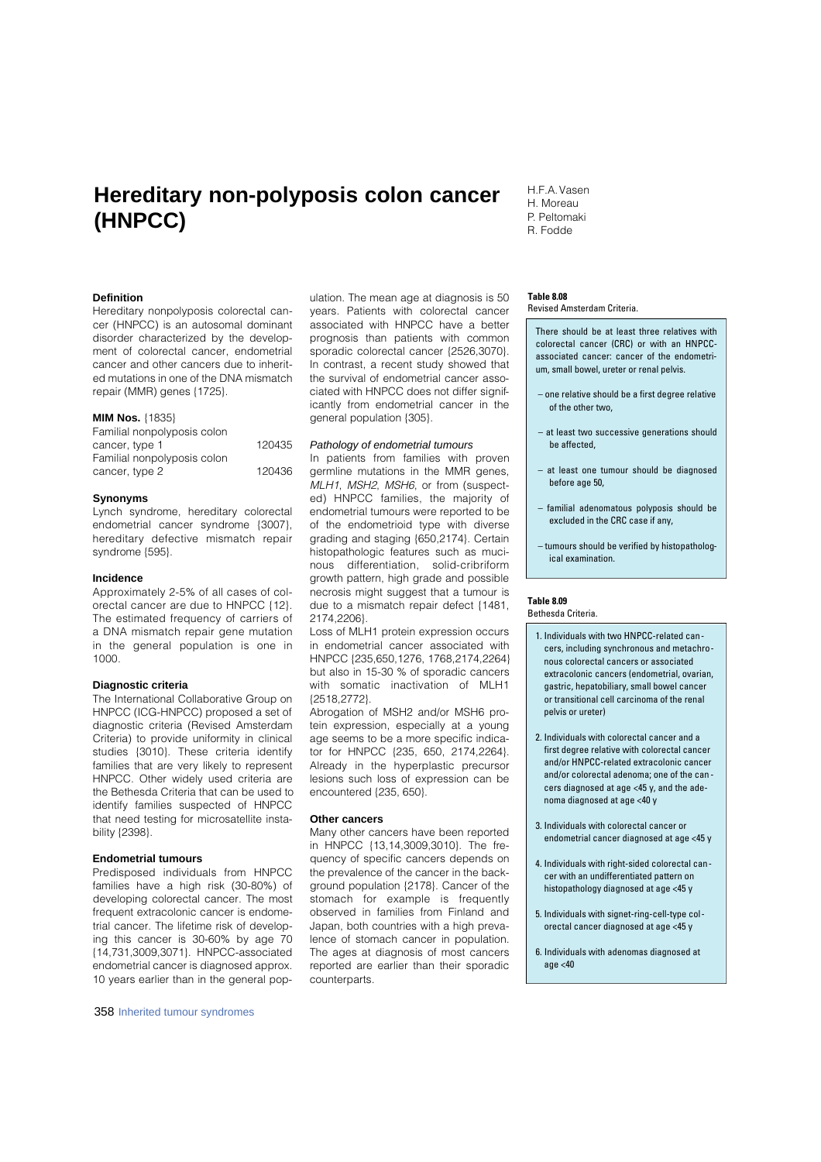# **Hereditary non-polyposis colon cancer (HNPCC)**

#### **Definition**

Hereditary nonpolyposis colorectal cancer (HNPCC) is an autosomal dominant disorder characterized by the development of colorectal cancer, endometrial cancer and other cancers due to inherited mutations in one of the DNA mismatch repair (MMR) genes {1725}.

### **MIM Nos.** {1835}

| Familial nonpolyposis colon |        |
|-----------------------------|--------|
| cancer, type 1              | 120435 |
| Familial nonpolyposis colon |        |
| cancer, type 2              | 120436 |
|                             |        |

#### **Synonyms**

Lynch syndrome, hereditary colorectal endometrial cancer syndrome {3007}, hereditary defective mismatch repair syndrome {595}.

#### **Incidence**

Approximately 2-5% of all cases of colorectal cancer are due to HNPCC {12}. The estimated frequency of carriers of a DNA mismatch repair gene mutation in the general population is one in 1000.

## **Diagnostic criteria**

The International Collaborative Group on HNPCC (ICG-HNPCC) proposed a set of diagnostic criteria (Revised Amsterdam Criteria) to provide uniformity in clinical studies {3010}. These criteria identify families that are very likely to represent HNPCC. Other widely used criteria are the Bethesda Criteria that can be used to identify families suspected of HNPCC that need testing for microsatellite instability {2398}.

## **Endometrial tumours**

Predisposed individuals from HNPCC families have a high risk (30-80%) of developing colorectal cancer. The most frequent extracolonic cancer is endometrial cancer. The lifetime risk of developing this cancer is 30-60% by age 70 {14,731,3009,3071}. HNPCC-associated endometrial cancer is diagnosed approx. 10 years earlier than in the general pop-

358 Inherited tumour syndromes

ulation. The mean age at diagnosis is 50 years. Patients with colorectal cancer associated with HNPCC have a better prognosis than patients with common sporadic colorectal cancer {2526,3070}. In contrast, a recent study showed that the survival of endometrial cancer associated with HNPCC does not differ significantly from endometrial cancer in the general population {305}.

## *Pathology of endometrial tumours*

In patients from families with proven germline mutations in the MMR genes, MLH1, MSH2, MSH6, or from (suspected) HNPCC families, the majority of endometrial tumours were reported to be of the endometrioid type with diverse grading and staging {650,2174}. Certain histopathologic features such as mucinous differentiation, solid-cribriform growth pattern, high grade and possible necrosis might suggest that a tumour is due to a mismatch repair defect {1481, 2174,2206}.

Loss of MLH1 protein expression occurs in endometrial cancer associated with HNPCC {235,650,1276, 1768,2174,2264} but also in 15-30 % of sporadic cancers with somatic inactivation of MLH1 {2518,2772}.

Abrogation of MSH2 and/or MSH6 protein expression, especially at a young age seems to be a more specific indicator for HNPCC {235, 650, 2174,2264}. Already in the hyperplastic precursor lesions such loss of expression can be encountered {235, 650}.

#### **Other cancers**

Many other cancers have been reported in HNPCC {13,14,3009,3010}. The frequency of specific cancers depends on the prevalence of the cancer in the background population {2178}. Cancer of the stomach for example is frequently observed in families from Finland and Japan, both countries with a high prevalence of stomach cancer in population. The ages at diagnosis of most cancers reported are earlier than their sporadic counterparts.

H.F.A. Vasen H. Moreau P. Peltomaki R. Fodde

#### **Table 8.08**

Revised Amsterdam Criteria.

There should be at least three relatives with colorectal cancer (CRC) or with an HNPCCassociated cancer: cancer of the endometrium, small bowel, ureter or renal pelvis.

- one relative should be a first degree relative of the other two,
- at least two successive generations should be affected,
- at least one tumour should be diagnosed before age 50,
- familial adenomatous polyposis should be excluded in the CRC case if any,
- tumours should be verified by histopathological examination.

#### **Table 8.09**

Bethesda Criteria.

- 1. Individuals with two HNPCC-related cancers, including synchronous and metachronous colorectal cancers or associated extracolonic cancers (endometrial, ovarian, gastric, hepatobiliary, small bowel cancer or transitional cell carcinoma of the renal pelvis or ureter)
- 2. Individuals with colorectal cancer and a first degree relative with colorectal cancer and/or HNPCC-related extracolonic cancer and/or colorectal adenoma; one of the can cers diagnosed at age <45 y, and the adenoma diagnosed at age <40 y
- 3. Individuals with colorectal cancer or endometrial cancer diagnosed at age <45 y
- 4. Individuals with right-sided colorectal cancer with an undifferentiated pattern on histopathology diagnosed at age <45 y
- 5. Individuals with signet-ring-cell-type colorectal cancer diagnosed at age <45 y
- 6. Individuals with adenomas diagnosed at age  $<$ 40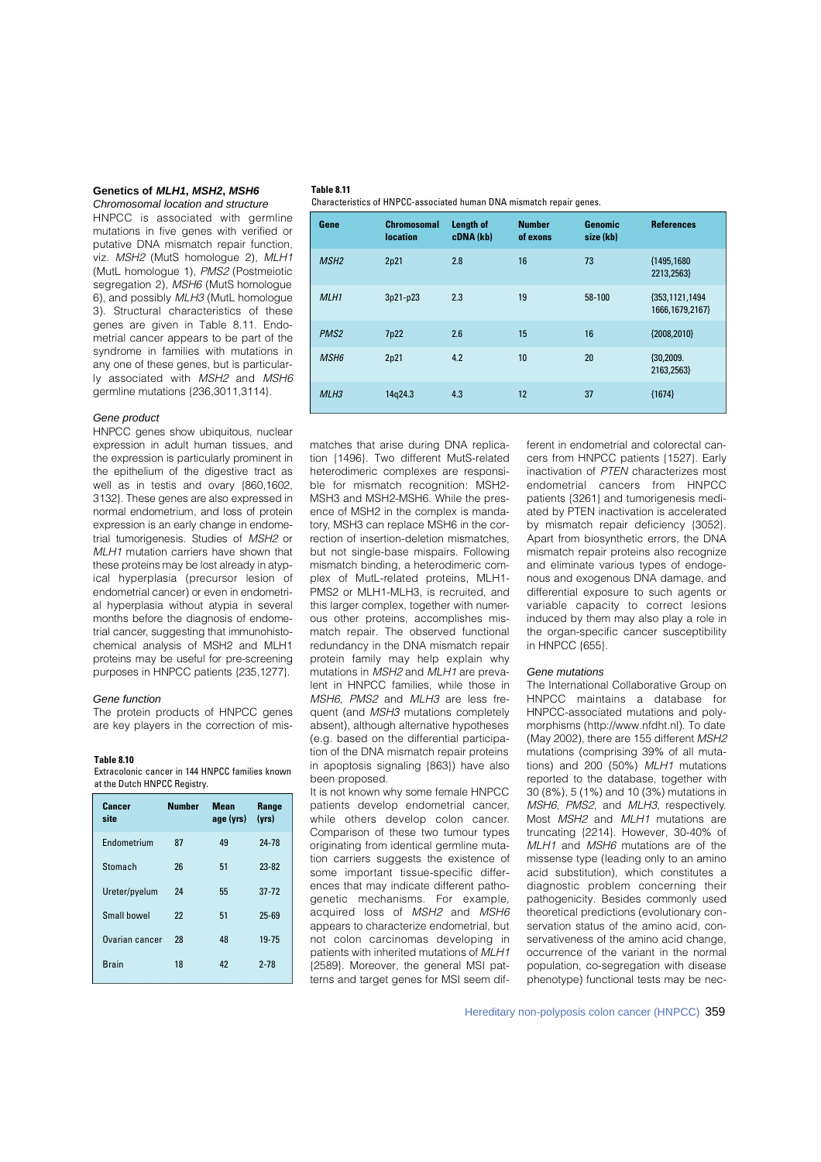#### **Genetics of** *MLH1***,** *MSH2***,** *MSH6 Chromosomal location and structure*

HNPCC is associated with germline mutations in five genes with verified or putative DNA mismatch repair function, viz. MSH2 (MutS homologue 2), MLH1 (MutL homologue 1), PMS2 (Postmeiotic segregation 2), MSH6 (MutS homologue 6), and possibly MLH3 (MutL homologue 3). Structural characteristics of these genes are given in Table 8.11. Endometrial cancer appears to be part of the syndrome in families with mutations in any one of these genes, but is particularly associated with MSH2 and MSH6 germline mutations {236,3011,3114}.

#### *Gene product*

HNPCC genes show ubiquitous, nuclear expression in adult human tissues, and the expression is particularly prominent in the epithelium of the digestive tract as well as in testis and ovary {860,1602, 3132}. These genes are also expressed in normal endometrium, and loss of protein expression is an early change in endometrial tumorigenesis. Studies of MSH2 or MLH1 mutation carriers have shown that these proteins may be lost already in atypical hyperplasia (precursor lesion of endometrial cancer) or even in endometrial hyperplasia without atypia in several months before the diagnosis of endometrial cancer, suggesting that immunohistochemical analysis of MSH2 and MLH1 proteins may be useful for pre-screening purposes in HNPCC patients {235,1277}.

#### *Gene function*

The protein products of HNPCC genes are key players in the correction of mis-

#### **Table 8.10**

Extracolonic cancer in 144 HNPCC families known at the Dutch HNPCC Registry.

| Cancer<br>site     | <b>Number</b> | Mean<br>age (yrs) | Range<br>(vrs) |
|--------------------|---------------|-------------------|----------------|
| <b>Endometrium</b> | 87            | 49                | $24 - 78$      |
| Stomach            | 26            | 51                | $23 - 82$      |
| Ureter/pyelum      | 24            | 55                | $37-72$        |
| Small howel        | 22            | 51                | $25 - 69$      |
| Ovarian cancer     | 28            | 48                | 19-75          |
| <b>Brain</b>       | 18            | 42                | $2 - 78$       |

## **Table 8.11**

Characteristics of HNPCC-associated human DNA mismatch repair genes.

| Gene             | <b>Chromosomal</b><br><b>location</b> | Length of<br>cDNA (kb) | <b>Number</b><br>of exons | Genomic<br>size (kb) | <b>References</b>                   |
|------------------|---------------------------------------|------------------------|---------------------------|----------------------|-------------------------------------|
| MSH <sub>2</sub> | 2p21                                  | 2.8                    | 16                        | 73                   | {1495,1680}<br>2213,2563}           |
| MLH <sub>1</sub> | 3p21-p23                              | 2.3                    | 19                        | $58 - 100$           | {353,1121,1494<br>1666, 1679, 2167} |
| PMS <sub>2</sub> | 7p22                                  | 2.6                    | 15                        | 16                   | {2008,2010}                         |
| MSH <sub>6</sub> | 2p21                                  | 4.2                    | 10                        | 20                   | ${30,2009.}$<br>2163,2563}          |
| MLH <sub>3</sub> | 14g24.3                               | 4.3                    | 12                        | 37                   | ${1674}$                            |

matches that arise during DNA replication {1496}. Two different MutS-related heterodimeric complexes are responsible for mismatch recognition: MSH2- MSH3 and MSH2-MSH6. While the presence of MSH2 in the complex is mandatory, MSH3 can replace MSH6 in the correction of insertion-deletion mismatches, but not single-base mispairs. Following mismatch binding, a heterodimeric complex of MutL-related proteins, MLH1- PMS2 or MLH1-MLH3, is recruited, and this larger complex, together with numerous other proteins, accomplishes mismatch repair. The observed functional redundancy in the DNA mismatch repair p rotein family may help explain why mutations in MSH2 and MLH1 are prevalent in HNPCC families, while those in MSH6, PMS2 and MLH3 are less frequent (and MSH3 mutations completely absent), although alternative hypotheses (e.g. based on the differential participation of the DNA mismatch repair proteins in apoptosis signaling {863}) have also been proposed.

It is not known why some female HNPCC patients develop endometrial cancer, while others develop colon cancer. Comparison of these two tumour types originating from identical germline mutation carriers suggests the existence of some important tissue-specific differences that may indicate different pathogenetic mechanisms. For example, acquired loss of MSH2 and MSH6 appears to characterize endometrial, but not colon carcinomas developing in patients with inherited mutations of MLH1 {2589}. Moreover, the general MSI patterns and target genes for MSI seem dif-

ferent in endometrial and colorectal cancers from HNPCC patients {1527}. Early inactivation of PTEN characterizes most endometrial cancers from HNPCC patients {3261} and tumorigenesis mediated by PTEN inactivation is accelerated by mismatch repair deficiency {3052}. Apart from biosynthetic errors, the DNA mismatch repair proteins also recognize and eliminate various types of endogenous and exogenous DNA damage, and differential exposure to such agents or variable capacity to correct lesions induced by them may also play a role in the organ-specific cancer susceptibility in HNPCC {655}.

#### *Gene mutations*

The International Collaborative Group on HNPCC maintains a database for HNPCC-associated mutations and polymorphisms (http://www.nfdht.nl). To date (May 2002), there are 155 different MSH2 mutations (comprising 39% of all mutations) and 200 (50%) MLH1 mutations reported to the database, together with 30 (8%), 5 (1%) and 10 (3%) mutations in MSH6, PMS2, and MLH3, respectively. Most MSH2 and MLH1 mutations are truncating {2214}. However, 30-40% of MLH1 and MSH6 mutations are of the missense type (leading only to an amino acid substitution), which constitutes a diagnostic problem concerning their pathogenicity. Besides commonly used theoretical predictions (evolutionary conservation status of the amino acid, conservativeness of the amino acid change occurrence of the variant in the normal population, co-segregation with disease phenotype) functional tests may be nec-

Hereditary non-polyposis colon cancer (HNPCC) 359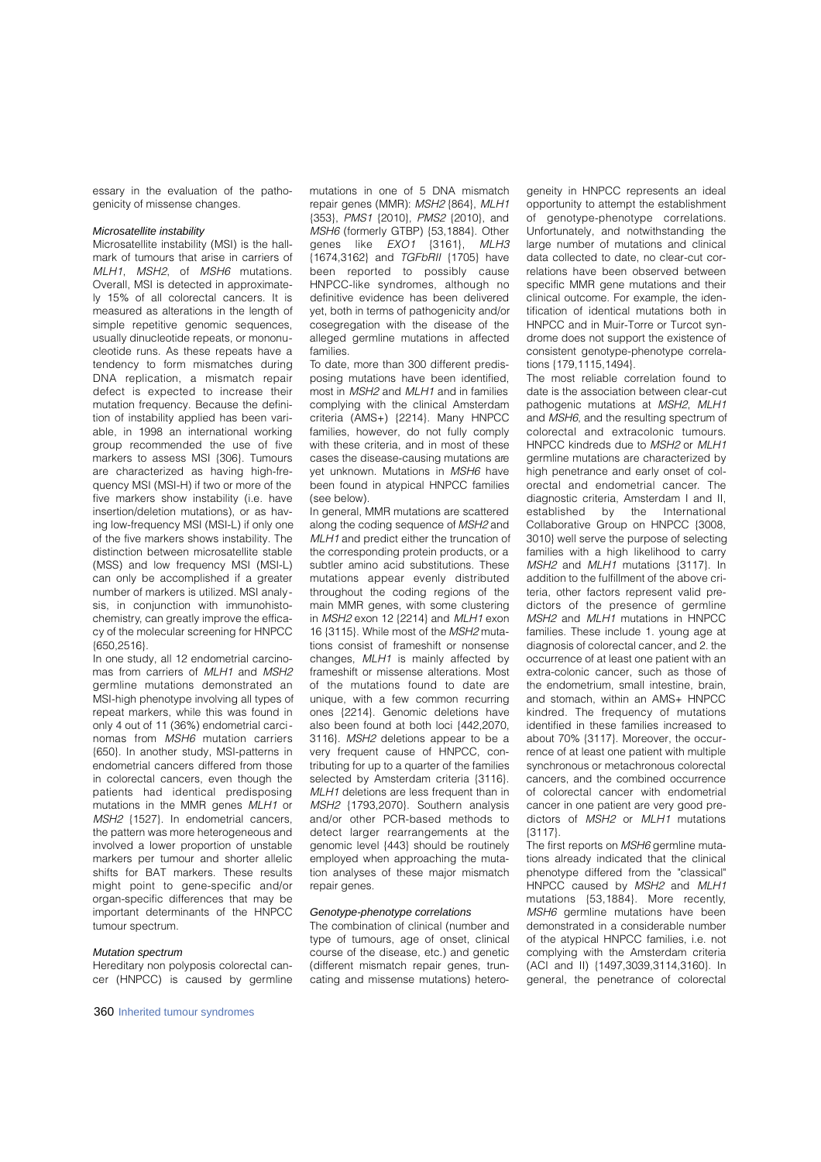essary in the evaluation of the pathogenicity of missense changes.

#### *Microsatellite instability*

Microsatellite instability (MSI) is the hallmark of tumours that arise in carriers of MLH1, MSH2, of MSH6 mutations. Overall, MSI is detected in approximately 15% of all colorectal cancers. It is measured as alterations in the length of simple repetitive genomic sequences, usually dinucleotide repeats, or mononucleotide runs. As these repeats have a tendency to form mismatches during DNA replication, a mismatch repair defect is expected to increase their mutation frequency. Because the definition of instability applied has been variable, in 1998 an international working group recommended the use of five markers to assess MSI {306}. Tumours are characterized as having high-frequency MSI (MSI-H) if two or more of the five markers show instability (i.e. have insertion/deletion mutations), or as having low-frequency MSI (MSI-L) if only one of the five markers shows instability. The distinction between microsatellite stable (MSS) and low frequency MSI (MSI-L) can only be accomplished if a greater number of markers is utilized. MSI analysis, in conjunction with immunohistochemistry, can greatly improve the efficacy of the molecular screening for HNPCC {650,2516}.

In one study, all 12 endometrial carcinomas from carriers of MLH1 and MSH2 germline mutations demonstrated an MSI-high phenotype involving all types of repeat markers, while this was found in only 4 out of 11 (36%) endometrial carcinomas from MSH6 mutation carriers {650}. In another study, MSI-patterns in endometrial cancers differed from those in colorectal cancers, even though the patients had identical predisposing mutations in the MMR genes MLH1 or MSH2 {1527}. In endometrial cancers, the pattern was more heterogeneous and involved a lower proportion of unstable markers per tumour and shorter allelic shifts for BAT markers. These results might point to gene-specific and/or organ-specific differences that may be important determinants of the HNPCC tumour spectrum.

## *Mutation spectrum*

Hereditary non polyposis colorectal cancer (HNPCC) is caused by germline mutations in one of 5 DNA mismatch repair genes (MMR): MSH2 {864}, MLH1 {353}, PMS1 {2010}, PMS2 {2010}, and MSH6 (formerly GTBP) {53,1884}. Other genes like  $EXO1$   $\{3161\}$ ,  $MLH3$ {1674,3162} and TGFbRII {1705} have been reported to possibly cause HNPCC-like syndromes, although no definitive evidence has been delivered yet, both in terms of pathogenicity and/or cosegregation with the disease of the alleged germline mutations in affected families.

To date, more than 300 different predisposing mutations have been identified, most in MSH2 and MLH1 and in families complying with the clinical Amsterdam criteria (AMS+) {2214}. Many HNPCC families, however, do not fully comply with these criteria, and in most of these cases the disease-causing mutations are yet unknown. Mutations in MSH6 have been found in atypical HNPCC families (see below).

In general, MMR mutations are scattered along the coding sequence of MSH2 and MLH1 and predict either the truncation of the corresponding protein products, or a subtler amino acid substitutions. These mutations appear evenly distributed throughout the coding regions of the main MMR genes, with some clustering in MSH2 exon 12 {2214} and MLH1 exon 16 {3115}. While most of the MSH2 mutations consist of frameshift or nonsense changes, MLH1 is mainly affected by frameshift or missense alterations. Most of the mutations found to date are unique, with a few common recurring ones {2214}. Genomic deletions have also been found at both loci {442,2070, 3116}. MSH2 deletions appear to be a very frequent cause of HNPCC, contributing for up to a quarter of the families selected by Amsterdam criteria  $\{3116\}$ . MLH1 deletions are less frequent than in MSH2 {1793,2070}. Southern analysis and/or other PCR-based methods to detect larger rearrangements at the genomic level {443} should be routinely employed when approaching the mutation analyses of these major mismatch repair genes.

#### *Genotype-phenotype correlations*

The combination of clinical (number and type of tumours, age of onset, clinical course of the disease, etc.) and genetic (different mismatch repair genes, truncating and missense mutations) hetero-

geneity in HNPCC represents an ideal opportunity to attempt the establishment of genotype-phenotype correlations. Unfortunately, and notwithstanding the large number of mutations and clinical data collected to date, no clear-cut correlations have been observed between specific MMR gene mutations and their clinical outcome. For example, the identification of identical mutations both in HNPCC and in Muir-Torre or Turcot syndrome does not support the existence of consistent genotype-phenotype correlations {179,1115,1494}.

The most reliable correlation found to date is the association between clear-cut pathogenic mutations at MSH2, MLH1 and MSH6, and the resulting spectrum of colorectal and extracolonic tumours. HNPCC kindreds due to MSH2 or MLH1 germline mutations are characterized by high penetrance and early onset of colo rectal and endometrial cancer. The diagnostic criteria, Amsterdam I and II, established by the International Collaborative Group on HNPCC {3008, 3010} well serve the purpose of selecting families with a high likelihood to carry MSH2 and MLH1 mutations {3117}. In addition to the fulfillment of the above criteria, other factors represent valid predictors of the presence of germline MSH2 and MLH1 mutations in HNPCC families. These include 1. young age at diagnosis of colorectal cancer, and 2. the occurrence of at least one patient with an extra-colonic cancer, such as those of the endometrium, small intestine, brain, and stomach, within an AMS+ HNPCC kindred. The frequency of mutations identified in these families increased to about 70% {3117}. Moreover, the occurrence of at least one patient with multiple synchronous or metachronous colorectal cancers, and the combined occurrence of colorectal cancer with endometrial cancer in one patient are very good predictors of MSH2 or MLH1 mutations {3117}.

The first reports on MSH6 germline mutations already indicated that the clinical phenotype differed from the "classical" HNPCC caused by MSH2 and MLH1 mutations  ${53,1884}$ . More recently, MSH6 germline mutations have been demonstrated in a considerable number of the atypical HNPCC families, i.e. not complying with the Amsterdam criteria (ACI and II) {1497,3039,3114,3160}. In general, the penetrance of colorectal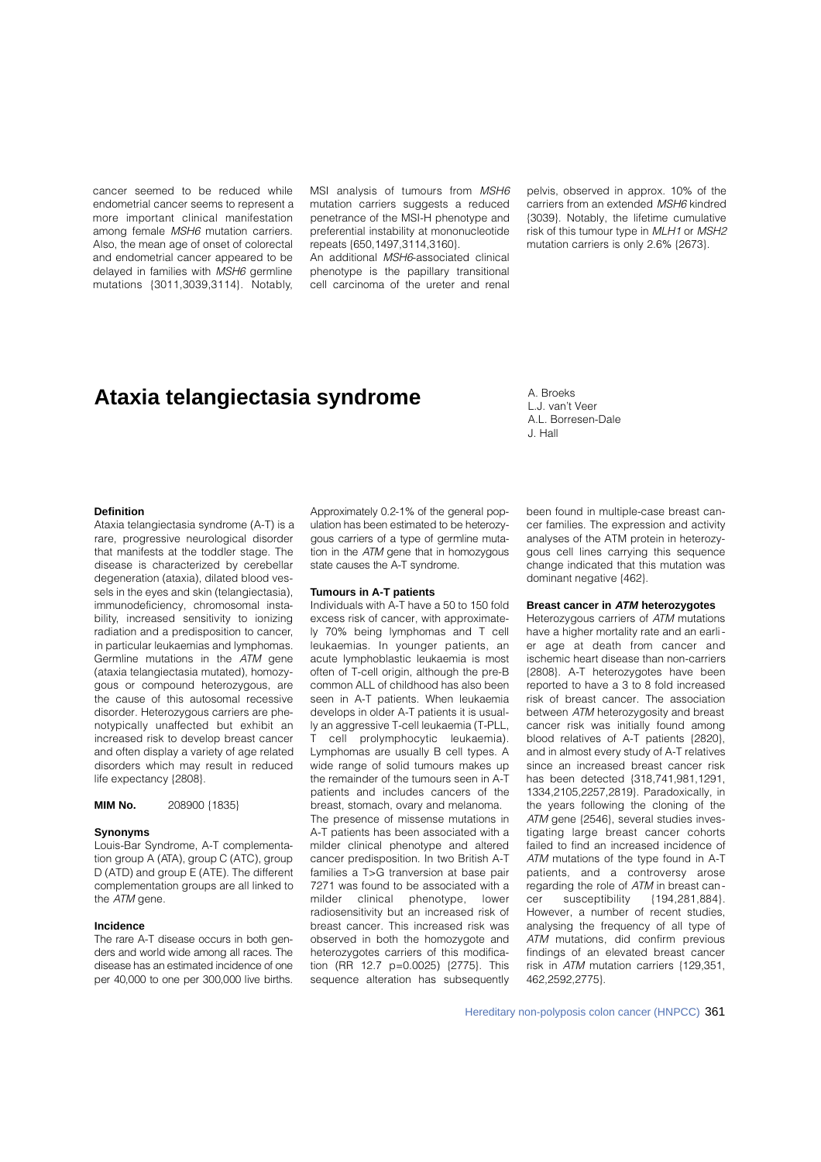cancer seemed to be reduced while endometrial cancer seems to represent a more important clinical manifestation among female MSH6 mutation carriers. Also, the mean age of onset of colorectal and endometrial cancer appeared to be delayed in families with MSH6 germline mutations {3011,3039,3114}. Notably,

MSI analysis of tumours from MSH6 mutation carriers suggests a reduced penetrance of the MSI-H phenotype and preferential instability at mononucleotide repeats {650,1497,3114,3160}.

An additional MSH6-associated clinical phenotype is the papillary transitional cell carcinoma of the ureter and renal

pelvis, observed in approx. 10% of the carriers from an extended MSH6 kindred {3039}. Notably, the lifetime cumulative risk of this tumour type in MLH1 or MSH2 mutation carriers is only 2.6% {2673}.

## **Ataxia telangiectasia syndrome**

A. Broeks L.J. van't Veer A.L. Borresen-Dale J. Hall

## **Definition**

Ataxia telangiectasia syndrome (A-T) is a rare, progressive neurological disorder that manifests at the toddler stage. The disease is characterized by cerebellar degeneration (ataxia), dilated blood vessels in the eyes and skin (telangiectasia), immunodeficiency, chromosomal instability, increased sensitivity to ionizing radiation and a predisposition to cancer, in particular leukaemias and lymphomas. Germline mutations in the ATM gene (ataxia telangiectasia mutated), homozygous or compound heterozygous, are the cause of this autosomal recessive disorder. Heterozygous carriers are phenotypically unaffected but exhibit an increased risk to develop breast cancer and often display a variety of age related disorders which may result in reduced life expectancy {2808}.

**MIM No.** 208900 {1835}

#### **Synonyms**

Louis-Bar Syndrome, A-T complementation group A (ATA), group C (ATC), group D (ATD) and group E (ATE). The different complementation groups are all linked to the ATM gene.

## **Incidence**

The rare A-T disease occurs in both genders and world wide among all races. The disease has an estimated incidence of one per 40,000 to one per 300,000 live births.

Approximately 0.2-1% of the general population has been estimated to be heterozygous carriers of a type of germline mutation in the  $ATM$  gene that in homozygous state causes the A-T syndrome.

#### **Tumours in A-T patients**

Individuals with A-T have a 50 to 150 fold excess risk of cancer, with approximately 70% being lymphomas and T cell leukaemias. In younger patients, an acute lymphoblastic leukaemia is most often of T-cell origin, although the pre-B common ALL of childhood has also been seen in A-T patients. When leukaemia develops in older A-T patients it is usually an aggressive T-cell leukaemia (T-PLL, T cell prolymphocytic leukaemia). Lymphomas are usually B cell types. A wide range of solid tumours makes up the remainder of the tumours seen in A-T patients and includes cancers of the breast, stomach, ovary and melanoma.

The presence of missense mutations in A-T patients has been associated with a milder clinical phenotype and altered cancer predisposition. In two British A-T families a T>G tranversion at base pair 7271 was found to be associated with a milder clinical phenotype, lower radiosensitivity but an increased risk of breast cancer. This increased risk was observed in both the homozygote and heterozygotes carriers of this modification (RR 12.7 p=0.0025) {2775}. This sequence alteration has subsequently been found in multiple-case breast cancer families. The expression and activity analyses of the ATM protein in heterozygous cell lines carrying this sequence change indicated that this mutation was dominant negative {462}.

## **Breast cancer in** *ATM* **heterozygotes**

Heterozygous carriers of ATM mutations have a higher mortality rate and an earlier age at death from cancer and ischemic heart disease than non-carriers {2808}. A-T heterozygotes have been reported to have a 3 to 8 fold increased risk of breast cancer. The association between ATM heterozygosity and breast cancer risk was initially found among blood relatives of A-T patients {2820}, and in almost every study of A-T relatives since an increased breast cancer risk has been detected {318,741,981,1291, 1334,2105,2257,2819}. Paradoxically, in the years following the cloning of the ATM gene {2546}, several studies investigating large breast cancer cohorts failed to find an increased incidence of ATM mutations of the type found in A-T patients, and a controversy arose regarding the role of ATM in breast can-<br>cer susceptibility {194,281,884}. cer susceptibility However, a number of recent studies, analysing the frequency of all type of ATM mutations, did confirm previous findings of an elevated breast cancer risk in ATM mutation carriers {129,351, 462,2592,2775}.

Hereditary non-polyposis colon cancer (HNPCC) 361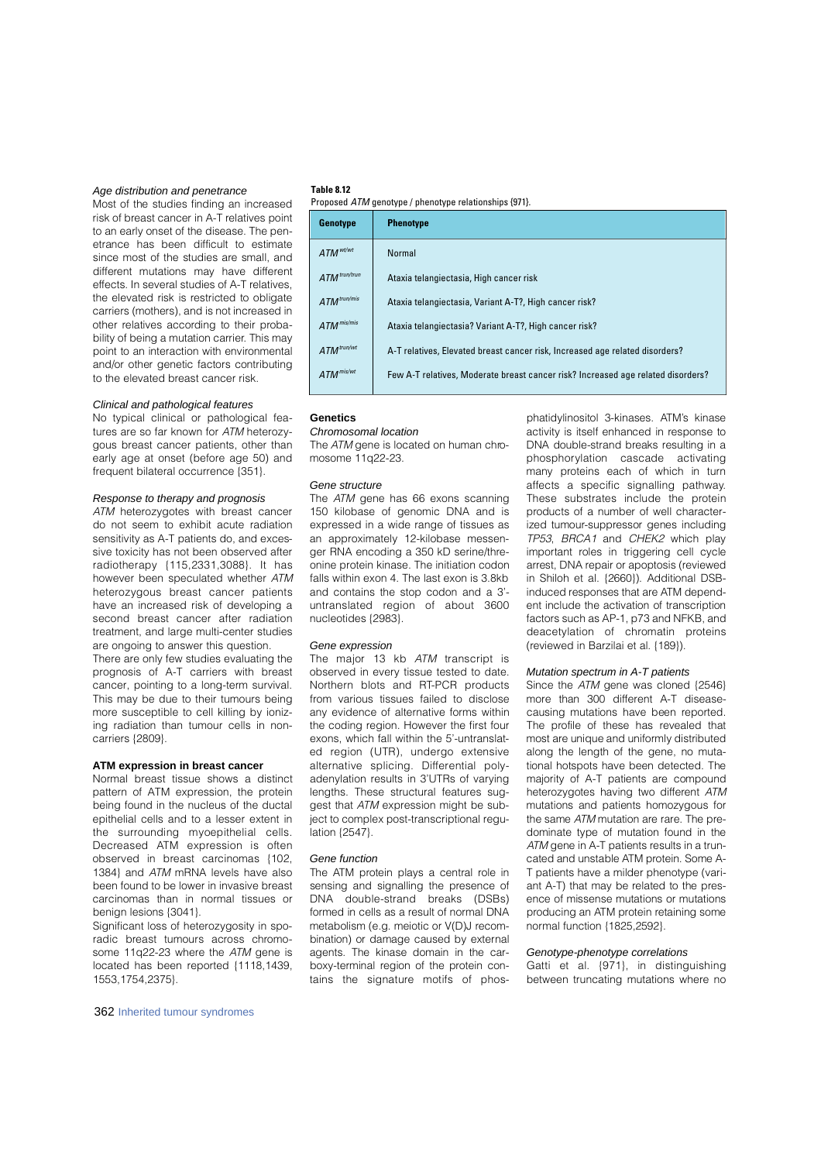## *Age distribution and penetrance*

Most of the studies finding an increased risk of breast cancer in A-T relatives point to an early onset of the disease. The penetrance has been difficult to estimate since most of the studies are small, and different mutations may have different effects. In several studies of A-T relatives the elevated risk is restricted to obligate carriers (mothers), and is not increased in other relatives according to their probability of being a mutation carrier. This may point to an interaction with environmental and/or other genetic factors contributing to the elevated breast cancer risk.

## *Clinical and pathological features*

No typical clinical or pathological features are so far known for ATM heterozygous breast cancer patients, other than early age at onset (before age 50) and frequent bilateral occurrence {351}.

#### *Response to therapy and prognosis*

ATM heterozygotes with breast cancer do not seem to exhibit acute radiation sensitivity as A-T patients do, and excessive toxicity has not been observed after radiotherapy {115,2331,3088}. It has however been speculated whether ATM heterozygous breast cancer patients have an increased risk of developing a second breast cancer after radiation treatment, and large multi-center studies are ongoing to answer this question.

There are only few studies evaluating the prognosis of A-T carriers with breast cancer, pointing to a long-term survival. This may be due to their tumours being more susceptible to cell killing by ionizing radiation than tumour cells in noncarriers {2809}.

#### **ATM expression in breast cancer**

Normal breast tissue shows a distinct pattern of ATM expression, the protein being found in the nucleus of the ductal epithelial cells and to a lesser extent in the surrounding myoepithelial cells. Decreased ATM expression is often observed in breast carcinomas {102, 1384} and ATM mRNA levels have also been found to be lower in invasive breast carcinomas than in normal tissues or benign lesions {3041}.

Significant loss of heterozygosity in sporadic breast tumours across chromosome 11q22-23 where the ATM gene is located has been reported {1118,1439, 1553,1754,2375}.

## **Table 8.12**

| Proposed ATM genotype / phenotype relationships {971}. |
|--------------------------------------------------------|
|--------------------------------------------------------|

| Genotype                 | <b>Phenotype</b>                                                                 |
|--------------------------|----------------------------------------------------------------------------------|
| ATM <sup>wt/wt</sup>     | Normal                                                                           |
| ATM <sup>trun/trun</sup> | Ataxia telangiectasia, High cancer risk                                          |
| ATM <sup>trun/mis</sup>  | Ataxia telangiectasia, Variant A-T?, High cancer risk?                           |
| ATM mis/mis              | Ataxia telangiectasia? Variant A-T?, High cancer risk?                           |
| ATM <sup>trun/wt</sup>   | A-T relatives, Elevated breast cancer risk, Increased age related disorders?     |
| ATM <sup>mis/wt</sup>    | Few A-T relatives, Moderate breast cancer risk? Increased age related disorders? |

#### **Genetics**

*Chromosomal location*

The ATM gene is located on human chromosome 11q22-23.

### *Gene structure*

The ATM gene has 66 exons scanning 150 kilobase of genomic DNA and is expressed in a wide range of tissues as an approximately 12-kilobase messenger RNA encoding a 350 kD serine/threonine protein kinase. The initiation codon falls within exon 4. The last exon is 3.8kb and contains the stop codon and a 3' untranslated region of about 3600 nucleotides {2983}.

#### *Gene expression*

The major 13 kb  $ATM$  transcript is observed in every tissue tested to date. Northern blots and RT-PCR products from various tissues failed to disclose any evidence of alternative forms within the coding region. However the first four exons, which fall within the 5'-untranslated region (UTR), undergo extensive alternative splicing. Differential polyadenylation results in 3'UTRs of varying lengths. These structural features suggest that ATM expression might be subject to complex post-transcriptional regulation {2547}.

#### *Gene function*

The ATM protein plays a central role in sensing and signalling the presence of DNA double-strand breaks (DSBs) formed in cells as a result of normal DNA metabolism (e.g. meiotic or V(D)J recombination) or damage caused by external agents. The kinase domain in the carboxy-terminal region of the protein contains the signature motifs of phosphatidylinositol 3-kinases. ATM's kinase activity is itself enhanced in response to DNA double-strand breaks resulting in a phosphorylation cascade activating many proteins each of which in turn affects a specific signalling pathway. These substrates include the protein p roducts of a number of well characterized tumour-suppressor genes including TP53, BRCA1 and CHEK2 which play important roles in triggering cell cycle arrest, DNA repair or apoptosis (reviewed in Shiloh et al. {2660}). Additional DSBinduced responses that are ATM dependent include the activation of transcription factors such as AP-1, p73 and NFKB, and deacetylation of chromatin proteins ( reviewed in Barzilai et al. {189}).

#### *Mutation spectrum in A-T patients*

Since the  $ATM$  gene was cloned  ${2546}$ more than 300 different A-T diseasecausing mutations have been reported. The profile of these has revealed that most are unique and uniformly distributed along the length of the gene, no mutational hotspots have been detected. The majority of A-T patients are compound heterozygotes having two different ATM mutations and patients homozygous for the same  $ATM$  mutation are rare. The predominate type of mutation found in the ATM gene in A-T patients results in a truncated and unstable ATM protein. Some A-T patients have a milder phenotype (variant A-T) that may be related to the presence of missense mutations or mutations producing an ATM protein retaining some normal function {1825,2592}.

#### *Genotype-phenotype correlations*

Gatti et al. {971}, in distinguishing between truncating mutations where no

362 Inherited tumour syndromes